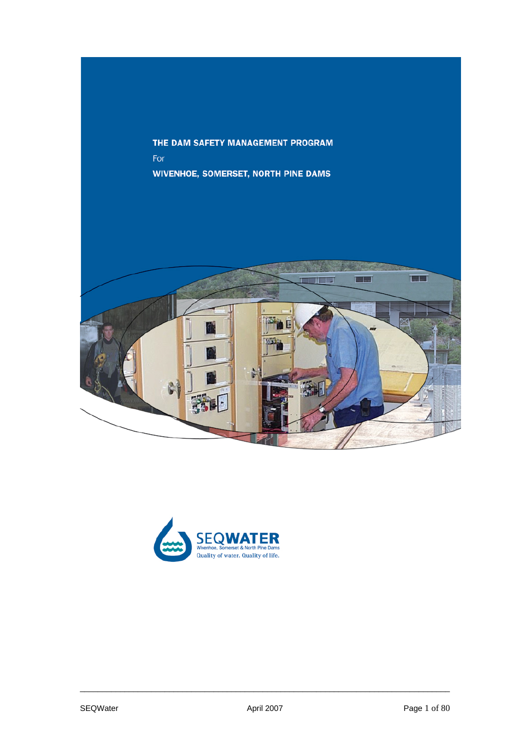THE DAM SAFETY MANAGEMENT PROGRAM For **WIVENHOE, SOMERSET, NORTH PINE DAMS** 



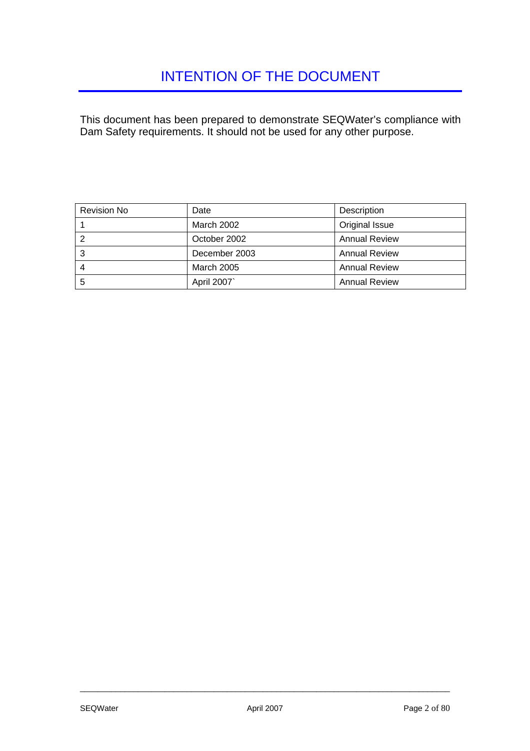<span id="page-1-0"></span>This document has been prepared to demonstrate SEQWater's compliance with Dam Safety requirements. It should not be used for any other purpose.

| <b>Revision No</b> | Date              | Description          |  |
|--------------------|-------------------|----------------------|--|
|                    | March 2002        | Original Issue       |  |
|                    | October 2002      | <b>Annual Review</b> |  |
| 3                  | December 2003     | <b>Annual Review</b> |  |
|                    | <b>March 2005</b> | <b>Annual Review</b> |  |
| 5                  | April 2007`       | <b>Annual Review</b> |  |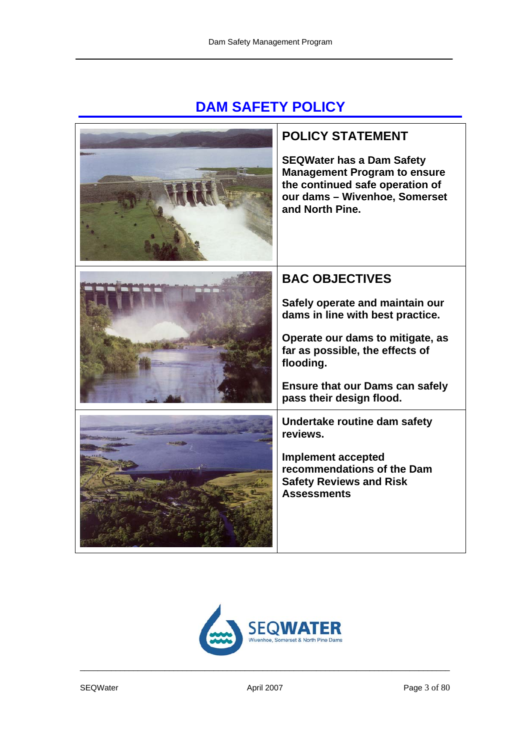# **DAM SAFETY POLICY**



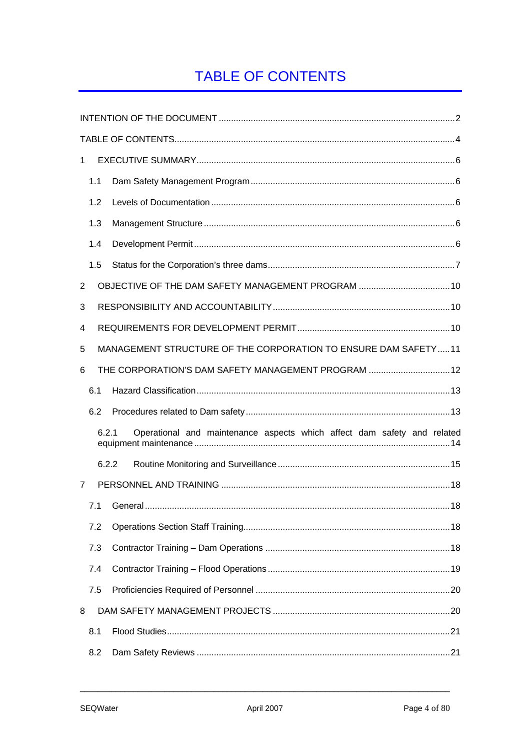# <span id="page-3-0"></span>**TABLE OF CONTENTS**

| $\mathbf{1}$ |       |                                                                         |
|--------------|-------|-------------------------------------------------------------------------|
|              | 1.1   |                                                                         |
|              | 1.2   |                                                                         |
|              | 1.3   |                                                                         |
|              | 1.4   |                                                                         |
|              | 1.5   |                                                                         |
| 2            |       | OBJECTIVE OF THE DAM SAFETY MANAGEMENT PROGRAM  10                      |
| 3            |       |                                                                         |
| 4            |       |                                                                         |
| 5            |       | MANAGEMENT STRUCTURE OF THE CORPORATION TO ENSURE DAM SAFETY11          |
| 6            |       | THE CORPORATION'S DAM SAFETY MANAGEMENT PROGRAM  12                     |
|              | 6.1   |                                                                         |
|              | 6.2   |                                                                         |
|              | 6.2.1 | Operational and maintenance aspects which affect dam safety and related |
|              | 6.2.2 |                                                                         |
| 7            |       |                                                                         |
|              | 7.1   |                                                                         |
|              | 7.2   |                                                                         |
|              | 7.3   |                                                                         |
|              | 7.4   |                                                                         |
|              | 7.5   |                                                                         |
| 8            |       |                                                                         |
|              | 8.1   |                                                                         |
|              | 8.2   |                                                                         |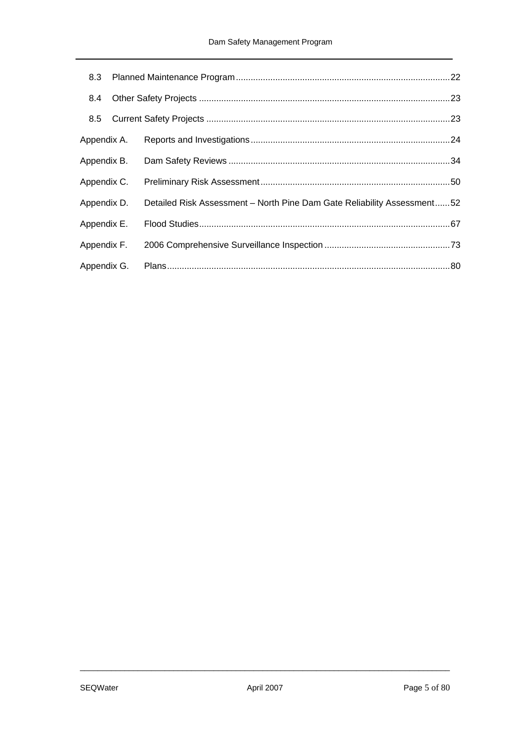| 8.4         |                                                                         |  |
|-------------|-------------------------------------------------------------------------|--|
| 8.5         |                                                                         |  |
| Appendix A. |                                                                         |  |
| Appendix B. |                                                                         |  |
| Appendix C. |                                                                         |  |
| Appendix D. | Detailed Risk Assessment - North Pine Dam Gate Reliability Assessment52 |  |
| Appendix E. |                                                                         |  |
| Appendix F. |                                                                         |  |
| Appendix G. |                                                                         |  |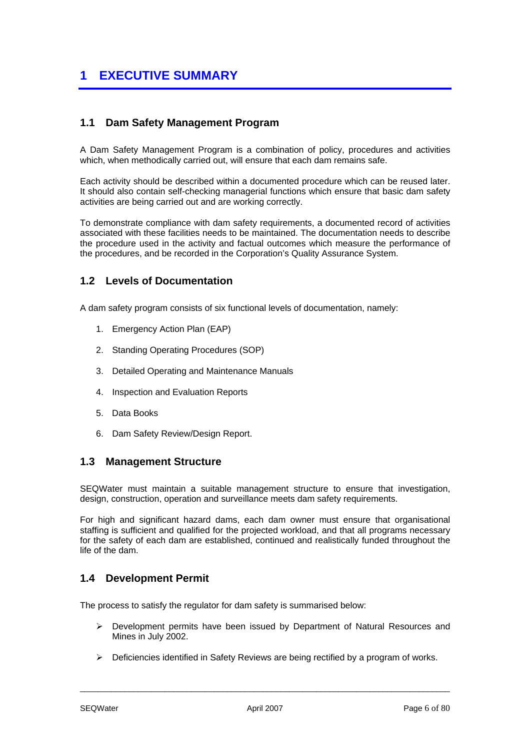## <span id="page-5-0"></span>**1 EXECUTIVE SUMMARY**

## <span id="page-5-1"></span>**1.1 Dam Safety Management Program**

A Dam Safety Management Program is a combination of policy, procedures and activities which, when methodically carried out, will ensure that each dam remains safe.

Each activity should be described within a documented procedure which can be reused later. It should also contain self-checking managerial functions which ensure that basic dam safety activities are being carried out and are working correctly.

To demonstrate compliance with dam safety requirements, a documented record of activities associated with these facilities needs to be maintained. The documentation needs to describe the procedure used in the activity and factual outcomes which measure the performance of the procedures, and be recorded in the Corporation's Quality Assurance System.

### <span id="page-5-2"></span>**1.2 Levels of Documentation**

A dam safety program consists of six functional levels of documentation, namely:

- 1. Emergency Action Plan (EAP)
- 2. Standing Operating Procedures (SOP)
- 3. Detailed Operating and Maintenance Manuals
- 4. Inspection and Evaluation Reports
- 5. Data Books
- 6. Dam Safety Review/Design Report.

### <span id="page-5-3"></span>**1.3 Management Structure**

SEQWater must maintain a suitable management structure to ensure that investigation, design, construction, operation and surveillance meets dam safety requirements.

For high and significant hazard dams, each dam owner must ensure that organisational staffing is sufficient and qualified for the projected workload, and that all programs necessary for the safety of each dam are established, continued and realistically funded throughout the life of the dam.

### <span id="page-5-4"></span>**1.4 Development Permit**

The process to satisfy the regulator for dam safety is summarised below:

- ¾ Development permits have been issued by Department of Natural Resources and Mines in July 2002.
- $\triangleright$  Deficiencies identified in Safety Reviews are being rectified by a program of works.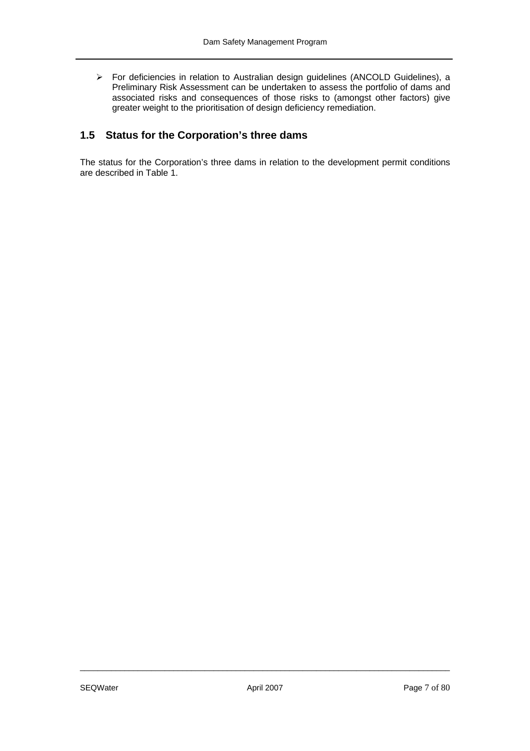¾ For deficiencies in relation to Australian design guidelines (ANCOLD Guidelines), a Preliminary Risk Assessment can be undertaken to assess the portfolio of dams and associated risks and consequences of those risks to (amongst other factors) give greater weight to the prioritisation of design deficiency remediation.

## <span id="page-6-0"></span>**1.5 Status for the Corporation's three dams**

The status for the Corporation's three dams in relation to the development permit conditions are described in Table 1.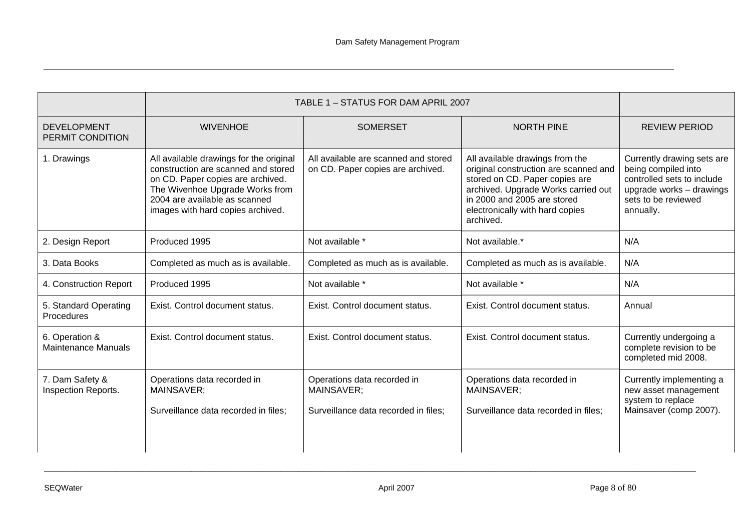|                                              | TABLE 1 - STATUS FOR DAM APRIL 2007                                                                                                                                                                                          |                                                                                   |                                                                                                                                                                                                                                  |                                                                                                                                                 |
|----------------------------------------------|------------------------------------------------------------------------------------------------------------------------------------------------------------------------------------------------------------------------------|-----------------------------------------------------------------------------------|----------------------------------------------------------------------------------------------------------------------------------------------------------------------------------------------------------------------------------|-------------------------------------------------------------------------------------------------------------------------------------------------|
| <b>DEVELOPMENT</b><br>PERMIT CONDITION       | <b>WIVENHOE</b>                                                                                                                                                                                                              | <b>SOMERSET</b>                                                                   | <b>NORTH PINE</b>                                                                                                                                                                                                                | <b>REVIEW PERIOD</b>                                                                                                                            |
| 1. Drawings                                  | All available drawings for the original<br>construction are scanned and stored<br>on CD. Paper copies are archived.<br>The Wivenhoe Upgrade Works from<br>2004 are available as scanned<br>images with hard copies archived. | All available are scanned and stored<br>on CD. Paper copies are archived.         | All available drawings from the<br>original construction are scanned and<br>stored on CD. Paper copies are<br>archived. Upgrade Works carried out<br>in 2000 and 2005 are stored<br>electronically with hard copies<br>archived. | Currently drawing sets are<br>being compiled into<br>controlled sets to include<br>upgrade works - drawings<br>sets to be reviewed<br>annually. |
| 2. Design Report                             | Produced 1995                                                                                                                                                                                                                | Not available *                                                                   | Not available.*                                                                                                                                                                                                                  | N/A                                                                                                                                             |
| 3. Data Books                                | Completed as much as is available.                                                                                                                                                                                           | Completed as much as is available.                                                | Completed as much as is available.                                                                                                                                                                                               | N/A                                                                                                                                             |
| 4. Construction Report                       | Produced 1995                                                                                                                                                                                                                | Not available *                                                                   | Not available *                                                                                                                                                                                                                  | N/A                                                                                                                                             |
| 5. Standard Operating<br>Procedures          | Exist. Control document status.                                                                                                                                                                                              | Exist. Control document status.                                                   | Exist. Control document status.                                                                                                                                                                                                  | Annual                                                                                                                                          |
| 6. Operation &<br><b>Maintenance Manuals</b> | Exist. Control document status.                                                                                                                                                                                              | Exist. Control document status.                                                   | Exist. Control document status.                                                                                                                                                                                                  | Currently undergoing a<br>complete revision to be<br>completed mid 2008.                                                                        |
| 7. Dam Safety &<br>Inspection Reports.       | Operations data recorded in<br>MAINSAVER;<br>Surveillance data recorded in files;                                                                                                                                            | Operations data recorded in<br>MAINSAVER;<br>Surveillance data recorded in files; | Operations data recorded in<br>MAINSAVER;<br>Surveillance data recorded in files;                                                                                                                                                | Currently implementing a<br>new asset management<br>system to replace<br>Mainsaver (comp 2007).                                                 |

\_\_\_\_\_\_\_\_\_\_\_\_\_\_\_\_\_\_\_\_\_\_\_\_\_\_\_\_\_\_\_\_\_\_\_\_\_\_\_\_\_\_\_\_\_\_\_\_\_\_\_\_\_\_\_\_\_\_\_\_\_\_\_\_\_\_\_\_\_\_\_\_\_\_\_\_\_\_\_\_\_\_\_\_\_\_\_\_\_\_\_\_\_\_\_\_\_\_\_\_\_\_\_\_\_\_\_\_\_\_\_\_\_\_\_\_\_\_\_\_\_\_\_\_\_\_\_\_\_\_\_\_\_\_\_\_\_\_\_\_\_\_\_\_\_\_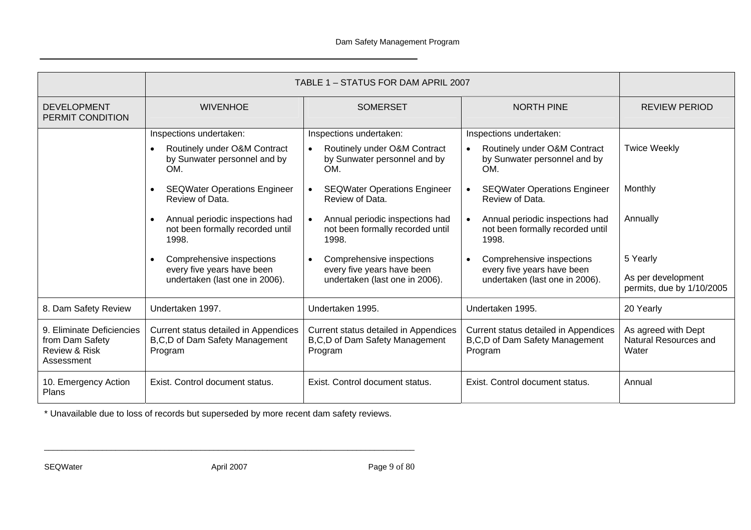|                                                                                        | TABLE 1 - STATUS FOR DAM APRIL 2007                                                            |                                                                                                |                                                                                                             |                                                             |
|----------------------------------------------------------------------------------------|------------------------------------------------------------------------------------------------|------------------------------------------------------------------------------------------------|-------------------------------------------------------------------------------------------------------------|-------------------------------------------------------------|
| <b>DEVELOPMENT</b><br><b>WIVENHOE</b><br>PERMIT CONDITION                              |                                                                                                | <b>SOMERSET</b>                                                                                | <b>NORTH PINE</b>                                                                                           | <b>REVIEW PERIOD</b>                                        |
|                                                                                        | Inspections undertaken:<br>Routinely under O&M Contract<br>by Sunwater personnel and by<br>OM. | Inspections undertaken:<br>Routinely under O&M Contract<br>by Sunwater personnel and by<br>OM. | Inspections undertaken:<br>Routinely under O&M Contract<br>$\bullet$<br>by Sunwater personnel and by<br>OM. | <b>Twice Weekly</b>                                         |
|                                                                                        | <b>SEQWater Operations Engineer</b><br>Review of Data.                                         | <b>SEQWater Operations Engineer</b><br>Review of Data.                                         | <b>SEQWater Operations Engineer</b><br>$\bullet$<br>Review of Data.                                         | Monthly                                                     |
|                                                                                        | Annual periodic inspections had<br>not been formally recorded until<br>1998.                   | Annual periodic inspections had<br>not been formally recorded until<br>1998.                   | Annual periodic inspections had<br>$\bullet$<br>not been formally recorded until<br>1998.                   | Annually                                                    |
|                                                                                        | Comprehensive inspections<br>every five years have been<br>undertaken (last one in 2006).      | Comprehensive inspections<br>every five years have been<br>undertaken (last one in 2006).      | Comprehensive inspections<br>$\bullet$<br>every five years have been<br>undertaken (last one in 2006).      | 5 Yearly<br>As per development<br>permits, due by 1/10/2005 |
| 8. Dam Safety Review                                                                   | Undertaken 1997.                                                                               | Undertaken 1995.                                                                               | Undertaken 1995.                                                                                            | 20 Yearly                                                   |
| 9. Eliminate Deficiencies<br>from Dam Safety<br><b>Review &amp; Risk</b><br>Assessment | Current status detailed in Appendices<br>B, C, D of Dam Safety Management<br>Program           | Current status detailed in Appendices<br>B,C,D of Dam Safety Management<br>Program             | Current status detailed in Appendices<br>B,C,D of Dam Safety Management<br>Program                          | As agreed with Dept<br>Natural Resources and<br>Water       |
| 10. Emergency Action<br>Plans                                                          | Exist. Control document status.                                                                | Exist. Control document status.                                                                | Exist. Control document status.                                                                             | Annual                                                      |

\* Unavailable due to loss of records but superseded by more recent dam safety reviews.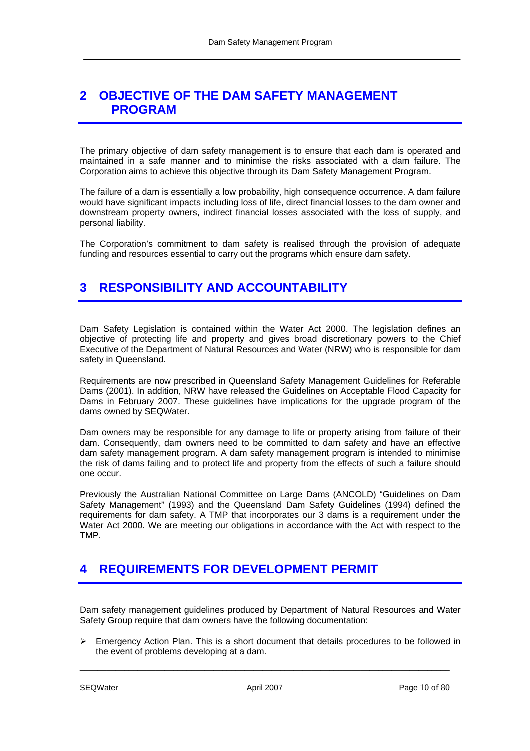## <span id="page-9-0"></span>**2 OBJECTIVE OF THE DAM SAFETY MANAGEMENT PROGRAM**

The primary objective of dam safety management is to ensure that each dam is operated and maintained in a safe manner and to minimise the risks associated with a dam failure. The Corporation aims to achieve this objective through its Dam Safety Management Program.

The failure of a dam is essentially a low probability, high consequence occurrence. A dam failure would have significant impacts including loss of life, direct financial losses to the dam owner and downstream property owners, indirect financial losses associated with the loss of supply, and personal liability.

The Corporation's commitment to dam safety is realised through the provision of adequate funding and resources essential to carry out the programs which ensure dam safety.

## <span id="page-9-1"></span>**3 RESPONSIBILITY AND ACCOUNTABILITY**

Dam Safety Legislation is contained within the Water Act 2000. The legislation defines an objective of protecting life and property and gives broad discretionary powers to the Chief Executive of the Department of Natural Resources and Water (NRW) who is responsible for dam safety in Queensland.

Requirements are now prescribed in Queensland Safety Management Guidelines for Referable Dams (2001). In addition, NRW have released the Guidelines on Acceptable Flood Capacity for Dams in February 2007. These guidelines have implications for the upgrade program of the dams owned by SEQWater.

Dam owners may be responsible for any damage to life or property arising from failure of their dam. Consequently, dam owners need to be committed to dam safety and have an effective dam safety management program. A dam safety management program is intended to minimise the risk of dams failing and to protect life and property from the effects of such a failure should one occur.

Previously the Australian National Committee on Large Dams (ANCOLD) "Guidelines on Dam Safety Management" (1993) and the Queensland Dam Safety Guidelines (1994) defined the requirements for dam safety. A TMP that incorporates our 3 dams is a requirement under the Water Act 2000. We are meeting our obligations in accordance with the Act with respect to the TMP.

## <span id="page-9-2"></span>**4 REQUIREMENTS FOR DEVELOPMENT PERMIT**

Dam safety management guidelines produced by Department of Natural Resources and Water Safety Group require that dam owners have the following documentation:

 $\triangleright$  Emergency Action Plan. This is a short document that details procedures to be followed in the event of problems developing at a dam.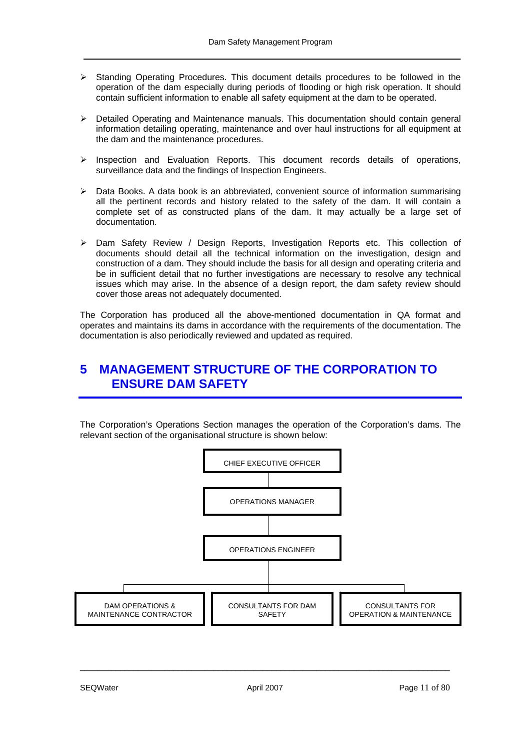- $\triangleright$  Standing Operating Procedures. This document details procedures to be followed in the operation of the dam especially during periods of flooding or high risk operation. It should contain sufficient information to enable all safety equipment at the dam to be operated.
- $\triangleright$  Detailed Operating and Maintenance manuals. This documentation should contain general information detailing operating, maintenance and over haul instructions for all equipment at the dam and the maintenance procedures.
- ¾ Inspection and Evaluation Reports. This document records details of operations, surveillance data and the findings of Inspection Engineers.
- $\triangleright$  Data Books. A data book is an abbreviated, convenient source of information summarising all the pertinent records and history related to the safety of the dam. It will contain a complete set of as constructed plans of the dam. It may actually be a large set of documentation.
- $\triangleright$  Dam Safety Review / Design Reports, Investigation Reports etc. This collection of documents should detail all the technical information on the investigation, design and construction of a dam. They should include the basis for all design and operating criteria and be in sufficient detail that no further investigations are necessary to resolve any technical issues which may arise. In the absence of a design report, the dam safety review should cover those areas not adequately documented.

The Corporation has produced all the above-mentioned documentation in QA format and operates and maintains its dams in accordance with the requirements of the documentation. The documentation is also periodically reviewed and updated as required.

## <span id="page-10-0"></span>**5 MANAGEMENT STRUCTURE OF THE CORPORATION TO ENSURE DAM SAFETY**

The Corporation's Operations Section manages the operation of the Corporation's dams. The relevant section of the organisational structure is shown below:

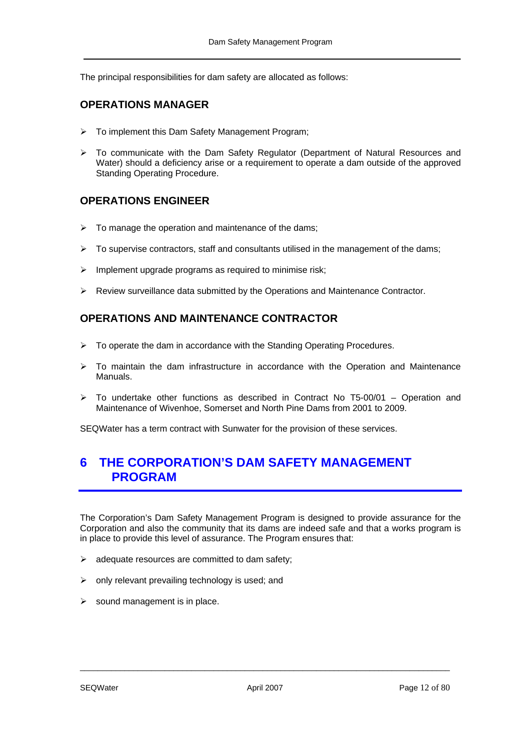The principal responsibilities for dam safety are allocated as follows:

## **OPERATIONS MANAGER**

- ¾ To implement this Dam Safety Management Program;
- $\triangleright$  To communicate with the Dam Safety Regulator (Department of Natural Resources and Water) should a deficiency arise or a requirement to operate a dam outside of the approved Standing Operating Procedure.

## **OPERATIONS ENGINEER**

- $\triangleright$  To manage the operation and maintenance of the dams;
- $\triangleright$  To supervise contractors, staff and consultants utilised in the management of the dams;
- $\triangleright$  Implement upgrade programs as required to minimise risk;
- $\triangleright$  Review surveillance data submitted by the Operations and Maintenance Contractor.

## **OPERATIONS AND MAINTENANCE CONTRACTOR**

- $\triangleright$  To operate the dam in accordance with the Standing Operating Procedures.
- $\triangleright$  To maintain the dam infrastructure in accordance with the Operation and Maintenance Manuals.
- $\geq$  To undertake other functions as described in Contract No T5-00/01 Operation and Maintenance of Wivenhoe, Somerset and North Pine Dams from 2001 to 2009.

SEQWater has a term contract with Sunwater for the provision of these services.

## <span id="page-11-0"></span>**6 THE CORPORATION'S DAM SAFETY MANAGEMENT PROGRAM**

The Corporation's Dam Safety Management Program is designed to provide assurance for the Corporation and also the community that its dams are indeed safe and that a works program is in place to provide this level of assurance. The Program ensures that:

- $\triangleright$  adequate resources are committed to dam safety;
- $\triangleright$  only relevant prevailing technology is used; and
- $\triangleright$  sound management is in place.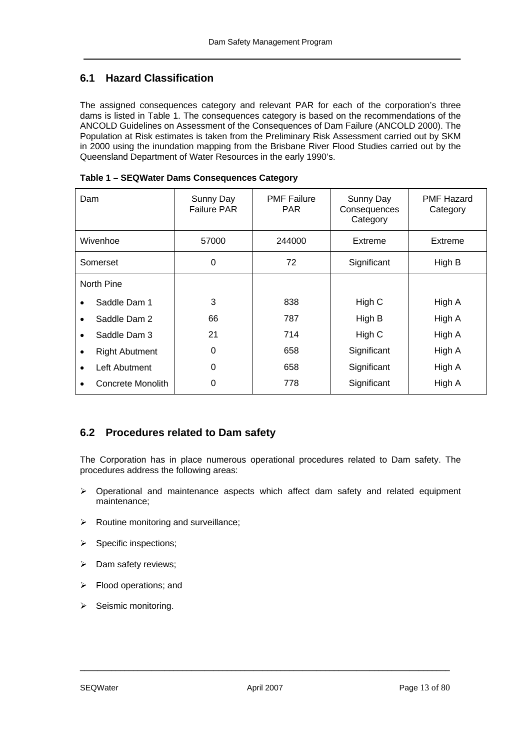## <span id="page-12-0"></span>**6.1 Hazard Classification**

The assigned consequences category and relevant PAR for each of the corporation's three dams is listed in Table 1. The consequences category is based on the recommendations of the ANCOLD Guideli[nes on A](#page-12-2)ssessment of the Consequences of Dam Failure (ANCOLD 2000). The Population at Risk estimates is taken from the Preliminary Risk Assessment carried out by SKM in 2000 using the inundation mapping from the Brisbane River Flood Studies carried out by the Queensland Department of Water Resources in the early 1990's.

| Dam      |                       | Sunny Day<br><b>Failure PAR</b> | <b>PMF Failure</b><br><b>PAR</b> | Sunny Day<br>Consequences<br>Category | <b>PMF Hazard</b><br>Category |
|----------|-----------------------|---------------------------------|----------------------------------|---------------------------------------|-------------------------------|
| Wivenhoe |                       | 57000                           | 244000                           | Extreme                               | Extreme                       |
| Somerset |                       | 0                               | 72                               | Significant                           | High B                        |
|          | North Pine            |                                 |                                  |                                       |                               |
|          | Saddle Dam 1          | 3                               | 838                              | High C                                | High A                        |
|          | Saddle Dam 2          | 66                              | 787                              | High B                                | High A                        |
|          | Saddle Dam 3          | 21                              | 714                              | High C                                | High A                        |
|          | <b>Right Abutment</b> | 0                               | 658                              | Significant                           | High A                        |
|          | Left Abutment         | 0                               | 658                              | Significant                           | High A                        |
|          | Concrete Monolith     | 0                               | 778                              | Significant                           | High A                        |

<span id="page-12-2"></span>**Table 1 – SEQWater Dams Consequences Category** 

## <span id="page-12-1"></span>**6.2 Procedures related to Dam safety**

The Corporation has in place numerous operational procedures related to Dam safety. The procedures address the following areas:

- $\triangleright$  Operational and maintenance aspects which affect dam safety and related equipment maintenance;
- $\triangleright$  Routine monitoring and surveillance;
- $\triangleright$  Specific inspections;
- $\triangleright$  Dam safety reviews;
- $\triangleright$  Flood operations; and
- $\triangleright$  Seismic monitoring.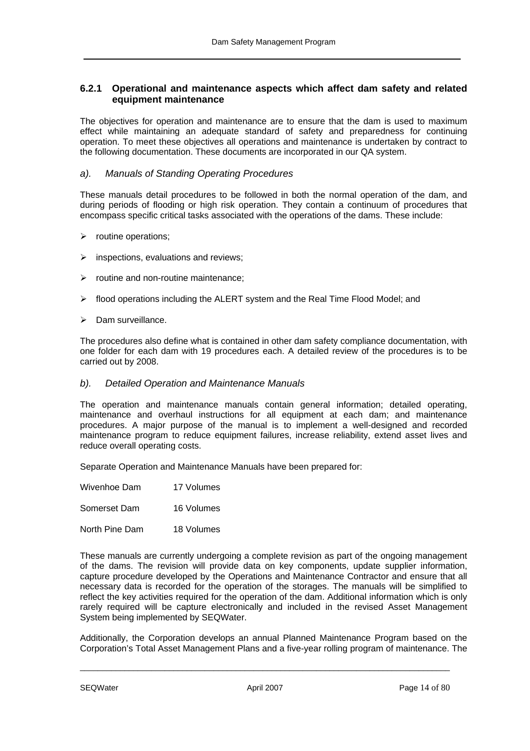### <span id="page-13-0"></span>**6.2.1 Operational and maintenance aspects which affect dam safety and related equipment maintenance**

The objectives for operation and maintenance are to ensure that the dam is used to maximum effect while maintaining an adequate standard of safety and preparedness for continuing operation. To meet these objectives all operations and maintenance is undertaken by contract to the following documentation. These documents are incorporated in our QA system.

#### *a). Manuals of Standing Operating Procedures*

These manuals detail procedures to be followed in both the normal operation of the dam, and during periods of flooding or high risk operation. They contain a continuum of procedures that encompass specific critical tasks associated with the operations of the dams. These include:

- $\triangleright$  routine operations;
- $\triangleright$  inspections, evaluations and reviews;
- $\triangleright$  routine and non-routine maintenance;
- $\triangleright$  flood operations including the ALERT system and the Real Time Flood Model; and
- ¾ Dam surveillance.

The procedures also define what is contained in other dam safety compliance documentation, with one folder for each dam with 19 procedures each. A detailed review of the procedures is to be carried out by 2008.

#### *b). Detailed Operation and Maintenance Manuals*

The operation and maintenance manuals contain general information; detailed operating, maintenance and overhaul instructions for all equipment at each dam; and maintenance procedures. A major purpose of the manual is to implement a well-designed and recorded maintenance program to reduce equipment failures, increase reliability, extend asset lives and reduce overall operating costs.

Separate Operation and Maintenance Manuals have been prepared for:

| Wivenhoe Dam | 17 Volumes |  |
|--------------|------------|--|
|              |            |  |

Somerset Dam 16 Volumes

North Pine Dam 18 Volumes

These manuals are currently undergoing a complete revision as part of the ongoing management of the dams. The revision will provide data on key components, update supplier information, capture procedure developed by the Operations and Maintenance Contractor and ensure that all necessary data is recorded for the operation of the storages. The manuals will be simplified to reflect the key activities required for the operation of the dam. Additional information which is only rarely required will be capture electronically and included in the revised Asset Management System being implemented by SEQWater.

Additionally, the Corporation develops an annual Planned Maintenance Program based on the Corporation's Total Asset Management Plans and a five-year rolling program of maintenance. The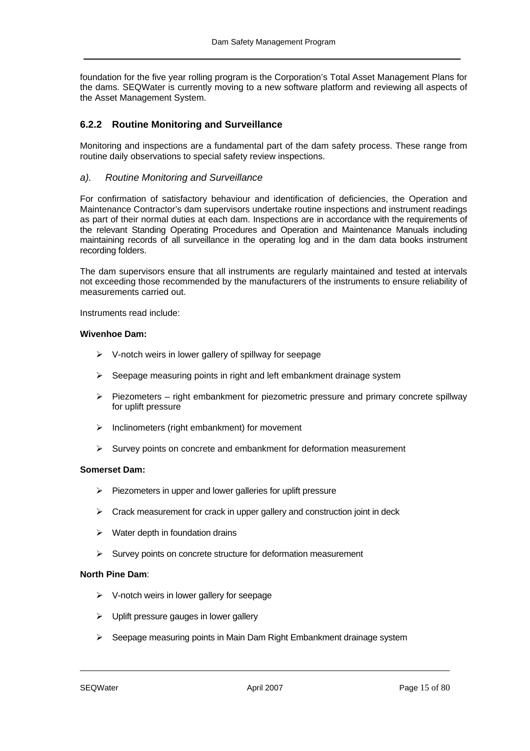foundation for the five year rolling program is the Corporation's Total Asset Management Plans for the dams. SEQWater is currently moving to a new software platform and reviewing all aspects of the Asset Management System.

٦

#### <span id="page-14-0"></span>**6.2.2 Routine Monitoring and Surveillance**

Monitoring and inspections are a fundamental part of the dam safety process. These range from routine daily observations to special safety review inspections.

#### *a). Routine Monitoring and Surveillance*

For confirmation of satisfactory behaviour and identification of deficiencies, the Operation and Maintenance Contractor's dam supervisors undertake routine inspections and instrument readings as part of their normal duties at each dam. Inspections are in accordance with the requirements of the relevant Standing Operating Procedures and Operation and Maintenance Manuals including maintaining records of all surveillance in the operating log and in the dam data books instrument recording folders.

The dam supervisors ensure that all instruments are regularly maintained and tested at intervals not exceeding those recommended by the manufacturers of the instruments to ensure reliability of measurements carried out.

Instruments read include:

#### **Wivenhoe Dam:**

- $\triangleright$  V-notch weirs in lower gallery of spillway for seepage
- ¾ Seepage measuring points in right and left embankment drainage system
- $\triangleright$  Piezometers right embankment for piezometric pressure and primary concrete spillway for uplift pressure
- $\triangleright$  Inclinometers (right embankment) for movement
- ¾ Survey points on concrete and embankment for deformation measurement

#### **Somerset Dam:**

- $\triangleright$  Piezometers in upper and lower galleries for uplift pressure
- $\triangleright$  Crack measurement for crack in upper gallery and construction joint in deck
- $\triangleright$  Water depth in foundation drains
- $\triangleright$  Survey points on concrete structure for deformation measurement

#### **North Pine Dam**:

- $\triangleright$  V-notch weirs in lower gallery for seepage
- $\triangleright$  Uplift pressure gauges in lower gallery
- ¾ Seepage measuring points in Main Dam Right Embankment drainage system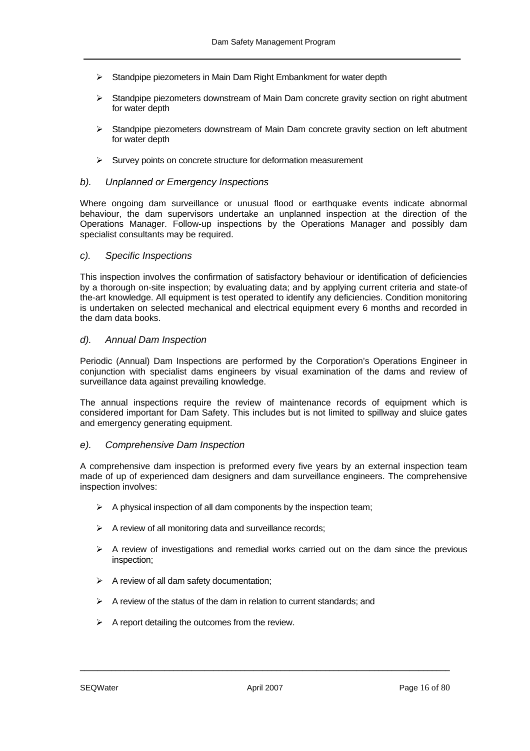- $\triangleright$  Standpipe piezometers in Main Dam Right Embankment for water depth
- ¾ Standpipe piezometers downstream of Main Dam concrete gravity section on right abutment for water depth
- ¾ Standpipe piezometers downstream of Main Dam concrete gravity section on left abutment for water depth
- $\triangleright$  Survey points on concrete structure for deformation measurement

#### *b). Unplanned or Emergency Inspections*

Where ongoing dam surveillance or unusual flood or earthquake events indicate abnormal behaviour, the dam supervisors undertake an unplanned inspection at the direction of the Operations Manager. Follow-up inspections by the Operations Manager and possibly dam specialist consultants may be required.

#### *c). Specific Inspections*

This inspection involves the confirmation of satisfactory behaviour or identification of deficiencies by a thorough on-site inspection; by evaluating data; and by applying current criteria and state-of the-art knowledge. All equipment is test operated to identify any deficiencies. Condition monitoring is undertaken on selected mechanical and electrical equipment every 6 months and recorded in the dam data books.

#### *d). Annual Dam Inspection*

Periodic (Annual) Dam Inspections are performed by the Corporation's Operations Engineer in conjunction with specialist dams engineers by visual examination of the dams and review of surveillance data against prevailing knowledge.

The annual inspections require the review of maintenance records of equipment which is considered important for Dam Safety. This includes but is not limited to spillway and sluice gates and emergency generating equipment.

#### *e). Comprehensive Dam Inspection*

A comprehensive dam inspection is preformed every five years by an external inspection team made of up of experienced dam designers and dam surveillance engineers. The comprehensive inspection involves:

- $\triangleright$  A physical inspection of all dam components by the inspection team;
- $\triangleright$  A review of all monitoring data and surveillance records;
- $\triangleright$  A review of investigations and remedial works carried out on the dam since the previous inspection;
- $\triangleright$  A review of all dam safety documentation;
- $\triangleright$  A review of the status of the dam in relation to current standards; and
- $\triangleright$  A report detailing the outcomes from the review.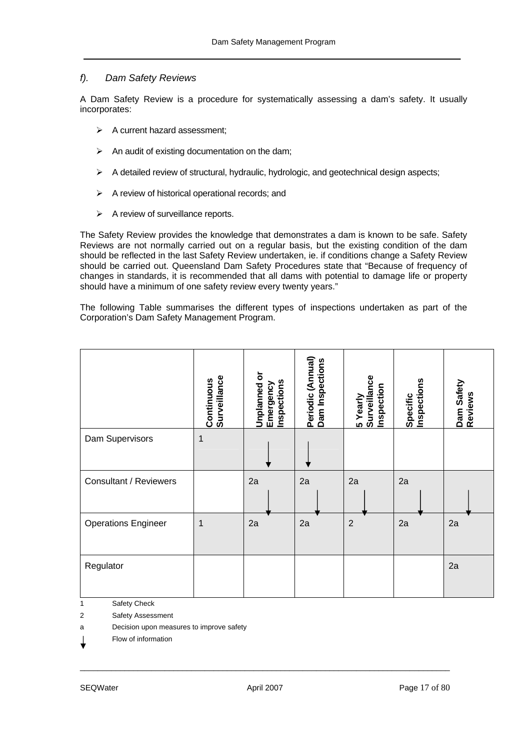#### *f). Dam Safety Reviews*

A Dam Safety Review is a procedure for systematically assessing a dam's safety. It usually incorporates:

- $\triangleright$  A current hazard assessment:
- $\triangleright$  An audit of existing documentation on the dam;
- $\triangleright$  A detailed review of structural, hydraulic, hydrologic, and geotechnical design aspects;
- $\triangleright$  A review of historical operational records; and
- $\triangleright$  A review of surveillance reports.

The Safety Review provides the knowledge that demonstrates a dam is known to be safe. Safety Reviews are not normally carried out on a regular basis, but the existing condition of the dam should be reflected in the last Safety Review undertaken, ie. if conditions change a Safety Review should be carried out. Queensland Dam Safety Procedures state that "Because of frequency of changes in standards, it is recommended that all dams with potential to damage life or property should have a minimum of one safety review every twenty years."

The following Table summarises the different types of inspections undertaken as part of the Corporation's Dam Safety Management Program.

|                            | Surveillance<br>Continuous | <b>Unplanned or</b><br>Inspections<br>Emergency | Periodic (Annual)<br>Dam Inspections | 5 Yearly<br>Surveillance<br>Inspection | Specific<br>Inspections | Dam Safety<br>Reviews |
|----------------------------|----------------------------|-------------------------------------------------|--------------------------------------|----------------------------------------|-------------------------|-----------------------|
| Dam Supervisors            |                            |                                                 |                                      |                                        |                         |                       |
| Consultant / Reviewers     |                            | 2a                                              | 2a                                   | 2a                                     | 2a                      |                       |
| <b>Operations Engineer</b> | 1                          | 2a                                              | 2a                                   | $\overline{2}$                         | 2a                      | 2a                    |
| Regulator                  |                            |                                                 |                                      |                                        |                         | 2a                    |

1 Safety Check

2 Safety Assessment

a Decision upon measures to improve safety

Flow of information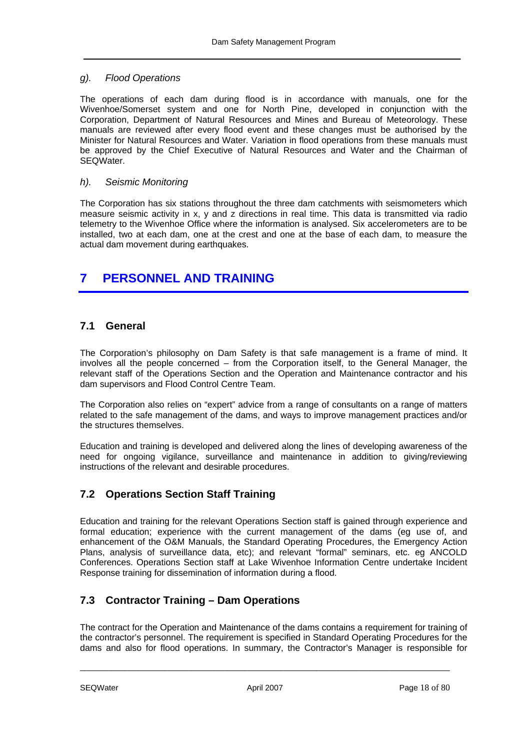#### *g). Flood Operations*

The operations of each dam during flood is in accordance with manuals, one for the Wivenhoe/Somerset system and one for North Pine, developed in conjunction with the Corporation, Department of Natural Resources and Mines and Bureau of Meteorology. These manuals are reviewed after every flood event and these changes must be authorised by the Minister for Natural Resources and Water. Variation in flood operations from these manuals must be approved by the Chief Executive of Natural Resources and Water and the Chairman of SEQWater.

#### *h). Seismic Monitoring*

The Corporation has six stations throughout the three dam catchments with seismometers which measure seismic activity in x, y and z directions in real time. This data is transmitted via radio telemetry to the Wivenhoe Office where the information is analysed. Six accelerometers are to be installed, two at each dam, one at the crest and one at the base of each dam, to measure the actual dam movement during earthquakes.

## <span id="page-17-0"></span>**7 PERSONNEL AND TRAINING**

## <span id="page-17-1"></span>**7.1 General**

The Corporation's philosophy on Dam Safety is that safe management is a frame of mind. It involves all the people concerned – from the Corporation itself, to the General Manager, the relevant staff of the Operations Section and the Operation and Maintenance contractor and his dam supervisors and Flood Control Centre Team.

The Corporation also relies on "expert" advice from a range of consultants on a range of matters related to the safe management of the dams, and ways to improve management practices and/or the structures themselves.

Education and training is developed and delivered along the lines of developing awareness of the need for ongoing vigilance, surveillance and maintenance in addition to giving/reviewing instructions of the relevant and desirable procedures.

## <span id="page-17-2"></span>**7.2 Operations Section Staff Training**

Education and training for the relevant Operations Section staff is gained through experience and formal education; experience with the current management of the dams (eg use of, and enhancement of the O&M Manuals, the Standard Operating Procedures, the Emergency Action Plans, analysis of surveillance data, etc); and relevant "formal" seminars, etc. eg ANCOLD Conferences. Operations Section staff at Lake Wivenhoe Information Centre undertake Incident Response training for dissemination of information during a flood.

## <span id="page-17-3"></span>**7.3 Contractor Training – Dam Operations**

The contract for the Operation and Maintenance of the dams contains a requirement for training of the contractor's personnel. The requirement is specified in Standard Operating Procedures for the dams and also for flood operations. In summary, the Contractor's Manager is responsible for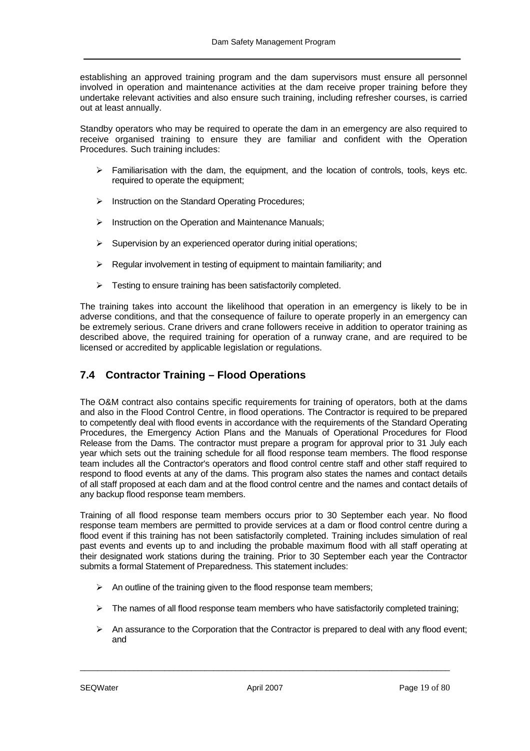establishing an approved training program and the dam supervisors must ensure all personnel involved in operation and maintenance activities at the dam receive proper training before they undertake relevant activities and also ensure such training, including refresher courses, is carried out at least annually.

Standby operators who may be required to operate the dam in an emergency are also required to receive organised training to ensure they are familiar and confident with the Operation Procedures. Such training includes:

- ¾ Familiarisation with the dam, the equipment, and the location of controls, tools, keys etc. required to operate the equipment;
- ¾ Instruction on the Standard Operating Procedures;
- $\triangleright$  Instruction on the Operation and Maintenance Manuals:
- $\triangleright$  Supervision by an experienced operator during initial operations;
- ¾ Regular involvement in testing of equipment to maintain familiarity; and
- $\triangleright$  Testing to ensure training has been satisfactorily completed.

The training takes into account the likelihood that operation in an emergency is likely to be in adverse conditions, and that the consequence of failure to operate properly in an emergency can be extremely serious. Crane drivers and crane followers receive in addition to operator training as described above, the required training for operation of a runway crane, and are required to be licensed or accredited by applicable legislation or regulations.

## <span id="page-18-0"></span>**7.4 Contractor Training – Flood Operations**

The O&M contract also contains specific requirements for training of operators, both at the dams and also in the Flood Control Centre, in flood operations. The Contractor is required to be prepared to competently deal with flood events in accordance with the requirements of the Standard Operating Procedures, the Emergency Action Plans and the Manuals of Operational Procedures for Flood Release from the Dams. The contractor must prepare a program for approval prior to 31 July each year which sets out the training schedule for all flood response team members. The flood response team includes all the Contractor's operators and flood control centre staff and other staff required to respond to flood events at any of the dams. This program also states the names and contact details of all staff proposed at each dam and at the flood control centre and the names and contact details of any backup flood response team members.

Training of all flood response team members occurs prior to 30 September each year. No flood response team members are permitted to provide services at a dam or flood control centre during a flood event if this training has not been satisfactorily completed. Training includes simulation of real past events and events up to and including the probable maximum flood with all staff operating at their designated work stations during the training. Prior to 30 September each year the Contractor submits a formal Statement of Preparedness. This statement includes:

- $\triangleright$  An outline of the training given to the flood response team members;
- $\triangleright$  The names of all flood response team members who have satisfactorily completed training;
- $\triangleright$  An assurance to the Corporation that the Contractor is prepared to deal with any flood event; and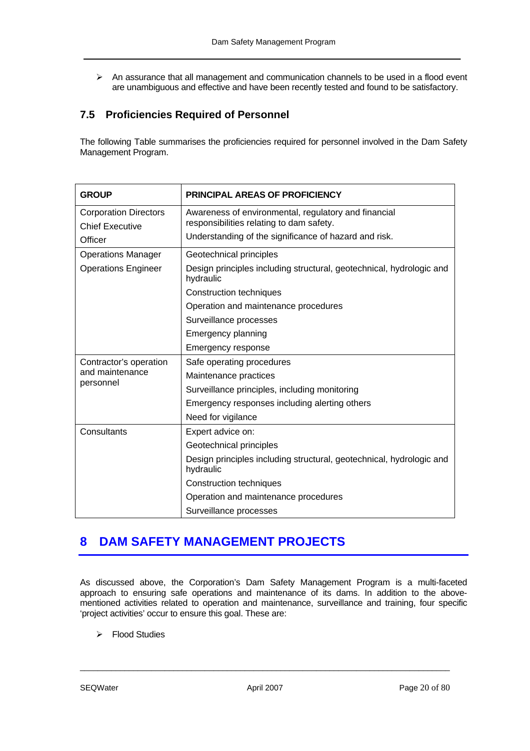$\triangleright$  An assurance that all management and communication channels to be used in a flood event are unambiguous and effective and have been recently tested and found to be satisfactory.

## <span id="page-19-0"></span>**7.5 Proficiencies Required of Personnel**

The following Table summarises the proficiencies required for personnel involved in the Dam Safety Management Program.

| <b>GROUP</b>                 | <b>PRINCIPAL AREAS OF PROFICIENCY</b>                                             |  |
|------------------------------|-----------------------------------------------------------------------------------|--|
| <b>Corporation Directors</b> | Awareness of environmental, regulatory and financial                              |  |
| <b>Chief Executive</b>       | responsibilities relating to dam safety.                                          |  |
| Officer                      | Understanding of the significance of hazard and risk.                             |  |
| <b>Operations Manager</b>    | Geotechnical principles                                                           |  |
| <b>Operations Engineer</b>   | Design principles including structural, geotechnical, hydrologic and<br>hydraulic |  |
|                              | <b>Construction techniques</b>                                                    |  |
|                              | Operation and maintenance procedures                                              |  |
|                              | Surveillance processes                                                            |  |
|                              | Emergency planning                                                                |  |
|                              | Emergency response                                                                |  |
| Contractor's operation       | Safe operating procedures                                                         |  |
| and maintenance<br>personnel | Maintenance practices                                                             |  |
|                              | Surveillance principles, including monitoring                                     |  |
|                              | Emergency responses including alerting others                                     |  |
|                              | Need for vigilance                                                                |  |
| Consultants                  | Expert advice on:                                                                 |  |
|                              | Geotechnical principles                                                           |  |
|                              | Design principles including structural, geotechnical, hydrologic and<br>hydraulic |  |
|                              | <b>Construction techniques</b>                                                    |  |
|                              | Operation and maintenance procedures                                              |  |
|                              | Surveillance processes                                                            |  |

## <span id="page-19-1"></span>**8 DAM SAFETY MANAGEMENT PROJECTS**

As discussed above, the Corporation's Dam Safety Management Program is a multi-faceted approach to ensuring safe operations and maintenance of its dams. In addition to the abovementioned activities related to operation and maintenance, surveillance and training, four specific 'project activities' occur to ensure this goal. These are:

 $\triangleright$  Flood Studies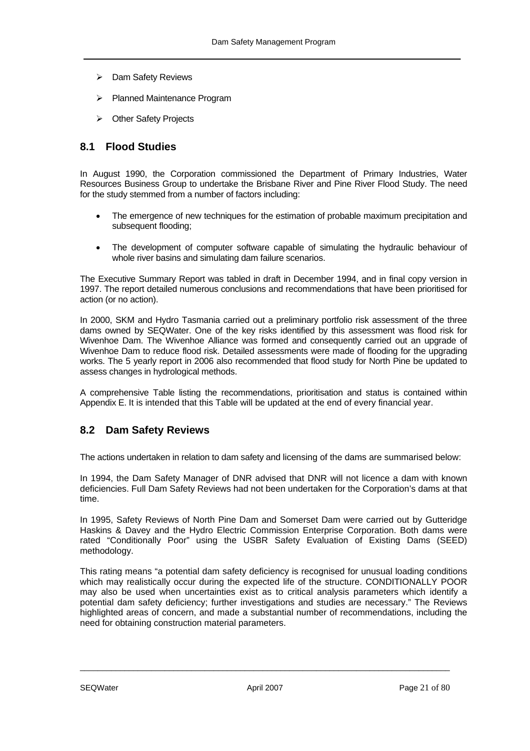- ¾ Dam Safety Reviews
- ¾ Planned Maintenance Program
- ¾ Other Safety Projects

### <span id="page-20-0"></span>**8.1 Flood Studies**

In August 1990, the Corporation commissioned the Department of Primary Industries, Water Resources Business Group to undertake the Brisbane River and Pine River Flood Study. The need for the study stemmed from a number of factors including:

- The emergence of new techniques for the estimation of probable maximum precipitation and subsequent flooding;
- The development of computer software capable of simulating the hydraulic behaviour of whole river basins and simulating dam failure scenarios.

The Executive Summary Report was tabled in draft in December 1994, and in final copy version in 1997. The report detailed numerous conclusions and recommendations that have been prioritised for action (or no action).

In 2000, SKM and Hydro Tasmania carried out a preliminary portfolio risk assessment of the three dams owned by SEQWater. One of the key risks identified by this assessment was flood risk for Wivenhoe Dam. The Wivenhoe Alliance was formed and consequently carried out an upgrade of Wivenhoe Dam to reduce flood risk. Detailed assessments were made of flooding for the upgrading works. The 5 yearly report in 2006 also recommended that flood study for North Pine be updated to assess changes in hydrological methods.

A comprehensive Table listing the recommendations, prioritisation and status is contained within Appendix E. It is intended that this Table will be updated at the end of every financial year.

## <span id="page-20-1"></span>**8.2 Dam Safety Reviews**

The actions undertaken in relation to dam safety and licensing of the dams are summarised below:

In 1994, the Dam Safety Manager of DNR advised that DNR will not licence a dam with known deficiencies. Full Dam Safety Reviews had not been undertaken for the Corporation's dams at that time.

In 1995, Safety Reviews of North Pine Dam and Somerset Dam were carried out by Gutteridge Haskins & Davey and the Hydro Electric Commission Enterprise Corporation. Both dams were rated "Conditionally Poor" using the USBR Safety Evaluation of Existing Dams (SEED) methodology.

This rating means "a potential dam safety deficiency is recognised for unusual loading conditions which may realistically occur during the expected life of the structure. CONDITIONALLY POOR may also be used when uncertainties exist as to critical analysis parameters which identify a potential dam safety deficiency; further investigations and studies are necessary." The Reviews highlighted areas of concern, and made a substantial number of recommendations, including the need for obtaining construction material parameters.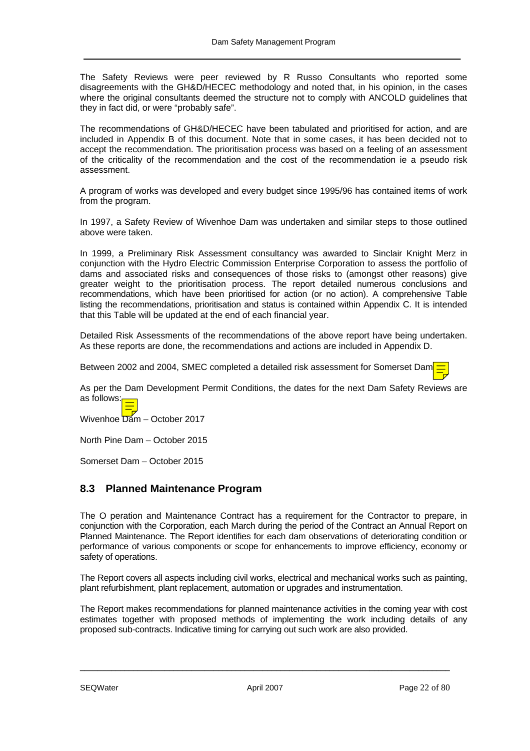The Safety Reviews were peer reviewed by R Russo Consultants who reported some disagreements with the GH&D/HECEC methodology and noted that, in his opinion, in the cases where the original consultants deemed the structure not to comply with ANCOLD guidelines that they in fact did, or were "probably safe".

The recommendations of GH&D/HECEC have been tabulated and prioritised for action, and are included in Appendix B of this document. Note that in some cases, it has been decided not to accept the recommendation. The prioritisation process was based on a feeling of an assessment of the criticality of the recommendation and the cost of the recommendation ie a pseudo risk assessment.

A program of works was developed and every budget since 1995/96 has contained items of work from the program.

In 1997, a Safety Review of Wivenhoe Dam was undertaken and similar steps to those outlined above were taken.

In 1999, a Preliminary Risk Assessment consultancy was awarded to Sinclair Knight Merz in conjunction with the Hydro Electric Commission Enterprise Corporation to assess the portfolio of dams and associated risks and consequences of those risks to (amongst other reasons) give greater weight to the prioritisation process. The report detailed numerous conclusions and recommendations, which have been prioritised for action (or no action). A comprehensive Table listing the recommendations, prioritisation and status is contained within Appendix C. It is intended that this Table will be updated at the end of each financial year.

Detailed Risk Assessments of the recommendations of the above report have being undertaken. As these reports are done, the recommendations and actions are included in Appendix D.

Between 2002 and 2004, SMEC completed a detailed risk assessment for Somerset Dam.

As per the Dam Development Permit Conditions, the dates for the next Dam Safety Reviews are as follows:

Wivenhoe Dam – October 2017

North Pine Dam – October 2015

Somerset Dam – October 2015

### <span id="page-21-0"></span>**8.3 Planned Maintenance Program**

The O peration and Maintenance Contract has a requirement for the Contractor to prepare, in conjunction with the Corporation, each March during the period of the Contract an Annual Report on Planned Maintenance. The Report identifies for each dam observations of deteriorating condition or performance of various components or scope for enhancements to improve efficiency, economy or safety of operations.

The Report covers all aspects including civil works, electrical and mechanical works such as painting, plant refurbishment, plant replacement, automation or upgrades and instrumentation.

The Report makes recommendations for planned maintenance activities in the coming year with cost estimates together with proposed methods of implementing the work including details of any proposed sub-contracts. Indicative timing for carrying out such work are also provided.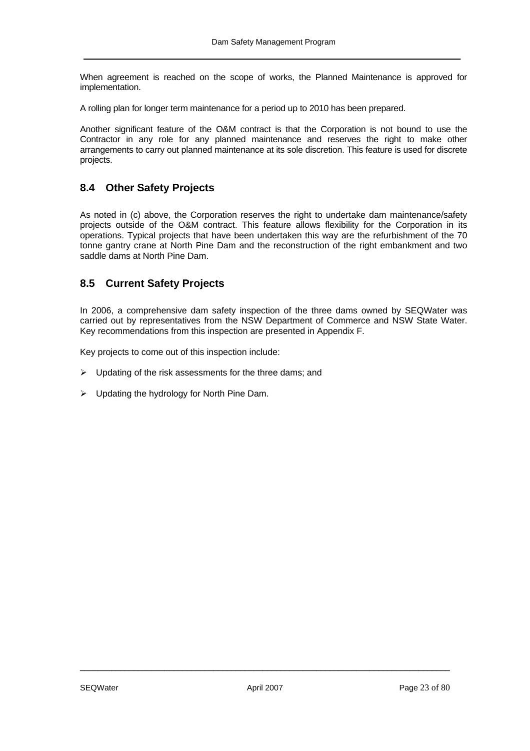When agreement is reached on the scope of works, the Planned Maintenance is approved for implementation.

٦

A rolling plan for longer term maintenance for a period up to 2010 has been prepared.

Another significant feature of the O&M contract is that the Corporation is not bound to use the Contractor in any role for any planned maintenance and reserves the right to make other arrangements to carry out planned maintenance at its sole discretion. This feature is used for discrete projects.

### <span id="page-22-0"></span>**8.4 Other Safety Projects**

As noted in (c) above, the Corporation reserves the right to undertake dam maintenance/safety projects outside of the O&M contract. This feature allows flexibility for the Corporation in its operations. Typical projects that have been undertaken this way are the refurbishment of the 70 tonne gantry crane at North Pine Dam and the reconstruction of the right embankment and two saddle dams at North Pine Dam.

### <span id="page-22-1"></span>**8.5 Current Safety Projects**

In 2006, a comprehensive dam safety inspection of the three dams owned by SEQWater was carried out by representatives from the NSW Department of Commerce and NSW State Water. Key recommendations from this inspection are presented in [Appendix F.](#page-72-0)

Key projects to come out of this inspection include:

- $\triangleright$  Updating of the risk assessments for the three dams; and
- $\triangleright$  Updating the hydrology for North Pine Dam.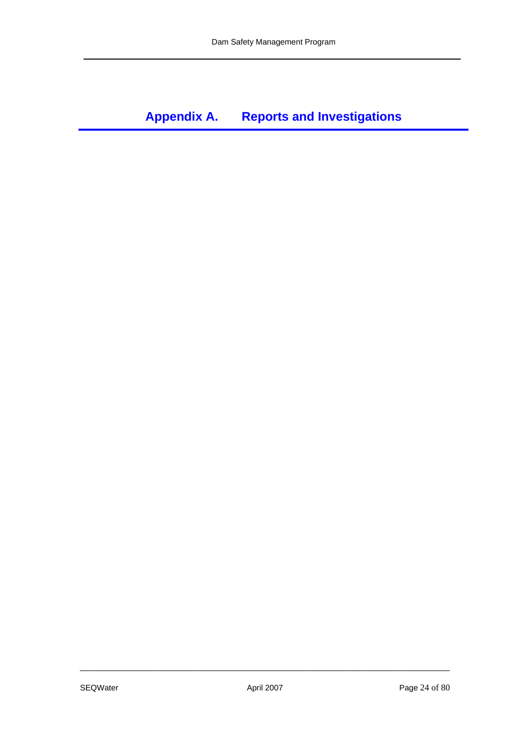# <span id="page-23-0"></span>**Appendix A. Reports and Investigations**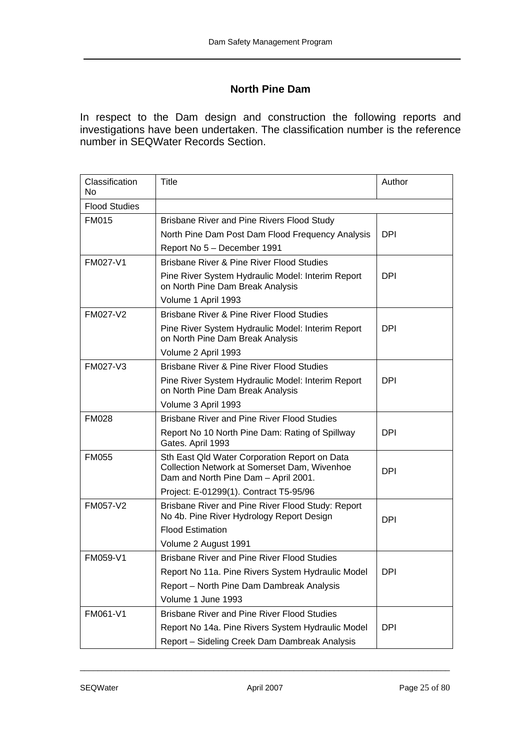## **North Pine Dam**

In respect to the Dam design and construction the following reports and investigations have been undertaken. The classification number is the reference number in SEQWater Records Section.

| Classification<br>No | Title                                                                                                                                 | Author     |
|----------------------|---------------------------------------------------------------------------------------------------------------------------------------|------------|
| <b>Flood Studies</b> |                                                                                                                                       |            |
| <b>FM015</b>         | Brisbane River and Pine Rivers Flood Study                                                                                            |            |
|                      | North Pine Dam Post Dam Flood Frequency Analysis                                                                                      | <b>DPI</b> |
|                      | Report No 5 - December 1991                                                                                                           |            |
| FM027-V1             | <b>Brisbane River &amp; Pine River Flood Studies</b>                                                                                  |            |
|                      | Pine River System Hydraulic Model: Interim Report<br>on North Pine Dam Break Analysis                                                 | <b>DPI</b> |
|                      | Volume 1 April 1993                                                                                                                   |            |
| FM027-V2             | <b>Brisbane River &amp; Pine River Flood Studies</b>                                                                                  |            |
|                      | Pine River System Hydraulic Model: Interim Report<br>on North Pine Dam Break Analysis                                                 | DPI        |
|                      | Volume 2 April 1993                                                                                                                   |            |
| FM027-V3             | Brisbane River & Pine River Flood Studies                                                                                             |            |
|                      | Pine River System Hydraulic Model: Interim Report<br>on North Pine Dam Break Analysis                                                 | DPI        |
|                      | Volume 3 April 1993                                                                                                                   |            |
| <b>FM028</b>         | <b>Brisbane River and Pine River Flood Studies</b>                                                                                    |            |
|                      | Report No 10 North Pine Dam: Rating of Spillway<br>Gates. April 1993                                                                  | DPI        |
| <b>FM055</b>         | Sth East Qld Water Corporation Report on Data<br>Collection Network at Somerset Dam, Wivenhoe<br>Dam and North Pine Dam - April 2001. | <b>DPI</b> |
|                      | Project: E-01299(1). Contract T5-95/96                                                                                                |            |
| FM057-V2             | Brisbane River and Pine River Flood Study: Report<br>No 4b. Pine River Hydrology Report Design                                        | <b>DPI</b> |
|                      | <b>Flood Estimation</b>                                                                                                               |            |
|                      | Volume 2 August 1991                                                                                                                  |            |
| FM059-V1             | <b>Brisbane River and Pine River Flood Studies</b>                                                                                    |            |
|                      | Report No 11a. Pine Rivers System Hydraulic Model                                                                                     | <b>DPI</b> |
|                      | Report - North Pine Dam Dambreak Analysis                                                                                             |            |
|                      | Volume 1 June 1993                                                                                                                    |            |
| FM061-V1             | <b>Brisbane River and Pine River Flood Studies</b>                                                                                    |            |
|                      | Report No 14a. Pine Rivers System Hydraulic Model                                                                                     | <b>DPI</b> |
|                      | Report - Sideling Creek Dam Dambreak Analysis                                                                                         |            |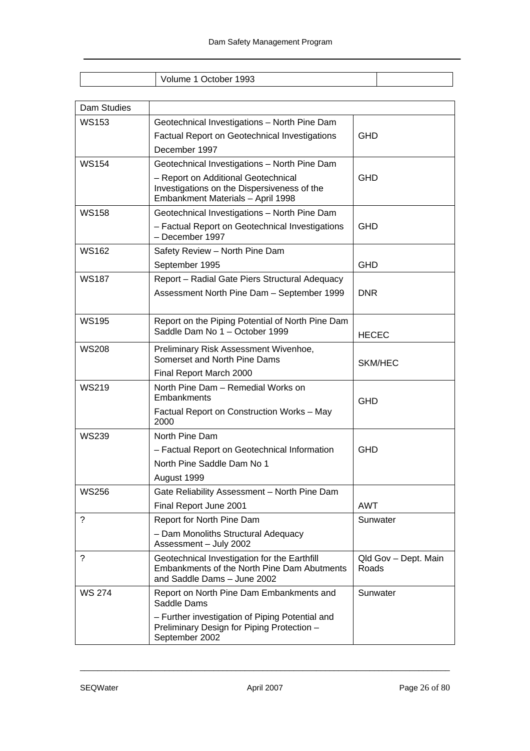| 1993<br>Ħ<br><b>THE</b><br>v |  |
|------------------------------|--|

| Dam Studies   |                                                                                                                            |                               |
|---------------|----------------------------------------------------------------------------------------------------------------------------|-------------------------------|
| <b>WS153</b>  | Geotechnical Investigations - North Pine Dam                                                                               |                               |
|               | <b>Factual Report on Geotechnical Investigations</b>                                                                       | <b>GHD</b>                    |
|               | December 1997                                                                                                              |                               |
| <b>WS154</b>  | Geotechnical Investigations - North Pine Dam                                                                               |                               |
|               | - Report on Additional Geotechnical<br>Investigations on the Dispersiveness of the<br>Embankment Materials - April 1998    | <b>GHD</b>                    |
| <b>WS158</b>  | Geotechnical Investigations - North Pine Dam                                                                               |                               |
|               | - Factual Report on Geotechnical Investigations<br>- December 1997                                                         | <b>GHD</b>                    |
| <b>WS162</b>  | Safety Review - North Pine Dam                                                                                             |                               |
|               | September 1995                                                                                                             | <b>GHD</b>                    |
| <b>WS187</b>  | Report - Radial Gate Piers Structural Adequacy                                                                             |                               |
|               | Assessment North Pine Dam - September 1999                                                                                 | <b>DNR</b>                    |
| <b>WS195</b>  | Report on the Piping Potential of North Pine Dam<br>Saddle Dam No 1 - October 1999                                         | <b>HECEC</b>                  |
| <b>WS208</b>  | Preliminary Risk Assessment Wivenhoe,<br>Somerset and North Pine Dams                                                      | SKM/HEC                       |
|               | Final Report March 2000                                                                                                    |                               |
| <b>WS219</b>  | North Pine Dam - Remedial Works on<br>Embankments                                                                          | <b>GHD</b>                    |
|               | Factual Report on Construction Works - May<br>2000                                                                         |                               |
| <b>WS239</b>  | North Pine Dam                                                                                                             |                               |
|               | - Factual Report on Geotechnical Information                                                                               | <b>GHD</b>                    |
|               | North Pine Saddle Dam No 1                                                                                                 |                               |
|               | August 1999                                                                                                                |                               |
| <b>WS256</b>  | Gate Reliability Assessment - North Pine Dam                                                                               |                               |
|               | Final Report June 2001                                                                                                     | <b>AWT</b>                    |
| ?             | Report for North Pine Dam                                                                                                  | Sunwater                      |
|               | - Dam Monoliths Structural Adequacy<br>Assessment - July 2002                                                              |                               |
| ?             | Geotechnical Investigation for the Earthfill<br>Embankments of the North Pine Dam Abutments<br>and Saddle Dams - June 2002 | Qld Gov - Dept. Main<br>Roads |
| <b>WS 274</b> | Report on North Pine Dam Embankments and<br>Saddle Dams                                                                    | Sunwater                      |
|               | - Further investigation of Piping Potential and<br>Preliminary Design for Piping Protection -<br>September 2002            |                               |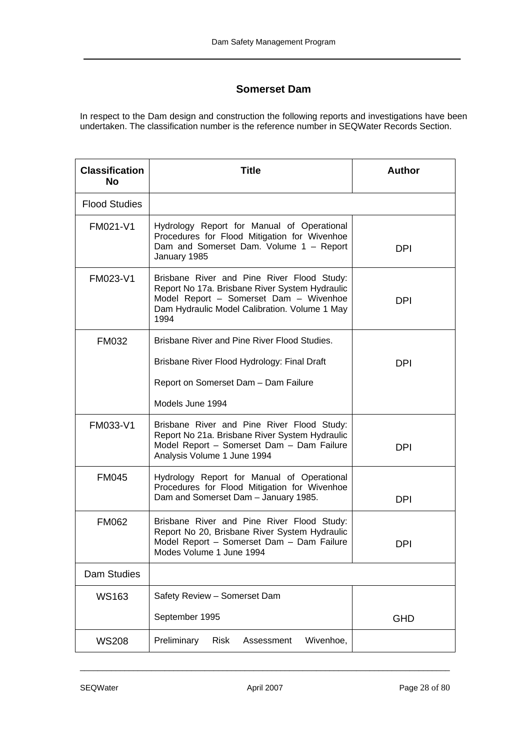## **Somerset Dam**

In respect to the Dam design and construction the following reports and investigations have been undertaken. The classification number is the reference number in SEQWater Records Section.

| <b>Classification</b><br>No | Title                                                                                                                                                                                           | <b>Author</b> |
|-----------------------------|-------------------------------------------------------------------------------------------------------------------------------------------------------------------------------------------------|---------------|
| <b>Flood Studies</b>        |                                                                                                                                                                                                 |               |
| FM021-V1                    | Hydrology Report for Manual of Operational<br>Procedures for Flood Mitigation for Wivenhoe<br>Dam and Somerset Dam. Volume 1 - Report<br>January 1985                                           | <b>DPI</b>    |
| FM023-V1                    | Brisbane River and Pine River Flood Study:<br>Report No 17a. Brisbane River System Hydraulic<br>Model Report - Somerset Dam - Wivenhoe<br>Dam Hydraulic Model Calibration. Volume 1 May<br>1994 | <b>DPI</b>    |
| <b>FM032</b>                | Brisbane River and Pine River Flood Studies.                                                                                                                                                    |               |
|                             | Brisbane River Flood Hydrology: Final Draft                                                                                                                                                     | <b>DPI</b>    |
|                             | Report on Somerset Dam - Dam Failure                                                                                                                                                            |               |
|                             | Models June 1994                                                                                                                                                                                |               |
| FM033-V1                    | Brisbane River and Pine River Flood Study:<br>Report No 21a. Brisbane River System Hydraulic<br>Model Report - Somerset Dam - Dam Failure<br>Analysis Volume 1 June 1994                        | <b>DPI</b>    |
| <b>FM045</b>                | Hydrology Report for Manual of Operational<br>Procedures for Flood Mitigation for Wivenhoe<br>Dam and Somerset Dam - January 1985.                                                              | <b>DPI</b>    |
| <b>FM062</b>                | Brisbane River and Pine River Flood Study:<br>Report No 20, Brisbane River System Hydraulic<br>Model Report - Somerset Dam - Dam Failure<br>Modes Volume 1 June 1994                            | <b>DPI</b>    |
| <b>Dam Studies</b>          |                                                                                                                                                                                                 |               |
| <b>WS163</b>                | Safety Review - Somerset Dam                                                                                                                                                                    |               |
|                             | September 1995                                                                                                                                                                                  | <b>GHD</b>    |
| <b>WS208</b>                | Preliminary<br>Wivenhoe,<br><b>Risk</b><br>Assessment                                                                                                                                           |               |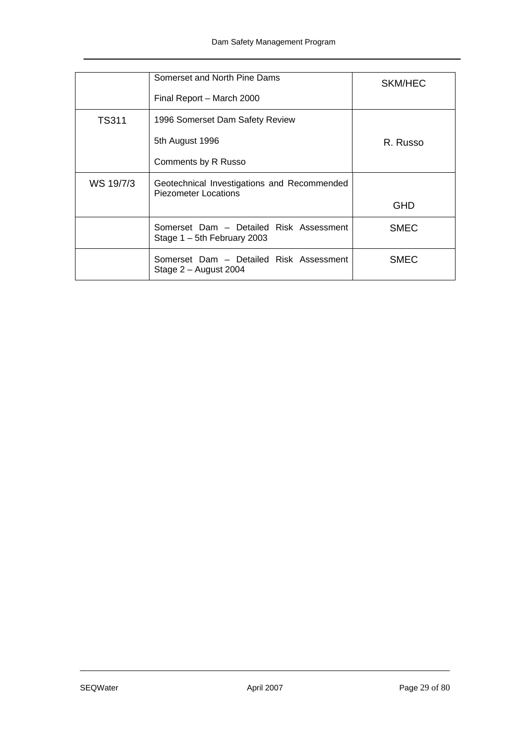|              | Somerset and North Pine Dams                                              | SKM/HEC     |
|--------------|---------------------------------------------------------------------------|-------------|
|              | Final Report - March 2000                                                 |             |
| <b>TS311</b> | 1996 Somerset Dam Safety Review                                           |             |
|              | 5th August 1996                                                           | R. Russo    |
|              | Comments by R Russo                                                       |             |
| WS 19/7/3    | Geotechnical Investigations and Recommended<br>Piezometer Locations       |             |
|              |                                                                           | GHD         |
|              | Somerset Dam - Detailed Risk Assessment<br>Stage $1 - 5$ th February 2003 | <b>SMEC</b> |
|              | Somerset Dam - Detailed Risk Assessment<br>Stage $2 -$ August 2004        | <b>SMEC</b> |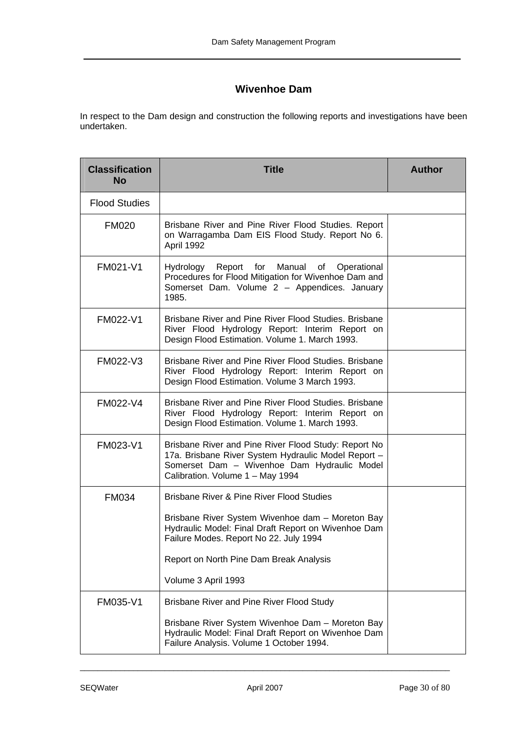## **Wivenhoe Dam**

In respect to the Dam design and construction the following reports and investigations have been undertaken.

| <b>Classification</b><br><b>No</b> | <b>Title</b>                                                                                                                                                                                   | <b>Author</b> |
|------------------------------------|------------------------------------------------------------------------------------------------------------------------------------------------------------------------------------------------|---------------|
| <b>Flood Studies</b>               |                                                                                                                                                                                                |               |
| <b>FM020</b>                       | Brisbane River and Pine River Flood Studies. Report<br>on Warragamba Dam EIS Flood Study. Report No 6.<br>April 1992                                                                           |               |
| FM021-V1                           | Report for Manual of<br>Hydrology<br>Operational<br>Procedures for Flood Mitigation for Wivenhoe Dam and<br>Somerset Dam. Volume 2 - Appendices. January<br>1985.                              |               |
| FM022-V1                           | Brisbane River and Pine River Flood Studies. Brisbane<br>River Flood Hydrology Report: Interim Report on<br>Design Flood Estimation. Volume 1. March 1993.                                     |               |
| FM022-V3                           | Brisbane River and Pine River Flood Studies. Brisbane<br>River Flood Hydrology Report: Interim Report on<br>Design Flood Estimation. Volume 3 March 1993.                                      |               |
| FM022-V4                           | Brisbane River and Pine River Flood Studies, Brisbane<br>River Flood Hydrology Report: Interim Report on<br>Design Flood Estimation. Volume 1. March 1993.                                     |               |
| FM023-V1                           | Brisbane River and Pine River Flood Study: Report No<br>17a. Brisbane River System Hydraulic Model Report -<br>Somerset Dam - Wivenhoe Dam Hydraulic Model<br>Calibration. Volume 1 - May 1994 |               |
| <b>FM034</b>                       | Brisbane River & Pine River Flood Studies                                                                                                                                                      |               |
|                                    | Brisbane River System Wivenhoe dam - Moreton Bay<br>Hydraulic Model: Final Draft Report on Wivenhoe Dam<br>Failure Modes. Report No 22. July 1994                                              |               |
|                                    | Report on North Pine Dam Break Analysis                                                                                                                                                        |               |
|                                    | Volume 3 April 1993                                                                                                                                                                            |               |
| FM035-V1                           | Brisbane River and Pine River Flood Study                                                                                                                                                      |               |
|                                    | Brisbane River System Wivenhoe Dam - Moreton Bay<br>Hydraulic Model: Final Draft Report on Wivenhoe Dam<br>Failure Analysis. Volume 1 October 1994.                                            |               |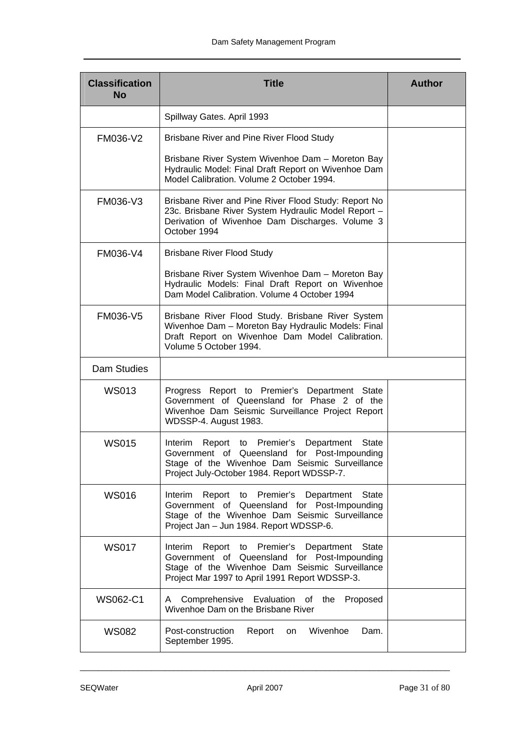| <b>Classification</b><br><b>No</b> | <b>Title</b>                                                                                                                                                                                           | <b>Author</b> |  |
|------------------------------------|--------------------------------------------------------------------------------------------------------------------------------------------------------------------------------------------------------|---------------|--|
|                                    | Spillway Gates. April 1993                                                                                                                                                                             |               |  |
| FM036-V2                           | Brisbane River and Pine River Flood Study                                                                                                                                                              |               |  |
|                                    | Brisbane River System Wivenhoe Dam - Moreton Bay<br>Hydraulic Model: Final Draft Report on Wivenhoe Dam<br>Model Calibration. Volume 2 October 1994.                                                   |               |  |
| FM036-V3                           | Brisbane River and Pine River Flood Study: Report No<br>23c. Brisbane River System Hydraulic Model Report -<br>Derivation of Wivenhoe Dam Discharges. Volume 3<br>October 1994                         |               |  |
| FM036-V4                           | <b>Brisbane River Flood Study</b>                                                                                                                                                                      |               |  |
|                                    | Brisbane River System Wivenhoe Dam - Moreton Bay<br>Hydraulic Models: Final Draft Report on Wivenhoe<br>Dam Model Calibration. Volume 4 October 1994                                                   |               |  |
| FM036-V5                           | Brisbane River Flood Study. Brisbane River System<br>Wivenhoe Dam - Moreton Bay Hydraulic Models: Final<br>Draft Report on Wivenhoe Dam Model Calibration.<br>Volume 5 October 1994.                   |               |  |
| Dam Studies                        |                                                                                                                                                                                                        |               |  |
| <b>WS013</b>                       | Progress Report to Premier's Department State<br>Government of Queensland for Phase 2 of the<br>Wivenhoe Dam Seismic Surveillance Project Report<br>WDSSP-4. August 1983.                              |               |  |
| <b>WS015</b>                       | Report to Premier's<br>State<br>Interim<br>Department<br>Government of Queensland for Post-Impounding<br>Stage of the Wivenhoe Dam Seismic Surveillance<br>Project July-October 1984. Report WDSSP-7.  |               |  |
| <b>WS016</b>                       | Premier's<br>Report to<br>Department<br>State<br>Interim<br>Government of Queensland for Post-Impounding<br>Stage of the Wivenhoe Dam Seismic Surveillance<br>Project Jan - Jun 1984. Report WDSSP-6.  |               |  |
| <b>WS017</b>                       | Report to Premier's Department<br>State<br>Interim<br>Government of Queensland for Post-Impounding<br>Stage of the Wivenhoe Dam Seismic Surveillance<br>Project Mar 1997 to April 1991 Report WDSSP-3. |               |  |
| <b>WS062-C1</b>                    | Comprehensive<br>Evaluation of the<br>Proposed<br>A<br>Wivenhoe Dam on the Brisbane River                                                                                                              |               |  |
| <b>WS082</b>                       | Wivenhoe<br>Post-construction<br>Report<br>Dam.<br>on<br>September 1995.                                                                                                                               |               |  |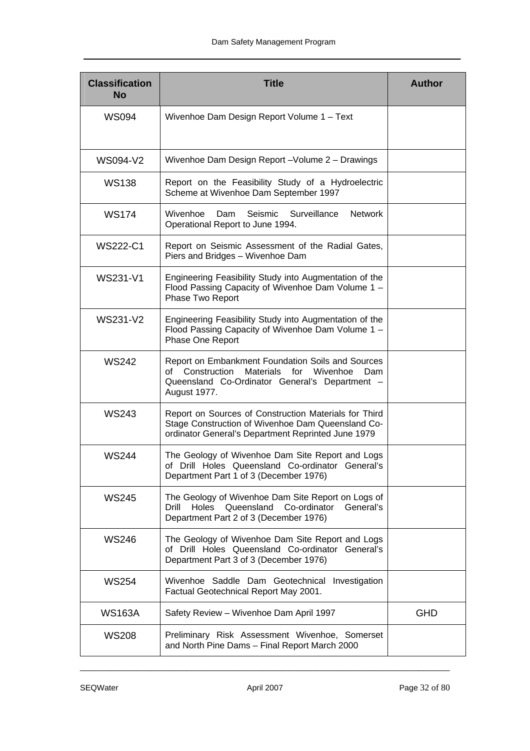| <b>Classification</b><br><b>No</b> | <b>Title</b>                                                                                                                                                                            | <b>Author</b> |
|------------------------------------|-----------------------------------------------------------------------------------------------------------------------------------------------------------------------------------------|---------------|
| <b>WS094</b>                       | Wivenhoe Dam Design Report Volume 1 - Text                                                                                                                                              |               |
| WS094-V2                           | Wivenhoe Dam Design Report-Volume 2 - Drawings                                                                                                                                          |               |
| <b>WS138</b>                       | Report on the Feasibility Study of a Hydroelectric<br>Scheme at Wivenhoe Dam September 1997                                                                                             |               |
| <b>WS174</b>                       | Surveillance<br>Wivenhoe<br>Seismic<br><b>Network</b><br>Dam<br>Operational Report to June 1994.                                                                                        |               |
| <b>WS222-C1</b>                    | Report on Seismic Assessment of the Radial Gates,<br>Piers and Bridges - Wivenhoe Dam                                                                                                   |               |
| <b>WS231-V1</b>                    | Engineering Feasibility Study into Augmentation of the<br>Flood Passing Capacity of Wivenhoe Dam Volume 1 -<br>Phase Two Report                                                         |               |
| <b>WS231-V2</b>                    | Engineering Feasibility Study into Augmentation of the<br>Flood Passing Capacity of Wivenhoe Dam Volume 1 -<br>Phase One Report                                                         |               |
| <b>WS242</b>                       | Report on Embankment Foundation Soils and Sources<br>Construction<br><b>Materials</b><br>for<br>Wivenhoe<br>of<br>Dam<br>Queensland Co-Ordinator General's Department -<br>August 1977. |               |
| <b>WS243</b>                       | Report on Sources of Construction Materials for Third<br>Stage Construction of Wivenhoe Dam Queensland Co-<br>ordinator General's Department Reprinted June 1979                        |               |
| <b>WS244</b>                       | The Geology of Wivenhoe Dam Site Report and Logs<br>of Drill Holes Queensland Co-ordinator General's<br>Department Part 1 of 3 (December 1976)                                          |               |
| <b>WS245</b>                       | The Geology of Wivenhoe Dam Site Report on Logs of<br>Queensland<br>Drill<br>Holes<br>Co-ordinator<br>General's<br>Department Part 2 of 3 (December 1976)                               |               |
| <b>WS246</b>                       | The Geology of Wivenhoe Dam Site Report and Logs<br>of Drill Holes Queensland Co-ordinator General's<br>Department Part 3 of 3 (December 1976)                                          |               |
| <b>WS254</b>                       | Wivenhoe Saddle Dam Geotechnical Investigation<br>Factual Geotechnical Report May 2001.                                                                                                 |               |
| <b>WS163A</b>                      | Safety Review - Wivenhoe Dam April 1997                                                                                                                                                 | <b>GHD</b>    |
| <b>WS208</b>                       | Preliminary Risk Assessment Wivenhoe, Somerset<br>and North Pine Dams - Final Report March 2000                                                                                         |               |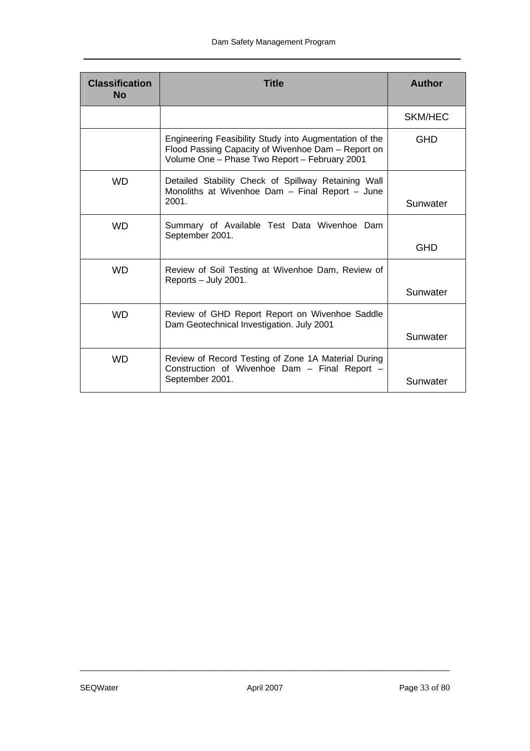| <b>Classification</b><br><b>No</b> | <b>Title</b>                                                                                                                                                  | <b>Author</b>  |
|------------------------------------|---------------------------------------------------------------------------------------------------------------------------------------------------------------|----------------|
|                                    |                                                                                                                                                               | <b>SKM/HEC</b> |
|                                    | Engineering Feasibility Study into Augmentation of the<br>Flood Passing Capacity of Wivenhoe Dam - Report on<br>Volume One - Phase Two Report - February 2001 | GHD            |
| <b>WD</b>                          | Detailed Stability Check of Spillway Retaining Wall<br>Monoliths at Wivenhoe Dam - Final Report - June<br>2001.                                               | Sunwater       |
| <b>WD</b>                          | Summary of Available Test Data Wivenhoe Dam<br>September 2001.                                                                                                | <b>GHD</b>     |
| <b>WD</b>                          | Review of Soil Testing at Wivenhoe Dam, Review of<br>Reports - July 2001.                                                                                     | Sunwater       |
| <b>WD</b>                          | Review of GHD Report Report on Wivenhoe Saddle<br>Dam Geotechnical Investigation. July 2001                                                                   | Sunwater       |
| <b>WD</b>                          | Review of Record Testing of Zone 1A Material During<br>Construction of Wivenhoe Dam - Final Report -<br>September 2001.                                       | Sunwater       |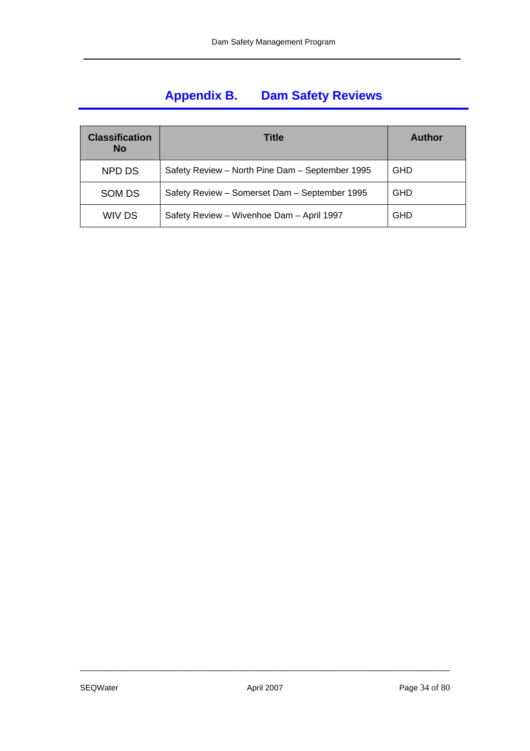# <span id="page-33-0"></span>**Appendix B. Dam Safety Reviews**

| <b>Classification</b><br><b>No</b> | Title                                           | <b>Author</b> |
|------------------------------------|-------------------------------------------------|---------------|
| NPD DS                             | Safety Review - North Pine Dam - September 1995 | <b>GHD</b>    |
| SOM DS                             | Safety Review - Somerset Dam - September 1995   | <b>GHD</b>    |
| WIV DS                             | Safety Review - Wivenhoe Dam - April 1997       | <b>GHD</b>    |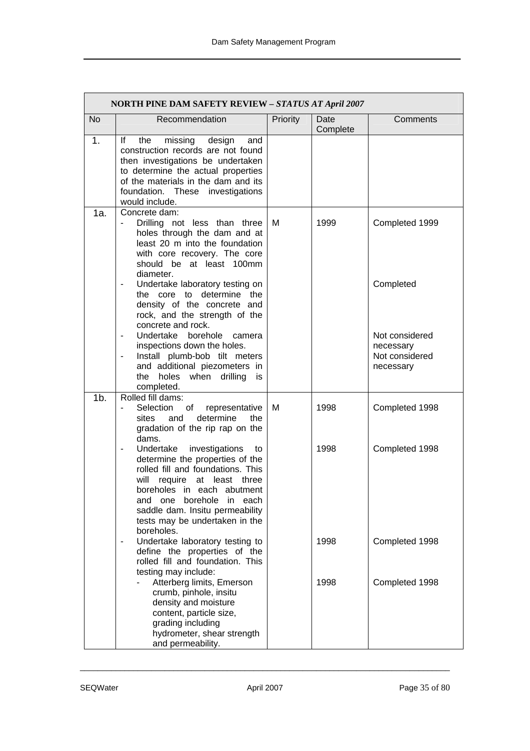|                | <b>NORTH PINE DAM SAFETY REVIEW - STATUS AT April 2007</b>                                                                                                                                                                                                                                                                        |          |                  |                                                            |
|----------------|-----------------------------------------------------------------------------------------------------------------------------------------------------------------------------------------------------------------------------------------------------------------------------------------------------------------------------------|----------|------------------|------------------------------------------------------------|
| <b>No</b>      | Recommendation                                                                                                                                                                                                                                                                                                                    | Priority | Date<br>Complete | Comments                                                   |
| 1.             | lf<br>missing<br>the<br>design<br>and<br>construction records are not found<br>then investigations be undertaken<br>to determine the actual properties<br>of the materials in the dam and its<br>foundation. These<br>investigations<br>would include.                                                                            |          |                  |                                                            |
| 1a.            | Concrete dam:<br>Drilling not less than three<br>holes through the dam and at<br>least 20 m into the foundation<br>with core recovery. The core<br>should be at least 100mm<br>diameter.                                                                                                                                          | м        | 1999             | Completed 1999                                             |
|                | Undertake laboratory testing on<br>the core to determine the<br>density of the concrete and<br>rock, and the strength of the<br>concrete and rock.                                                                                                                                                                                |          |                  | Completed                                                  |
|                | Undertake<br>borehole<br>camera<br>$\overline{\phantom{a}}$<br>inspections down the holes.<br>Install plumb-bob tilt meters<br>$\qquad \qquad \blacksquare$<br>and additional piezometers in<br>holes when drilling<br>the<br>is<br>completed.                                                                                    |          |                  | Not considered<br>necessary<br>Not considered<br>necessary |
| 1 <sub>b</sub> | Rolled fill dams:<br>Selection<br>of<br>representative<br>determine<br>sites and<br>the<br>gradation of the rip rap on the<br>dams.                                                                                                                                                                                               | м        | 1998             | Completed 1998                                             |
|                | investigations<br>Undertake<br>to<br>$\qquad \qquad \blacksquare$<br>determine the properties of the<br>rolled fill and foundations. This<br>will<br>require<br>at<br>least three<br>boreholes in each abutment<br>and one borehole<br>in each<br>saddle dam. Insitu permeability<br>tests may be undertaken in the<br>boreholes. |          | 1998             | Completed 1998                                             |
|                | Undertake laboratory testing to<br>define the properties of the<br>rolled fill and foundation. This<br>testing may include:                                                                                                                                                                                                       |          | 1998             | Completed 1998                                             |
|                | Atterberg limits, Emerson<br>crumb, pinhole, insitu<br>density and moisture<br>content, particle size,<br>grading including<br>hydrometer, shear strength<br>and permeability.                                                                                                                                                    |          | 1998             | Completed 1998                                             |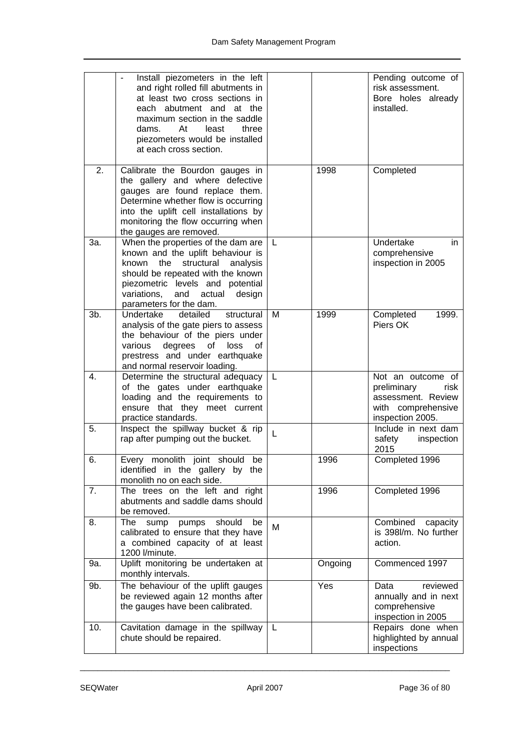|     | Install piezometers in the left<br>and right rolled fill abutments in<br>at least two cross sections in<br>each abutment and at the<br>maximum section in the saddle<br>least<br>dams.<br>At<br>three<br>piezometers would be installed<br>at each cross section. |   |         | Pending outcome of<br>risk assessment.<br>Bore holes already<br>installed.                               |
|-----|-------------------------------------------------------------------------------------------------------------------------------------------------------------------------------------------------------------------------------------------------------------------|---|---------|----------------------------------------------------------------------------------------------------------|
| 2.  | Calibrate the Bourdon gauges in<br>the gallery and where defective<br>gauges are found replace them.<br>Determine whether flow is occurring<br>into the uplift cell installations by<br>monitoring the flow occurring when<br>the gauges are removed.             |   | 1998    | Completed                                                                                                |
| 3a. | When the properties of the dam are<br>known and the uplift behaviour is<br>the<br>structural<br>known<br>analysis<br>should be repeated with the known<br>piezometric levels and potential<br>variations,<br>and actual<br>design<br>parameters for the dam.      | L |         | Undertake<br>in.<br>comprehensive<br>inspection in 2005                                                  |
| 3b. | detailed<br>Undertake<br>structural<br>analysis of the gate piers to assess<br>the behaviour of the piers under<br>degrees<br>various<br>of loss<br>of<br>prestress and under earthquake<br>and normal reservoir loading.                                         | M | 1999    | Completed<br>1999.<br>Piers OK                                                                           |
| 4.  | Determine the structural adequacy<br>of the gates under earthquake<br>loading and the requirements to<br>ensure that they meet current<br>practice standards.                                                                                                     | L |         | Not an outcome of<br>preliminary<br>risk<br>assessment. Review<br>with comprehensive<br>inspection 2005. |
| 5.  | Inspect the spillway bucket $\overline{\text{8}}$ rip<br>rap after pumping out the bucket.                                                                                                                                                                        | L |         | Include in next dam<br>safety<br>inspection<br>2015                                                      |
| 6.  | Every monolith joint should be<br>identified in the gallery by the<br>monolith no on each side.                                                                                                                                                                   |   | 1996    | Completed 1996                                                                                           |
| 7.  | The trees on the left and right<br>abutments and saddle dams should<br>be removed.                                                                                                                                                                                |   | 1996    | Completed 1996                                                                                           |
| 8.  | should<br>The<br>pumps<br>sump<br>be<br>calibrated to ensure that they have<br>a combined capacity of at least<br>1200 l/minute.                                                                                                                                  | M |         | Combined<br>capacity<br>is 398l/m. No further<br>action.                                                 |
| 9a. | Uplift monitoring be undertaken at<br>monthly intervals.                                                                                                                                                                                                          |   | Ongoing | Commenced 1997                                                                                           |
| 9b. | The behaviour of the uplift gauges<br>be reviewed again 12 months after<br>the gauges have been calibrated.                                                                                                                                                       |   | Yes     | reviewed<br>Data<br>annually and in next<br>comprehensive<br>inspection in 2005                          |
| 10. | Cavitation damage in the spillway<br>chute should be repaired.                                                                                                                                                                                                    | L |         | Repairs done when<br>highlighted by annual<br>inspections                                                |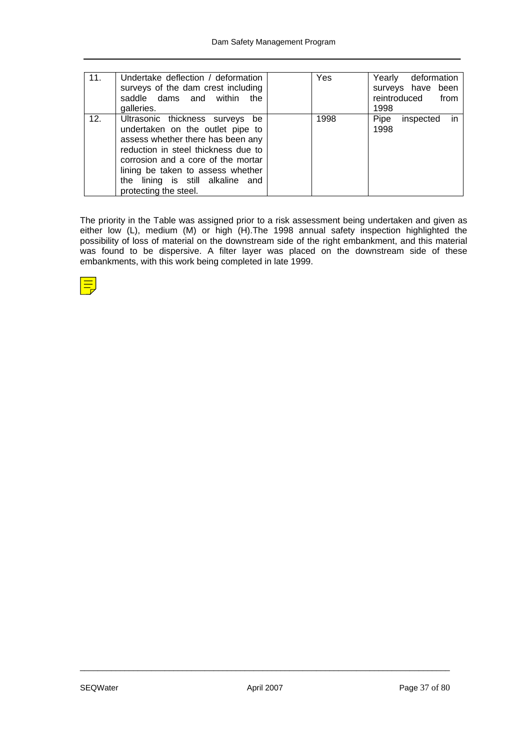| 11. | l Undertake deflection / deformation<br>surveys of the dam crest including<br>saddle dams and within<br>the<br>galleries.                                                                                                                                                               | Yes  | Yearly deformation<br>surveys have been<br>reintroduced<br>from<br>1998 |
|-----|-----------------------------------------------------------------------------------------------------------------------------------------------------------------------------------------------------------------------------------------------------------------------------------------|------|-------------------------------------------------------------------------|
| 12. | Ultrasonic thickness surveys be<br>undertaken on the outlet pipe to<br>assess whether there has been any<br>reduction in steel thickness due to<br>corrosion and a core of the mortar<br>lining be taken to assess whether<br>the lining is still alkaline and<br>protecting the steel. | 1998 | $\mathsf{in}$<br>Pipe<br>inspected<br>1998                              |

The priority in the Table was assigned prior to a risk assessment being undertaken and given as either low (L), medium (M) or high (H).The 1998 annual safety inspection highlighted the possibility of loss of material on the downstream side of the right embankment, and this material was found to be dispersive. A filter layer was placed on the downstream side of these embankments, with this work being completed in late 1999.

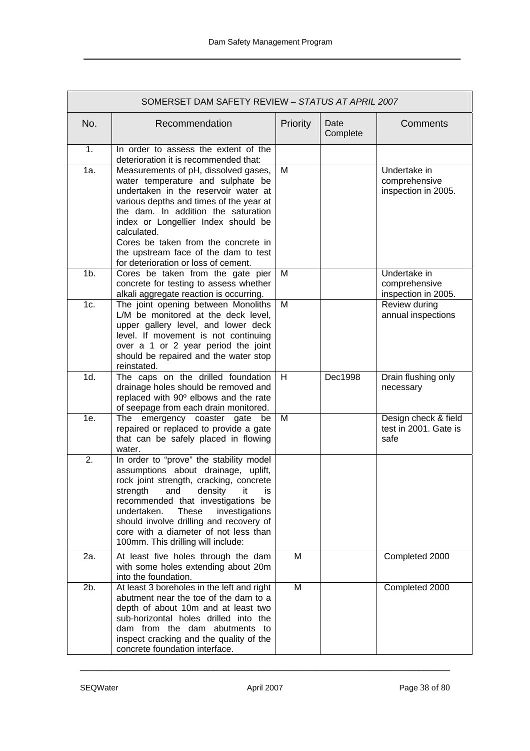|                  | SOMERSET DAM SAFETY REVIEW - STATUS AT APRIL 2007                                                                                                                                                                                                                                                                                                                                |          |                  |                                                       |  |
|------------------|----------------------------------------------------------------------------------------------------------------------------------------------------------------------------------------------------------------------------------------------------------------------------------------------------------------------------------------------------------------------------------|----------|------------------|-------------------------------------------------------|--|
| No.              | Recommendation                                                                                                                                                                                                                                                                                                                                                                   | Priority | Date<br>Complete | Comments                                              |  |
| 1.               | In order to assess the extent of the<br>deterioration it is recommended that:                                                                                                                                                                                                                                                                                                    |          |                  |                                                       |  |
| 1a.              | Measurements of pH, dissolved gases,<br>water temperature and sulphate be<br>undertaken in the reservoir water at<br>various depths and times of the year at<br>the dam. In addition the saturation<br>index or Longellier Index should be<br>calculated.<br>Cores be taken from the concrete in<br>the upstream face of the dam to test<br>for deterioration or loss of cement. | M        |                  | Undertake in<br>comprehensive<br>inspection in 2005.  |  |
| $1b$ .           | Cores be taken from the gate pier<br>concrete for testing to assess whether<br>alkali aggregate reaction is occurring.                                                                                                                                                                                                                                                           | M        |                  | Undertake in<br>comprehensive<br>inspection in 2005.  |  |
| 1c.              | The joint opening between Monoliths<br>L/M be monitored at the deck level,<br>upper gallery level, and lower deck<br>level. If movement is not continuing<br>over a 1 or 2 year period the joint<br>should be repaired and the water stop<br>reinstated.                                                                                                                         | M        |                  | Review during<br>annual inspections                   |  |
| 1d.              | The caps on the drilled foundation<br>drainage holes should be removed and<br>replaced with 90° elbows and the rate<br>of seepage from each drain monitored.                                                                                                                                                                                                                     | H        | Dec1998          | Drain flushing only<br>necessary                      |  |
| 1e.              | The emergency coaster gate<br>be<br>repaired or replaced to provide a gate<br>that can be safely placed in flowing<br>water.                                                                                                                                                                                                                                                     | M        |                  | Design check & field<br>test in 2001. Gate is<br>safe |  |
| $\overline{2}$ . | In order to "prove" the stability model<br>assumptions about drainage, uplift,<br>rock joint strength, cracking, concrete<br>strength and density it is<br>recommended that investigations be<br>undertaken.<br><b>These</b><br>investigations<br>should involve drilling and recovery of<br>core with a diameter of not less than<br>100mm. This drilling will include:         |          |                  |                                                       |  |
| 2a.              | At least five holes through the dam<br>with some holes extending about 20m<br>into the foundation.                                                                                                                                                                                                                                                                               | M        |                  | Completed 2000                                        |  |
| 2b.              | At least 3 boreholes in the left and right<br>abutment near the toe of the dam to a<br>depth of about 10m and at least two<br>sub-horizontal holes drilled into the<br>dam from the dam abutments to<br>inspect cracking and the quality of the<br>concrete foundation interface.                                                                                                | M        |                  | Completed 2000                                        |  |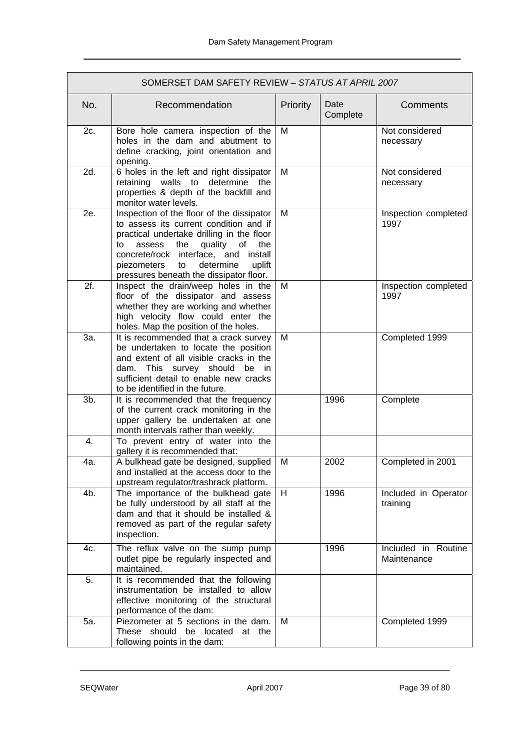| SOMERSET DAM SAFETY REVIEW - STATUS AT APRIL 2007 |                                                                                                                                                                                                                                                                                                                   |          |                  |                                    |
|---------------------------------------------------|-------------------------------------------------------------------------------------------------------------------------------------------------------------------------------------------------------------------------------------------------------------------------------------------------------------------|----------|------------------|------------------------------------|
| No.                                               | Recommendation                                                                                                                                                                                                                                                                                                    | Priority | Date<br>Complete | Comments                           |
| 2c.                                               | Bore hole camera inspection of the<br>holes in the dam and abutment to<br>define cracking, joint orientation and<br>opening.                                                                                                                                                                                      | м        |                  | Not considered<br>necessary        |
| 2d.                                               | 6 holes in the left and right dissipator<br>retaining walls to determine the<br>properties & depth of the backfill and<br>monitor water levels.                                                                                                                                                                   | M        |                  | Not considered<br>necessary        |
| 2e.                                               | Inspection of the floor of the dissipator<br>to assess its current condition and if<br>practical undertake drilling in the floor<br>quality<br>the<br>of<br>the<br>to<br>assess<br>concrete/rock interface, and<br>install<br>determine<br>uplift<br>piezometers<br>to<br>pressures beneath the dissipator floor. | M        |                  | Inspection completed<br>1997       |
| 2f.                                               | Inspect the drain/weep holes in the<br>floor of the dissipator and assess<br>whether they are working and whether<br>high velocity flow could enter the<br>holes. Map the position of the holes.                                                                                                                  | Μ        |                  | Inspection completed<br>1997       |
| За.                                               | It is recommended that a crack survey<br>be undertaken to locate the position<br>and extent of all visible cracks in the<br>dam. This survey should be in<br>sufficient detail to enable new cracks<br>to be identified in the future.                                                                            | M        |                  | Completed 1999                     |
| 3b.                                               | It is recommended that the frequency<br>of the current crack monitoring in the<br>upper gallery be undertaken at one<br>month intervals rather than weekly.                                                                                                                                                       |          | 1996             | Complete                           |
| 4.                                                | To prevent entry of water into the<br>gallery it is recommended that:                                                                                                                                                                                                                                             |          |                  |                                    |
| 4a.                                               | A bulkhead gate be designed, supplied<br>and installed at the access door to the<br>upstream regulator/trashrack platform.                                                                                                                                                                                        | M        | 2002             | Completed in 2001                  |
| 4b.                                               | The importance of the bulkhead gate<br>be fully understood by all staff at the<br>dam and that it should be installed &<br>removed as part of the regular safety<br>inspection.                                                                                                                                   | H        | 1996             | Included in Operator<br>training   |
| 4c.                                               | The reflux valve on the sump pump<br>outlet pipe be regularly inspected and<br>maintained.                                                                                                                                                                                                                        |          | 1996             | Included in Routine<br>Maintenance |
| 5.                                                | It is recommended that the following<br>instrumentation be installed to allow<br>effective monitoring of the structural<br>performance of the dam:                                                                                                                                                                |          |                  |                                    |
| 5a.                                               | Piezometer at 5 sections in the dam.<br>These should be located at the<br>following points in the dam:                                                                                                                                                                                                            | M        |                  | Completed 1999                     |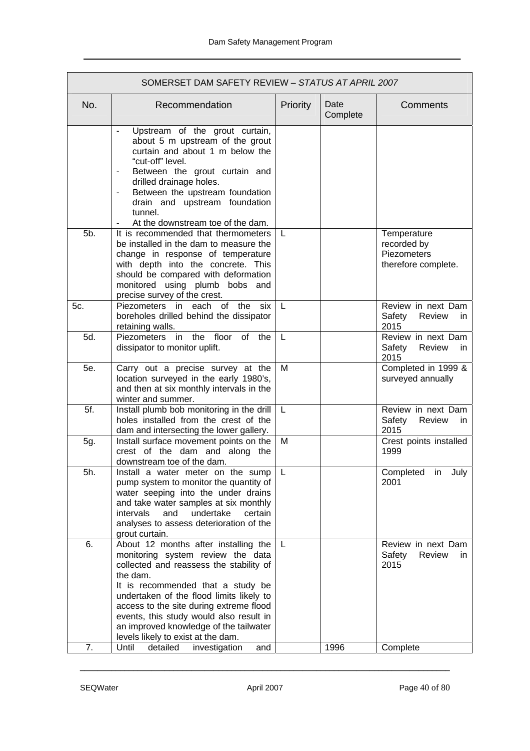| No.<br>Recommendation<br>Priority<br>Upstream of the grout curtain,<br>$\overline{\phantom{a}}$<br>about 5 m upstream of the grout<br>curtain and about 1 m below the<br>"cut-off" level.<br>Between the grout curtain and<br>drilled drainage holes.<br>Between the upstream foundation<br>$\overline{\phantom{a}}$<br>drain and upstream foundation<br>tunnel.<br>At the downstream toe of the dam.<br>$\overline{\phantom{a}}$<br>5b.<br>It is recommended that thermometers<br>L<br>be installed in the dam to measure the<br>change in response of temperature<br>with depth into the concrete. This<br>should be compared with deformation<br>monitored using plumb bobs and<br>precise survey of the crest.<br>Piezometers in each<br>of the<br>5c.<br>six<br>L<br>boreholes drilled behind the dissipator<br>retaining walls.<br>5d.<br>Piezometers in the floor<br>of the<br>L<br>dissipator to monitor uplift.<br>5e.<br>Carry out a precise survey at the<br>M<br>location surveyed in the early 1980's,<br>and then at six monthly intervals in the<br>winter and summer.<br>5f.<br>Install plumb bob monitoring in the drill<br>L.<br>holes installed from the crest of the<br>dam and intersecting the lower gallery.<br>M<br>Install surface movement points on the<br>5g.<br>crest of the dam and along the<br>downstream toe of the dam.<br>5h.<br>Install a water meter on the sump<br>L.<br>pump system to monitor the quantity of<br>water seeping into the under drains<br>and take water samples at six monthly<br>and<br>undertake<br>intervals<br>certain<br>analyses to assess deterioration of the<br>grout curtain. |                  |                                                                   |
|------------------------------------------------------------------------------------------------------------------------------------------------------------------------------------------------------------------------------------------------------------------------------------------------------------------------------------------------------------------------------------------------------------------------------------------------------------------------------------------------------------------------------------------------------------------------------------------------------------------------------------------------------------------------------------------------------------------------------------------------------------------------------------------------------------------------------------------------------------------------------------------------------------------------------------------------------------------------------------------------------------------------------------------------------------------------------------------------------------------------------------------------------------------------------------------------------------------------------------------------------------------------------------------------------------------------------------------------------------------------------------------------------------------------------------------------------------------------------------------------------------------------------------------------------------------------------------------------------------------------------------------------|------------------|-------------------------------------------------------------------|
|                                                                                                                                                                                                                                                                                                                                                                                                                                                                                                                                                                                                                                                                                                                                                                                                                                                                                                                                                                                                                                                                                                                                                                                                                                                                                                                                                                                                                                                                                                                                                                                                                                                | Date<br>Complete | Comments                                                          |
|                                                                                                                                                                                                                                                                                                                                                                                                                                                                                                                                                                                                                                                                                                                                                                                                                                                                                                                                                                                                                                                                                                                                                                                                                                                                                                                                                                                                                                                                                                                                                                                                                                                |                  |                                                                   |
|                                                                                                                                                                                                                                                                                                                                                                                                                                                                                                                                                                                                                                                                                                                                                                                                                                                                                                                                                                                                                                                                                                                                                                                                                                                                                                                                                                                                                                                                                                                                                                                                                                                |                  | Temperature<br>recorded by<br>Piezometers<br>therefore complete.  |
|                                                                                                                                                                                                                                                                                                                                                                                                                                                                                                                                                                                                                                                                                                                                                                                                                                                                                                                                                                                                                                                                                                                                                                                                                                                                                                                                                                                                                                                                                                                                                                                                                                                |                  | Review in next Dam<br>Safety<br>Review<br>in.<br>2015             |
|                                                                                                                                                                                                                                                                                                                                                                                                                                                                                                                                                                                                                                                                                                                                                                                                                                                                                                                                                                                                                                                                                                                                                                                                                                                                                                                                                                                                                                                                                                                                                                                                                                                |                  | Review in next Dam<br>Safety<br>Review<br>in.<br>2015             |
|                                                                                                                                                                                                                                                                                                                                                                                                                                                                                                                                                                                                                                                                                                                                                                                                                                                                                                                                                                                                                                                                                                                                                                                                                                                                                                                                                                                                                                                                                                                                                                                                                                                |                  | Completed in 1999 &<br>surveyed annually                          |
|                                                                                                                                                                                                                                                                                                                                                                                                                                                                                                                                                                                                                                                                                                                                                                                                                                                                                                                                                                                                                                                                                                                                                                                                                                                                                                                                                                                                                                                                                                                                                                                                                                                |                  | Review in next Dam<br>Safety<br>Review<br>in.<br>2015             |
|                                                                                                                                                                                                                                                                                                                                                                                                                                                                                                                                                                                                                                                                                                                                                                                                                                                                                                                                                                                                                                                                                                                                                                                                                                                                                                                                                                                                                                                                                                                                                                                                                                                |                  | Crest points installed<br>1999                                    |
|                                                                                                                                                                                                                                                                                                                                                                                                                                                                                                                                                                                                                                                                                                                                                                                                                                                                                                                                                                                                                                                                                                                                                                                                                                                                                                                                                                                                                                                                                                                                                                                                                                                |                  | Completed in<br>July<br>2001                                      |
| 6.<br>About 12 months after installing the<br>L<br>monitoring system review the data<br>collected and reassess the stability of<br>the dam.<br>It is recommended that a study be<br>undertaken of the flood limits likely to<br>access to the site during extreme flood<br>events, this study would also result in<br>an improved knowledge of the tailwater<br>levels likely to exist at the dam.<br>7.<br>Until<br>investigation<br>detailed<br>and                                                                                                                                                                                                                                                                                                                                                                                                                                                                                                                                                                                                                                                                                                                                                                                                                                                                                                                                                                                                                                                                                                                                                                                          | 1996             | Review in next Dam<br>Safety<br>Review<br>in.<br>2015<br>Complete |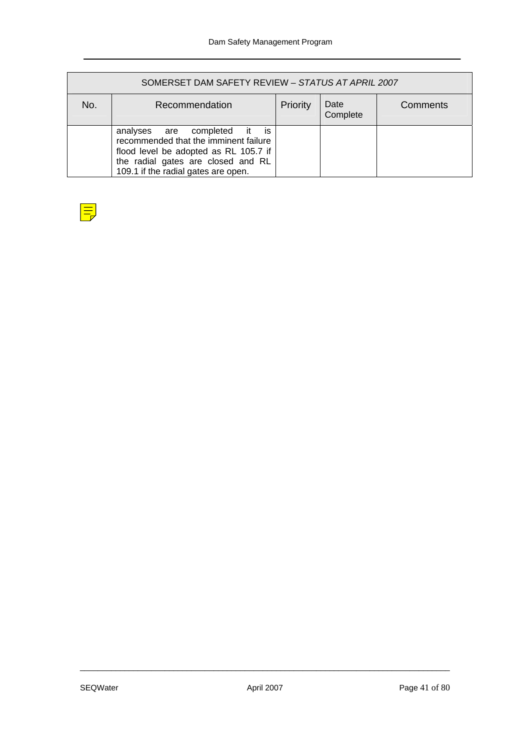| SOMERSET DAM SAFETY REVIEW - STATUS AT APRIL 2007 |                                                                                                                                                                                                    |          |                  |          |  |
|---------------------------------------------------|----------------------------------------------------------------------------------------------------------------------------------------------------------------------------------------------------|----------|------------------|----------|--|
| No.                                               | Recommendation                                                                                                                                                                                     | Priority | Date<br>Complete | Comments |  |
|                                                   | analyses are completed<br>İS<br>⊟it<br>recommended that the imminent failure<br>flood level be adopted as RL 105.7 if<br>the radial gates are closed and RL<br>109.1 if the radial gates are open. |          |                  |          |  |

| <b>Contract Contract Contract Contract Contract Contract Contract Contract Contract Contract Contract Contract Co</b><br><b>Contract Contract Contract Contract Contract Contract Contract Contract Contract Contract Contract Contract Co</b><br>and the state of the state of the state of the state of the state of the state of the state of the state of th<br><b>Service Service</b> | <b>Service Service</b><br><b>Service Service</b> |
|--------------------------------------------------------------------------------------------------------------------------------------------------------------------------------------------------------------------------------------------------------------------------------------------------------------------------------------------------------------------------------------------|--------------------------------------------------|
|                                                                                                                                                                                                                                                                                                                                                                                            |                                                  |
|                                                                                                                                                                                                                                                                                                                                                                                            |                                                  |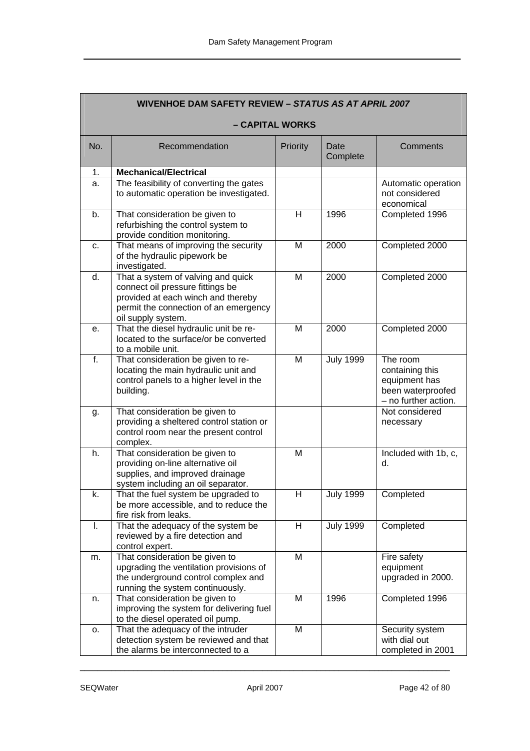| <b>WIVENHOE DAM SAFETY REVIEW - STATUS AS AT APRIL 2007</b> |                                                                                                                                                                             |          |                  |                                                                                           |  |
|-------------------------------------------------------------|-----------------------------------------------------------------------------------------------------------------------------------------------------------------------------|----------|------------------|-------------------------------------------------------------------------------------------|--|
|                                                             | - CAPITAL WORKS                                                                                                                                                             |          |                  |                                                                                           |  |
| No.                                                         | Recommendation                                                                                                                                                              | Priority | Date<br>Complete | Comments                                                                                  |  |
| 1.                                                          | <b>Mechanical/Electrical</b>                                                                                                                                                |          |                  |                                                                                           |  |
| a.                                                          | The feasibility of converting the gates<br>to automatic operation be investigated.                                                                                          |          |                  | Automatic operation<br>not considered<br>economical                                       |  |
| b.                                                          | That consideration be given to<br>refurbishing the control system to<br>provide condition monitoring.                                                                       | H        | 1996             | Completed 1996                                                                            |  |
| C.                                                          | That means of improving the security<br>of the hydraulic pipework be<br>investigated.                                                                                       | M        | 2000             | Completed 2000                                                                            |  |
| d.                                                          | That a system of valving and quick<br>connect oil pressure fittings be<br>provided at each winch and thereby<br>permit the connection of an emergency<br>oil supply system. | M        | 2000             | Completed 2000                                                                            |  |
| е.                                                          | That the diesel hydraulic unit be re-<br>located to the surface/or be converted<br>to a mobile unit.                                                                        | M        | 2000             | Completed 2000                                                                            |  |
| f.                                                          | That consideration be given to re-<br>locating the main hydraulic unit and<br>control panels to a higher level in the<br>building.                                          | M        | <b>July 1999</b> | The room<br>containing this<br>equipment has<br>been waterproofed<br>- no further action. |  |
| g.                                                          | That consideration be given to<br>providing a sheltered control station or<br>control room near the present control<br>complex.                                             |          |                  | Not considered<br>necessary                                                               |  |
| h.                                                          | That consideration be given to<br>providing on-line alternative oil<br>supplies, and improved drainage<br>system including an oil separator.                                | M        |                  | Included with 1b, c,<br>d.                                                                |  |
| k.                                                          | That the fuel system be upgraded to<br>be more accessible, and to reduce the<br>fire risk from leaks.                                                                       | н        | <b>July 1999</b> | Completed                                                                                 |  |
| Ι.                                                          | That the adequacy of the system be<br>reviewed by a fire detection and<br>control expert.                                                                                   | H        | <b>July 1999</b> | Completed                                                                                 |  |
| m.                                                          | That consideration be given to<br>upgrading the ventilation provisions of<br>the underground control complex and<br>running the system continuously.                        | M        |                  | Fire safety<br>equipment<br>upgraded in 2000.                                             |  |
| n.                                                          | That consideration be given to<br>improving the system for delivering fuel<br>to the diesel operated oil pump.                                                              | M        | 1996             | Completed 1996                                                                            |  |
| 0.                                                          | That the adequacy of the intruder<br>detection system be reviewed and that<br>the alarms be interconnected to a                                                             | M        |                  | Security system<br>with dial out<br>completed in 2001                                     |  |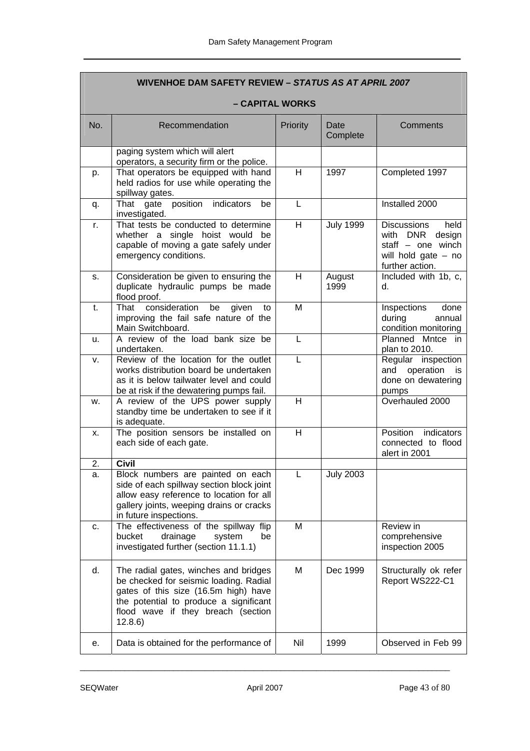| <b>WIVENHOE DAM SAFETY REVIEW - STATUS AS AT APRIL 2007</b> |                                                                                                                                                                                                                    |          |                  |                                                                                                                               |  |  |
|-------------------------------------------------------------|--------------------------------------------------------------------------------------------------------------------------------------------------------------------------------------------------------------------|----------|------------------|-------------------------------------------------------------------------------------------------------------------------------|--|--|
|                                                             | – CAPITAL WORKS                                                                                                                                                                                                    |          |                  |                                                                                                                               |  |  |
| No.                                                         | Recommendation                                                                                                                                                                                                     | Priority | Date<br>Complete | Comments                                                                                                                      |  |  |
|                                                             | paging system which will alert<br>operators, a security firm or the police.                                                                                                                                        |          |                  |                                                                                                                               |  |  |
| p.                                                          | That operators be equipped with hand<br>held radios for use while operating the<br>spillway gates.                                                                                                                 | H        | 1997             | Completed 1997                                                                                                                |  |  |
| q.                                                          | indicators<br>position<br>That gate<br>be<br>investigated.                                                                                                                                                         | L        |                  | Installed 2000                                                                                                                |  |  |
| r.                                                          | That tests be conducted to determine<br>whether a single hoist would be<br>capable of moving a gate safely under<br>emergency conditions.                                                                          | H        | <b>July 1999</b> | <b>Discussions</b><br>held<br><b>DNR</b><br>design<br>with<br>staff $-$ one winch<br>will hold gate $-$ no<br>further action. |  |  |
| s.                                                          | Consideration be given to ensuring the<br>duplicate hydraulic pumps be made<br>flood proof.                                                                                                                        | H        | August<br>1999   | Included with 1b, c,<br>d.                                                                                                    |  |  |
| t.                                                          | That<br>consideration<br>be<br>given<br>to<br>improving the fail safe nature of the<br>Main Switchboard.                                                                                                           | M        |                  | Inspections<br>done<br>during<br>annual<br>condition monitoring                                                               |  |  |
| u.                                                          | A review of the load bank size be<br>undertaken.                                                                                                                                                                   | L        |                  | Planned Mntce in<br>plan to 2010.                                                                                             |  |  |
| v.                                                          | Review of the location for the outlet<br>works distribution board be undertaken<br>as it is below tailwater level and could<br>be at risk if the dewatering pumps fail.                                            | L        |                  | Regular inspection<br>and operation<br>is<br>done on dewatering<br>pumps                                                      |  |  |
| W.                                                          | A review of the UPS power supply<br>standby time be undertaken to see if it<br>is adequate.                                                                                                                        | H        |                  | Overhauled 2000                                                                                                               |  |  |
| X.                                                          | The position sensors be installed on<br>each side of each gate.                                                                                                                                                    | H        |                  | Position<br>indicators<br>connected to flood<br>alert in 2001                                                                 |  |  |
| 2.                                                          | <b>Civil</b>                                                                                                                                                                                                       |          |                  |                                                                                                                               |  |  |
| а.                                                          | Block numbers are painted on each<br>side of each spillway section block joint<br>allow easy reference to location for all<br>gallery joints, weeping drains or cracks<br>in future inspections.                   | L        | <b>July 2003</b> |                                                                                                                               |  |  |
| c.                                                          | The effectiveness of the spillway flip<br>bucket<br>drainage<br>system<br>be<br>investigated further (section 11.1.1)                                                                                              | M        |                  | Review in<br>comprehensive<br>inspection 2005                                                                                 |  |  |
| d.                                                          | The radial gates, winches and bridges<br>be checked for seismic loading. Radial<br>gates of this size (16.5m high) have<br>the potential to produce a significant<br>flood wave if they breach (section<br>12.8.6) | M        | Dec 1999         | Structurally ok refer<br>Report WS222-C1                                                                                      |  |  |
| е.                                                          | Data is obtained for the performance of                                                                                                                                                                            | Nil      | 1999             | Observed in Feb 99                                                                                                            |  |  |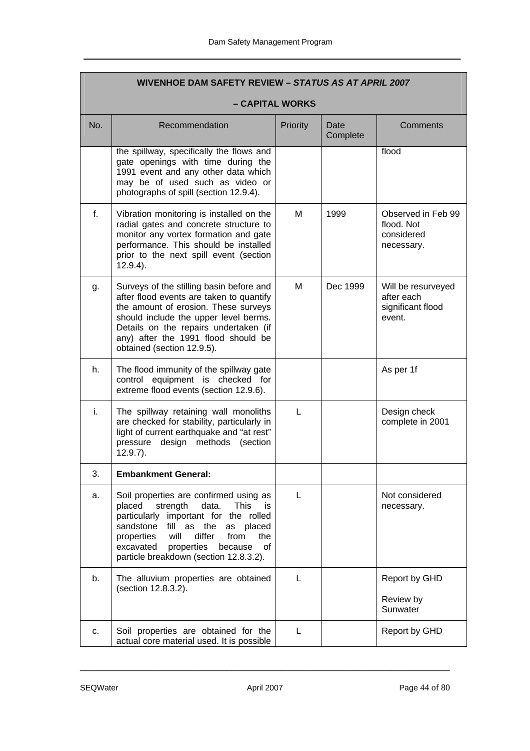|     | <b>WIVENHOE DAM SAFETY REVIEW - STATUS AS AT APRIL 2007</b>                                                                                                                                                                                                                                                              |          |                  |                                                                 |  |
|-----|--------------------------------------------------------------------------------------------------------------------------------------------------------------------------------------------------------------------------------------------------------------------------------------------------------------------------|----------|------------------|-----------------------------------------------------------------|--|
|     | - CAPITAL WORKS                                                                                                                                                                                                                                                                                                          |          |                  |                                                                 |  |
| No. | Recommendation                                                                                                                                                                                                                                                                                                           | Priority | Date<br>Complete | Comments                                                        |  |
|     | the spillway, specifically the flows and<br>gate openings with time during the<br>1991 event and any other data which<br>may be of used such as video or<br>photographs of spill (section 12.9.4).                                                                                                                       |          |                  | flood                                                           |  |
| f.  | Vibration monitoring is installed on the<br>radial gates and concrete structure to<br>monitor any vortex formation and gate<br>performance. This should be installed<br>prior to the next spill event (section<br>$12.9.4$ ).                                                                                            | M        | 1999             | Observed in Feb 99<br>flood. Not<br>considered<br>necessary.    |  |
| g.  | Surveys of the stilling basin before and<br>after flood events are taken to quantify<br>the amount of erosion. These surveys<br>should include the upper level berms.<br>Details on the repairs undertaken (if<br>any) after the 1991 flood should be<br>obtained (section 12.9.5).                                      | м        | Dec 1999         | Will be resurveyed<br>after each<br>significant flood<br>event. |  |
| h.  | The flood immunity of the spillway gate<br>control equipment is checked for<br>extreme flood events (section 12.9.6).                                                                                                                                                                                                    |          |                  | As per 1f                                                       |  |
| i.  | The spillway retaining wall monoliths<br>are checked for stability, particularly in<br>light of current earthquake and "at rest"<br>design methods (section<br>pressure<br>$12.9.7$ ).                                                                                                                                   | L        |                  | Design check<br>complete in 2001                                |  |
| 3.  | <b>Embankment General:</b>                                                                                                                                                                                                                                                                                               |          |                  |                                                                 |  |
| a.  | Soil properties are confirmed using as<br>placed<br>strength<br><b>This</b><br>data.<br>is.<br>particularly important for the rolled<br>sandstone<br>as the<br>placed<br>fill<br>as<br>differ<br>properties<br>will<br>from<br>the<br>excavated<br>properties<br>of<br>because<br>particle breakdown (section 12.8.3.2). | L        |                  | Not considered<br>necessary.                                    |  |
| b.  | The alluvium properties are obtained<br>(section 12.8.3.2).                                                                                                                                                                                                                                                              | L        |                  | Report by GHD<br>Review by<br>Sunwater                          |  |
| c.  | Soil properties are obtained for the<br>actual core material used. It is possible                                                                                                                                                                                                                                        | L        |                  | Report by GHD                                                   |  |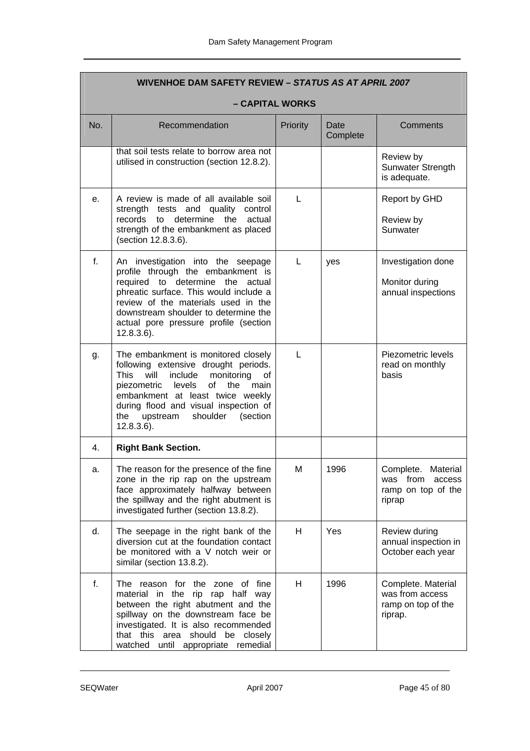|     | WIVENHOE DAM SAFETY REVIEW - STATUS AS AT APRIL 2007                                                                                                                                                                                                                                                               |          |                  |                                                                             |  |
|-----|--------------------------------------------------------------------------------------------------------------------------------------------------------------------------------------------------------------------------------------------------------------------------------------------------------------------|----------|------------------|-----------------------------------------------------------------------------|--|
|     | - CAPITAL WORKS                                                                                                                                                                                                                                                                                                    |          |                  |                                                                             |  |
| No. | Recommendation                                                                                                                                                                                                                                                                                                     | Priority | Date<br>Complete | <b>Comments</b>                                                             |  |
|     | that soil tests relate to borrow area not<br>utilised in construction (section 12.8.2).                                                                                                                                                                                                                            |          |                  | Review by<br>Sunwater Strength<br>is adequate.                              |  |
| e.  | A review is made of all available soil<br>strength tests and quality control<br>records to determine the<br>actual<br>strength of the embankment as placed<br>(section 12.8.3.6).                                                                                                                                  | L        |                  | Report by GHD<br>Review by<br>Sunwater                                      |  |
| f.  | An investigation into the seepage<br>profile through the embankment is<br>required to determine the actual<br>phreatic surface. This would include a<br>review of the materials used in the<br>downstream shoulder to determine the<br>actual pore pressure profile (section<br>$12.8.3.6$ ).                      | L        | yes              | Investigation done<br>Monitor during<br>annual inspections                  |  |
| g.  | The embankment is monitored closely<br>following extensive drought periods.<br><b>This</b><br>will include<br>monitoring<br>of<br>of<br>piezometric levels<br>the<br>main<br>embankment at least twice weekly<br>during flood and visual inspection of<br>upstream<br>shoulder<br>(section<br>the<br>$12.8.3.6$ ). | L        |                  | Piezometric levels<br>read on monthly<br>basis                              |  |
| 4.  | <b>Right Bank Section.</b>                                                                                                                                                                                                                                                                                         |          |                  |                                                                             |  |
| а.  | The reason for the presence of the fine<br>zone in the rip rap on the upstream<br>face approximately halfway between<br>the spillway and the right abutment is<br>investigated further (section 13.8.2).                                                                                                           | м        | 1996             | Complete.<br>Material<br>was from<br>access<br>ramp on top of the<br>riprap |  |
| d.  | The seepage in the right bank of the<br>diversion cut at the foundation contact<br>be monitored with a V notch weir or<br>similar (section 13.8.2).                                                                                                                                                                | H        | Yes              | Review during<br>annual inspection in<br>October each year                  |  |
| f.  | The reason for the zone of fine<br>material in the rip rap half way<br>between the right abutment and the<br>spillway on the downstream face be<br>investigated. It is also recommended<br>that this area should be<br>closely<br>watched until appropriate remedial                                               | н        | 1996             | Complete. Material<br>was from access<br>ramp on top of the<br>riprap.      |  |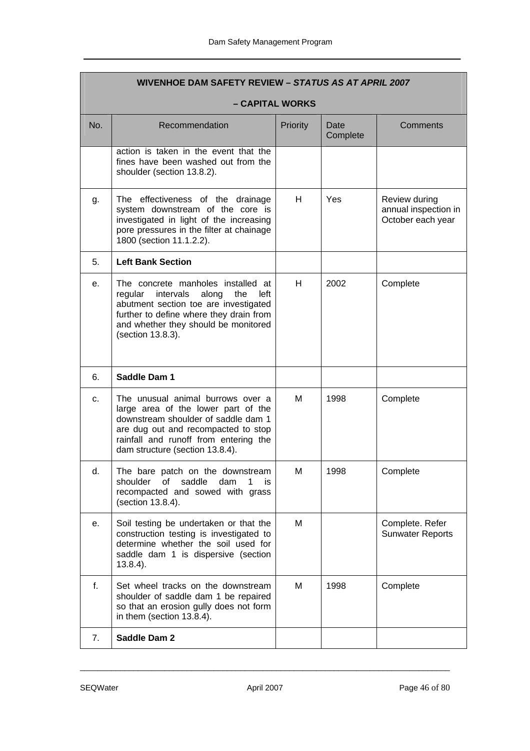|     | WIVENHOE DAM SAFETY REVIEW - STATUS AS AT APRIL 2007                                                                                                                                                                               |          |                  |                                                            |  |
|-----|------------------------------------------------------------------------------------------------------------------------------------------------------------------------------------------------------------------------------------|----------|------------------|------------------------------------------------------------|--|
|     | - CAPITAL WORKS                                                                                                                                                                                                                    |          |                  |                                                            |  |
| No. | Recommendation                                                                                                                                                                                                                     | Priority | Date<br>Complete | Comments                                                   |  |
|     | action is taken in the event that the<br>fines have been washed out from the<br>shoulder (section 13.8.2).                                                                                                                         |          |                  |                                                            |  |
| g.  | The effectiveness of the drainage<br>system downstream of the core is<br>investigated in light of the increasing<br>pore pressures in the filter at chainage<br>1800 (section 11.1.2.2).                                           | H.       | Yes              | Review during<br>annual inspection in<br>October each year |  |
| 5.  | <b>Left Bank Section</b>                                                                                                                                                                                                           |          |                  |                                                            |  |
| е.  | The concrete manholes installed at<br>regular intervals<br>along<br>the<br>left<br>abutment section toe are investigated<br>further to define where they drain from<br>and whether they should be monitored<br>(section 13.8.3).   | H        | 2002             | Complete                                                   |  |
| 6.  | Saddle Dam 1                                                                                                                                                                                                                       |          |                  |                                                            |  |
| c.  | The unusual animal burrows over a<br>large area of the lower part of the<br>downstream shoulder of saddle dam 1<br>are dug out and recompacted to stop<br>rainfall and runoff from entering the<br>dam structure (section 13.8.4). | м        | 1998             | Complete                                                   |  |
| d.  | The bare patch on the downstream<br>saddle<br>shoulder<br>0f<br>dam<br>1<br><b>is</b><br>recompacted and sowed with grass<br>(section 13.8.4).                                                                                     | M        | 1998             | Complete                                                   |  |
| е.  | Soil testing be undertaken or that the<br>construction testing is investigated to<br>determine whether the soil used for<br>saddle dam 1 is dispersive (section<br>$13.8.4$ ).                                                     | м        |                  | Complete. Refer<br><b>Sunwater Reports</b>                 |  |
| f.  | Set wheel tracks on the downstream<br>shoulder of saddle dam 1 be repaired<br>so that an erosion gully does not form<br>in them (section 13.8.4).                                                                                  | М        | 1998             | Complete                                                   |  |
| 7.  | Saddle Dam 2                                                                                                                                                                                                                       |          |                  |                                                            |  |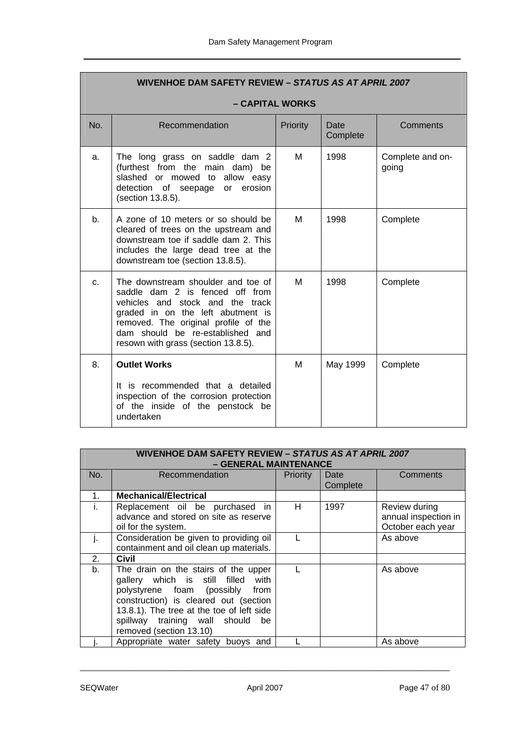|                | WIVENHOE DAM SAFETY REVIEW - STATUS AS AT APRIL 2007                                                                                                                                                                                                              |          |                  |                           |  |  |
|----------------|-------------------------------------------------------------------------------------------------------------------------------------------------------------------------------------------------------------------------------------------------------------------|----------|------------------|---------------------------|--|--|
|                | – CAPITAL WORKS                                                                                                                                                                                                                                                   |          |                  |                           |  |  |
| No.            | Recommendation                                                                                                                                                                                                                                                    | Priority | Date<br>Complete | Comments                  |  |  |
| a.             | The long grass on saddle dam 2<br>(furthest from the main dam)<br>be<br>slashed or mowed to allow easy<br>detection of seepage or erosion<br>(section 13.8.5).                                                                                                    | м        | 1998             | Complete and on-<br>going |  |  |
| b <sub>1</sub> | A zone of 10 meters or so should be<br>cleared of trees on the upstream and<br>downstream toe if saddle dam 2. This<br>includes the large dead tree at the<br>downstream toe (section 13.8.5).                                                                    | M        | 1998             | Complete                  |  |  |
| C <sub>1</sub> | The downstream shoulder and toe of<br>saddle dam 2 is fenced off from<br>vehicles and stock and the track<br>graded in on the left abutment is<br>removed. The original profile of the<br>dam should be re-established and<br>resown with grass (section 13.8.5). | M        | 1998             | Complete                  |  |  |
| 8.             | <b>Outlet Works</b><br>It is recommended that a detailed<br>inspection of the corrosion protection<br>of the inside of the penstock be<br>undertaken                                                                                                              | M        | May 1999         | Complete                  |  |  |

| <b>WIVENHOE DAM SAFETY REVIEW - STATUS AS AT APRIL 2007</b><br>- GENERAL MAINTENANCE |                                                                                                                                                                                                                                                                       |                 |                  |                                                            |
|--------------------------------------------------------------------------------------|-----------------------------------------------------------------------------------------------------------------------------------------------------------------------------------------------------------------------------------------------------------------------|-----------------|------------------|------------------------------------------------------------|
| No.                                                                                  | Recommendation                                                                                                                                                                                                                                                        | <b>Priority</b> | Date<br>Complete | Comments                                                   |
| 1.                                                                                   | <b>Mechanical/Electrical</b>                                                                                                                                                                                                                                          |                 |                  |                                                            |
| I.                                                                                   | Replacement oil be purchased<br>in.<br>advance and stored on site as reserve<br>oil for the system.                                                                                                                                                                   | н               | 1997             | Review during<br>annual inspection in<br>October each year |
|                                                                                      | Consideration be given to providing oil<br>containment and oil clean up materials.                                                                                                                                                                                    |                 |                  | As above                                                   |
| 2.                                                                                   | Civil                                                                                                                                                                                                                                                                 |                 |                  |                                                            |
| b.                                                                                   | The drain on the stairs of the upper<br>gallery which is still filled with<br>polystyrene foam (possibly from<br>construction) is cleared out (section<br>13.8.1). The tree at the toe of left side<br>spillway training wall should<br>be<br>removed (section 13.10) |                 |                  | As above                                                   |
|                                                                                      | Appropriate water safety buoys and                                                                                                                                                                                                                                    |                 |                  | As above                                                   |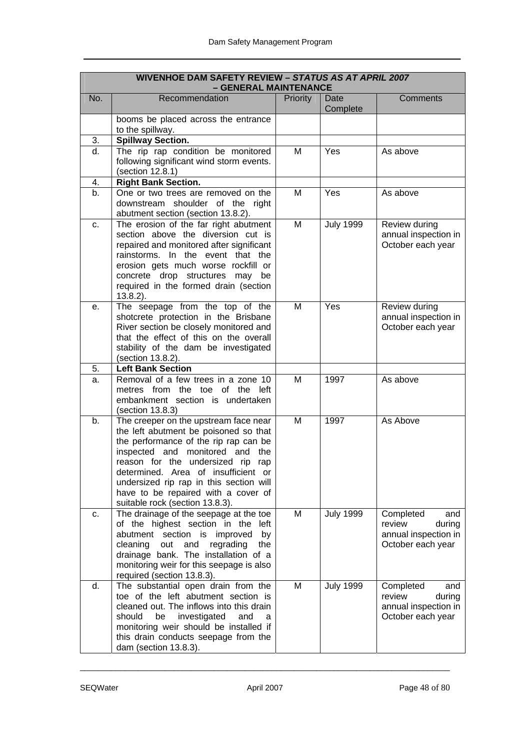| <b>WIVENHOE DAM SAFETY REVIEW - STATUS AS AT APRIL 2007</b><br>- GENERAL MAINTENANCE |                                                                                                                                                                                                                                                                                                                                                                   |          |                  |                                                                                   |
|--------------------------------------------------------------------------------------|-------------------------------------------------------------------------------------------------------------------------------------------------------------------------------------------------------------------------------------------------------------------------------------------------------------------------------------------------------------------|----------|------------------|-----------------------------------------------------------------------------------|
| No.                                                                                  | Recommendation                                                                                                                                                                                                                                                                                                                                                    | Priority | Date<br>Complete | <b>Comments</b>                                                                   |
|                                                                                      | booms be placed across the entrance<br>to the spillway.                                                                                                                                                                                                                                                                                                           |          |                  |                                                                                   |
| 3.                                                                                   | <b>Spillway Section.</b>                                                                                                                                                                                                                                                                                                                                          |          |                  |                                                                                   |
| $d_{\cdot}$                                                                          | The rip rap condition be monitored<br>following significant wind storm events.<br>(section 12.8.1)                                                                                                                                                                                                                                                                | M        | Yes              | As above                                                                          |
| 4.                                                                                   | <b>Right Bank Section.</b>                                                                                                                                                                                                                                                                                                                                        |          |                  |                                                                                   |
| b <sub>1</sub>                                                                       | One or two trees are removed on the<br>downstream shoulder of the right<br>abutment section (section 13.8.2).                                                                                                                                                                                                                                                     | M        | Yes              | As above                                                                          |
| C.                                                                                   | The erosion of the far right abutment<br>section above the diversion cut is<br>repaired and monitored after significant<br>rainstorms. In the event that the<br>erosion gets much worse rockfill or<br>concrete drop structures may<br>be<br>required in the formed drain (section<br>$13.8.2$ ).                                                                 | M        | <b>July 1999</b> | Review during<br>annual inspection in<br>October each year                        |
| е.                                                                                   | The seepage from the top of the<br>shotcrete protection in the Brisbane<br>River section be closely monitored and<br>that the effect of this on the overall<br>stability of the dam be investigated<br>(section 13.8.2).                                                                                                                                          | M        | Yes              | Review during<br>annual inspection in<br>October each year                        |
| 5.                                                                                   | <b>Left Bank Section</b>                                                                                                                                                                                                                                                                                                                                          |          |                  |                                                                                   |
| a.                                                                                   | Removal of a few trees in a zone 10<br>metres from the toe of the left<br>embankment section is undertaken<br>(section 13.8.3)                                                                                                                                                                                                                                    | M        | 1997             | As above                                                                          |
| b <sub>1</sub>                                                                       | The creeper on the upstream face near<br>the left abutment be poisoned so that<br>the performance of the rip rap can be<br>inspected and monitored and<br>the<br>reason for the undersized rip<br>rap<br>determined. Area of insufficient or<br>undersized rip rap in this section will<br>have to be repaired with a cover of<br>suitable rock (section 13.8.3). | M        | 1997             | As Above                                                                          |
| c.                                                                                   | The drainage of the seepage at the toe<br>of the highest section in the<br>left<br>abutment section is improved<br>by<br>cleaning<br>out<br>and<br>regrading<br>the<br>drainage bank. The installation of a<br>monitoring weir for this seepage is also<br>required (section 13.8.3).                                                                             | M        | <b>July 1999</b> | Completed<br>and<br>during<br>review<br>annual inspection in<br>October each year |
| d.                                                                                   | The substantial open drain from the<br>toe of the left abutment section is<br>cleaned out. The inflows into this drain<br>should<br>be<br>investigated<br>and<br>a<br>monitoring weir should be installed if<br>this drain conducts seepage from the<br>dam (section 13.8.3).                                                                                     | M        | <b>July 1999</b> | Completed<br>and<br>review<br>during<br>annual inspection in<br>October each year |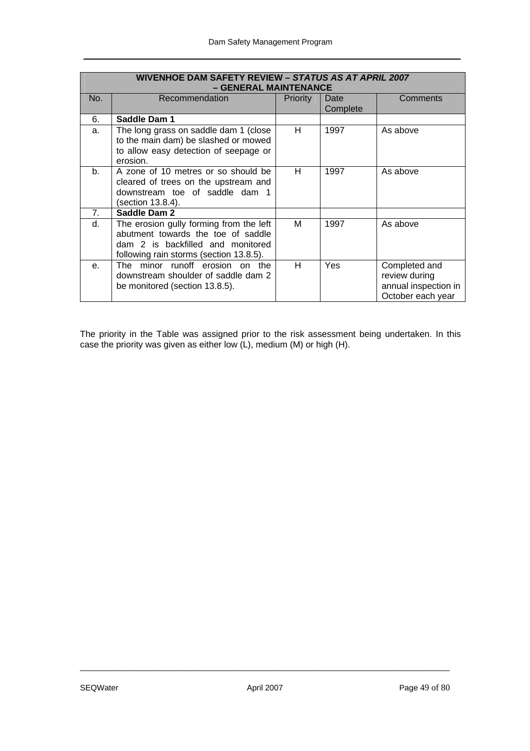| <b>WIVENHOE DAM SAFETY REVIEW - STATUS AS AT APRIL 2007</b><br>- GENERAL MAINTENANCE |                                                                                                                                                               |                 |                  |                                                                             |
|--------------------------------------------------------------------------------------|---------------------------------------------------------------------------------------------------------------------------------------------------------------|-----------------|------------------|-----------------------------------------------------------------------------|
| No.                                                                                  | Recommendation                                                                                                                                                | <b>Priority</b> | Date<br>Complete | Comments                                                                    |
| 6.                                                                                   | Saddle Dam 1                                                                                                                                                  |                 |                  |                                                                             |
| a.                                                                                   | The long grass on saddle dam 1 (close<br>to the main dam) be slashed or mowed<br>to allow easy detection of seepage or<br>erosion.                            | H.              | 1997             | As above                                                                    |
| b <sub>1</sub>                                                                       | A zone of 10 metres or so should be<br>cleared of trees on the upstream and<br>downstream toe of saddle dam 1<br>(section 13.8.4).                            | н               | 1997             | As above                                                                    |
| 7.                                                                                   | Saddle Dam 2                                                                                                                                                  |                 |                  |                                                                             |
| d.                                                                                   | The erosion gully forming from the left<br>abutment towards the toe of saddle<br>dam 2 is backfilled and monitored<br>following rain storms (section 13.8.5). | м               | 1997             | As above                                                                    |
| $e_{i}$                                                                              | The minor runoff erosion on the<br>downstream shoulder of saddle dam 2<br>be monitored (section 13.8.5).                                                      | H.              | <b>Yes</b>       | Completed and<br>review during<br>annual inspection in<br>October each year |

The priority in the Table was assigned prior to the risk assessment being undertaken. In this case the priority was given as either low (L), medium (M) or high (H).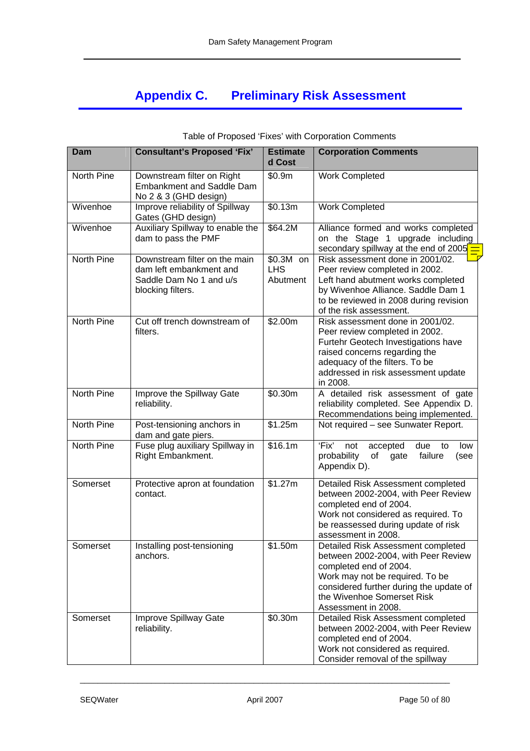# **Appendix C. Preliminary Risk Assessment**

| Dam               | <b>Consultant's Proposed 'Fix'</b>                                                                       | <b>Estimate</b><br>d Cost            | <b>Corporation Comments</b>                                                                                                                                                                                                            |
|-------------------|----------------------------------------------------------------------------------------------------------|--------------------------------------|----------------------------------------------------------------------------------------------------------------------------------------------------------------------------------------------------------------------------------------|
| North Pine        | Downstream filter on Right<br><b>Embankment and Saddle Dam</b><br>No 2 & 3 (GHD design)                  | \$0.9m                               | <b>Work Completed</b>                                                                                                                                                                                                                  |
| Wivenhoe          | Improve reliability of Spillway<br>Gates (GHD design)                                                    | \$0.13m                              | <b>Work Completed</b>                                                                                                                                                                                                                  |
| Wivenhoe          | Auxiliary Spillway to enable the<br>dam to pass the PMF                                                  | \$64.2M                              | Alliance formed and works completed<br>on the Stage 1 upgrade including<br>secondary spillway at the end of 2005                                                                                                                       |
| North Pine        | Downstream filter on the main<br>dam left embankment and<br>Saddle Dam No 1 and u/s<br>blocking filters. | $$0.3M$ on<br><b>LHS</b><br>Abutment | Risk assessment done in 2001/02.<br>Peer review completed in 2002.<br>Left hand abutment works completed<br>by Wivenhoe Alliance. Saddle Dam 1<br>to be reviewed in 2008 during revision<br>of the risk assessment.                    |
| North Pine        | Cut off trench downstream of<br>filters.                                                                 | \$2.00m                              | Risk assessment done in 2001/02.<br>Peer review completed in 2002.<br>Furtehr Geotech Investigations have<br>raised concerns regarding the<br>adequacy of the filters. To be<br>addressed in risk assessment update<br>in 2008.        |
| <b>North Pine</b> | Improve the Spillway Gate<br>reliability.                                                                | \$0.30m                              | A detailed risk assessment of gate<br>reliability completed. See Appendix D.<br>Recommendations being implemented.                                                                                                                     |
| North Pine        | Post-tensioning anchors in<br>dam and gate piers.                                                        | \$1.25m                              | Not required - see Sunwater Report.                                                                                                                                                                                                    |
| North Pine        | Fuse plug auxiliary Spillway in<br>Right Embankment.                                                     | \$16.1m                              | 'Fix'<br>not<br>due<br>accepted<br>to<br>low<br>failure<br>probability<br>of<br>gate<br>(see<br>Appendix D).                                                                                                                           |
| Somerset          | Protective apron at foundation<br>contact.                                                               | \$1.27m                              | Detailed Risk Assessment completed<br>between 2002-2004, with Peer Review<br>completed end of 2004.<br>Work not considered as required. To<br>be reassessed during update of risk<br>assessment in 2008.                               |
| Somerset          | Installing post-tensioning<br>anchors.                                                                   | \$1.50m                              | Detailed Risk Assessment completed<br>between 2002-2004, with Peer Review<br>completed end of 2004.<br>Work may not be required. To be<br>considered further during the update of<br>the Wivenhoe Somerset Risk<br>Assessment in 2008. |
| Somerset          | Improve Spillway Gate<br>reliability.                                                                    | \$0.30m                              | Detailed Risk Assessment completed<br>between 2002-2004, with Peer Review<br>completed end of 2004.<br>Work not considered as required.<br>Consider removal of the spillway                                                            |

#### Table of Proposed 'Fixes' with Corporation Comments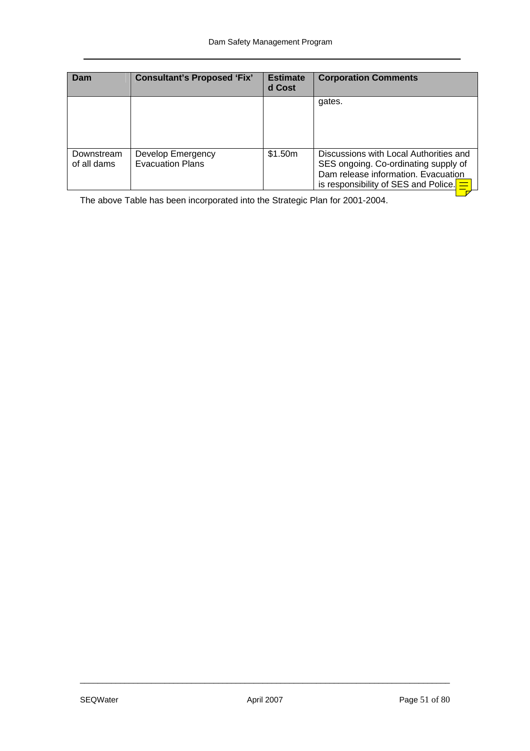| Dam                       | <b>Consultant's Proposed 'Fix'</b>           | <b>Estimate</b><br>d Cost | <b>Corporation Comments</b>                                                                                                                                            |
|---------------------------|----------------------------------------------|---------------------------|------------------------------------------------------------------------------------------------------------------------------------------------------------------------|
|                           |                                              |                           | gates.                                                                                                                                                                 |
| Downstream<br>of all dams | Develop Emergency<br><b>Evacuation Plans</b> | \$1.50m                   | Discussions with Local Authorities and<br>SES ongoing. Co-ordinating supply of<br>Dam release information. Evacuation<br>is responsibility of SES and Police. $\equiv$ |

The above Table has been incorporated into the Strategic Plan for 2001-2004.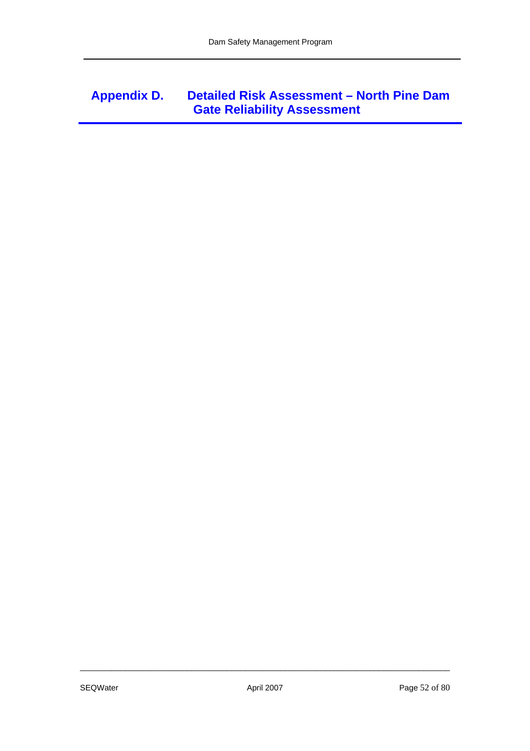## **Appendix D. Detailed Risk Assessment – North Pine Dam Gate Reliability Assessment**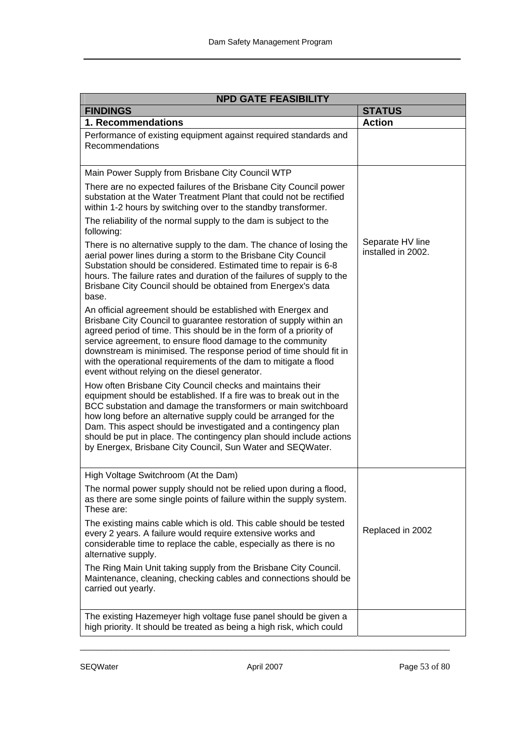| <b>NPD GATE FEASIBILITY</b>                                                                                                                                                                                                                                                                                                                                                                                                                                                  |                                        |  |  |  |
|------------------------------------------------------------------------------------------------------------------------------------------------------------------------------------------------------------------------------------------------------------------------------------------------------------------------------------------------------------------------------------------------------------------------------------------------------------------------------|----------------------------------------|--|--|--|
| <b>FINDINGS</b>                                                                                                                                                                                                                                                                                                                                                                                                                                                              | <b>STATUS</b>                          |  |  |  |
| 1. Recommendations                                                                                                                                                                                                                                                                                                                                                                                                                                                           | <b>Action</b>                          |  |  |  |
| Performance of existing equipment against required standards and<br>Recommendations                                                                                                                                                                                                                                                                                                                                                                                          |                                        |  |  |  |
| Main Power Supply from Brisbane City Council WTP                                                                                                                                                                                                                                                                                                                                                                                                                             |                                        |  |  |  |
| There are no expected failures of the Brisbane City Council power<br>substation at the Water Treatment Plant that could not be rectified<br>within 1-2 hours by switching over to the standby transformer.                                                                                                                                                                                                                                                                   |                                        |  |  |  |
| The reliability of the normal supply to the dam is subject to the<br>following:                                                                                                                                                                                                                                                                                                                                                                                              |                                        |  |  |  |
| There is no alternative supply to the dam. The chance of losing the<br>aerial power lines during a storm to the Brisbane City Council<br>Substation should be considered. Estimated time to repair is 6-8<br>hours. The failure rates and duration of the failures of supply to the<br>Brisbane City Council should be obtained from Energex's data<br>base.                                                                                                                 | Separate HV line<br>installed in 2002. |  |  |  |
| An official agreement should be established with Energex and<br>Brisbane City Council to guarantee restoration of supply within an<br>agreed period of time. This should be in the form of a priority of<br>service agreement, to ensure flood damage to the community<br>downstream is minimised. The response period of time should fit in<br>with the operational requirements of the dam to mitigate a flood<br>event without relying on the diesel generator.           |                                        |  |  |  |
| How often Brisbane City Council checks and maintains their<br>equipment should be established. If a fire was to break out in the<br>BCC substation and damage the transformers or main switchboard<br>how long before an alternative supply could be arranged for the<br>Dam. This aspect should be investigated and a contingency plan<br>should be put in place. The contingency plan should include actions<br>by Energex, Brisbane City Council, Sun Water and SEQWater. |                                        |  |  |  |
| High Voltage Switchroom (At the Dam)                                                                                                                                                                                                                                                                                                                                                                                                                                         |                                        |  |  |  |
| The normal power supply should not be relied upon during a flood,<br>as there are some single points of failure within the supply system.<br>These are:                                                                                                                                                                                                                                                                                                                      |                                        |  |  |  |
| The existing mains cable which is old. This cable should be tested<br>every 2 years. A failure would require extensive works and<br>considerable time to replace the cable, especially as there is no<br>alternative supply.                                                                                                                                                                                                                                                 | Replaced in 2002                       |  |  |  |
| The Ring Main Unit taking supply from the Brisbane City Council.<br>Maintenance, cleaning, checking cables and connections should be<br>carried out yearly.                                                                                                                                                                                                                                                                                                                  |                                        |  |  |  |
| The existing Hazemeyer high voltage fuse panel should be given a<br>high priority. It should be treated as being a high risk, which could                                                                                                                                                                                                                                                                                                                                    |                                        |  |  |  |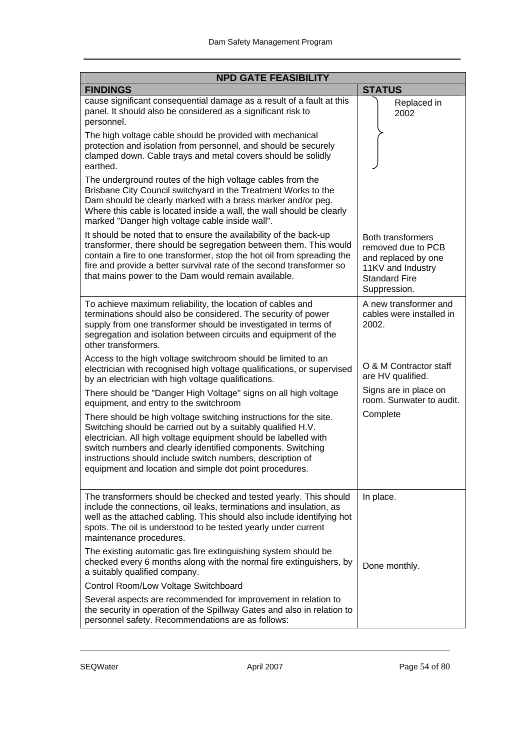| <b>NPD GATE FEASIBILITY</b>                                                                                                                                                                                                                                                                                                                                                                  |                                                                                                                                    |  |  |  |
|----------------------------------------------------------------------------------------------------------------------------------------------------------------------------------------------------------------------------------------------------------------------------------------------------------------------------------------------------------------------------------------------|------------------------------------------------------------------------------------------------------------------------------------|--|--|--|
| <b>FINDINGS</b>                                                                                                                                                                                                                                                                                                                                                                              | <b>STATUS</b>                                                                                                                      |  |  |  |
| cause significant consequential damage as a result of a fault at this<br>panel. It should also be considered as a significant risk to<br>personnel.                                                                                                                                                                                                                                          | Replaced in<br>2002                                                                                                                |  |  |  |
| The high voltage cable should be provided with mechanical<br>protection and isolation from personnel, and should be securely<br>clamped down. Cable trays and metal covers should be solidly<br>earthed.                                                                                                                                                                                     |                                                                                                                                    |  |  |  |
| The underground routes of the high voltage cables from the<br>Brisbane City Council switchyard in the Treatment Works to the<br>Dam should be clearly marked with a brass marker and/or peg.<br>Where this cable is located inside a wall, the wall should be clearly<br>marked "Danger high voltage cable inside wall".                                                                     |                                                                                                                                    |  |  |  |
| It should be noted that to ensure the availability of the back-up<br>transformer, there should be segregation between them. This would<br>contain a fire to one transformer, stop the hot oil from spreading the<br>fire and provide a better survival rate of the second transformer so<br>that mains power to the Dam would remain available.                                              | <b>Both transformers</b><br>removed due to PCB<br>and replaced by one<br>11KV and Industry<br><b>Standard Fire</b><br>Suppression. |  |  |  |
| To achieve maximum reliability, the location of cables and<br>terminations should also be considered. The security of power<br>supply from one transformer should be investigated in terms of<br>segregation and isolation between circuits and equipment of the<br>other transformers.                                                                                                      | A new transformer and<br>cables were installed in<br>2002.                                                                         |  |  |  |
| Access to the high voltage switchroom should be limited to an<br>electrician with recognised high voltage qualifications, or supervised<br>by an electrician with high voltage qualifications.                                                                                                                                                                                               | O & M Contractor staff<br>are HV qualified.                                                                                        |  |  |  |
| There should be "Danger High Voltage" signs on all high voltage<br>equipment, and entry to the switchroom                                                                                                                                                                                                                                                                                    | Signs are in place on<br>room. Sunwater to audit.                                                                                  |  |  |  |
| There should be high voltage switching instructions for the site.<br>Switching should be carried out by a suitably qualified H.V.<br>electrician. All high voltage equipment should be labelled with<br>switch numbers and clearly identified components. Switching<br>instructions should include switch numbers, description of<br>equipment and location and simple dot point procedures. | Complete                                                                                                                           |  |  |  |
| The transformers should be checked and tested yearly. This should<br>include the connections, oil leaks, terminations and insulation, as<br>well as the attached cabling. This should also include identifying hot<br>spots. The oil is understood to be tested yearly under current<br>maintenance procedures.                                                                              | In place.                                                                                                                          |  |  |  |
| The existing automatic gas fire extinguishing system should be<br>checked every 6 months along with the normal fire extinguishers, by<br>a suitably qualified company.                                                                                                                                                                                                                       | Done monthly.                                                                                                                      |  |  |  |
| Control Room/Low Voltage Switchboard                                                                                                                                                                                                                                                                                                                                                         |                                                                                                                                    |  |  |  |
| Several aspects are recommended for improvement in relation to<br>the security in operation of the Spillway Gates and also in relation to<br>personnel safety. Recommendations are as follows:                                                                                                                                                                                               |                                                                                                                                    |  |  |  |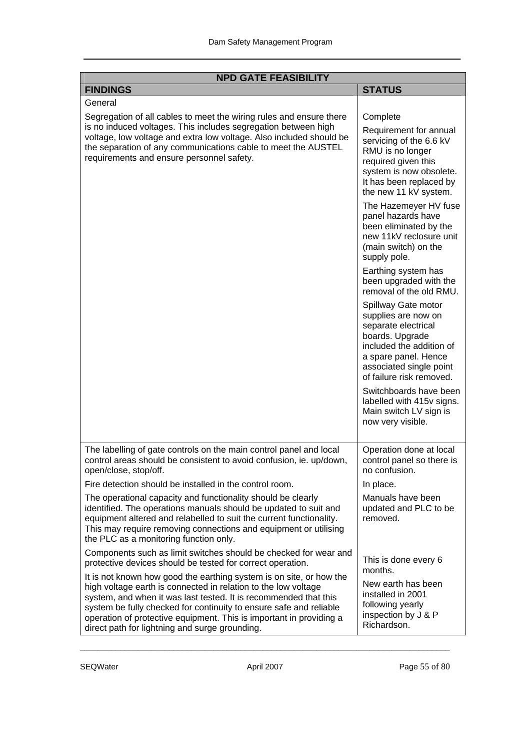| <b>NPD GATE FEASIBILITY</b>                                                                                                                                                                                                                                                                                                                                                                              |                                                                                                                                                                                                 |  |  |  |
|----------------------------------------------------------------------------------------------------------------------------------------------------------------------------------------------------------------------------------------------------------------------------------------------------------------------------------------------------------------------------------------------------------|-------------------------------------------------------------------------------------------------------------------------------------------------------------------------------------------------|--|--|--|
| <b>FINDINGS</b>                                                                                                                                                                                                                                                                                                                                                                                          | <b>STATUS</b>                                                                                                                                                                                   |  |  |  |
| General                                                                                                                                                                                                                                                                                                                                                                                                  |                                                                                                                                                                                                 |  |  |  |
| Segregation of all cables to meet the wiring rules and ensure there<br>is no induced voltages. This includes segregation between high<br>voltage, low voltage and extra low voltage. Also included should be<br>the separation of any communications cable to meet the AUSTEL<br>requirements and ensure personnel safety.                                                                               | Complete<br>Requirement for annual<br>servicing of the 6.6 kV<br>RMU is no longer<br>required given this<br>system is now obsolete.<br>It has been replaced by<br>the new 11 kV system.         |  |  |  |
|                                                                                                                                                                                                                                                                                                                                                                                                          | The Hazemeyer HV fuse<br>panel hazards have<br>been eliminated by the<br>new 11kV reclosure unit<br>(main switch) on the<br>supply pole.                                                        |  |  |  |
|                                                                                                                                                                                                                                                                                                                                                                                                          | Earthing system has<br>been upgraded with the<br>removal of the old RMU.                                                                                                                        |  |  |  |
|                                                                                                                                                                                                                                                                                                                                                                                                          | Spillway Gate motor<br>supplies are now on<br>separate electrical<br>boards. Upgrade<br>included the addition of<br>a spare panel. Hence<br>associated single point<br>of failure risk removed. |  |  |  |
|                                                                                                                                                                                                                                                                                                                                                                                                          | Switchboards have been<br>labelled with 415v signs.<br>Main switch LV sign is<br>now very visible.                                                                                              |  |  |  |
| The labelling of gate controls on the main control panel and local<br>control areas should be consistent to avoid confusion, ie. up/down,<br>open/close, stop/off.                                                                                                                                                                                                                                       | Operation done at local<br>control panel so there is<br>no contusion.                                                                                                                           |  |  |  |
| Fire detection should be installed in the control room.                                                                                                                                                                                                                                                                                                                                                  | In place.                                                                                                                                                                                       |  |  |  |
| The operational capacity and functionality should be clearly<br>identified. The operations manuals should be updated to suit and<br>equipment altered and relabelled to suit the current functionality.<br>This may require removing connections and equipment or utilising<br>the PLC as a monitoring function only.                                                                                    | Manuals have been<br>updated and PLC to be<br>removed.                                                                                                                                          |  |  |  |
| Components such as limit switches should be checked for wear and<br>protective devices should be tested for correct operation.                                                                                                                                                                                                                                                                           | This is done every 6<br>months.                                                                                                                                                                 |  |  |  |
| It is not known how good the earthing system is on site, or how the<br>high voltage earth is connected in relation to the low voltage<br>system, and when it was last tested. It is recommended that this<br>system be fully checked for continuity to ensure safe and reliable<br>operation of protective equipment. This is important in providing a<br>direct path for lightning and surge grounding. | New earth has been<br>installed in 2001<br>following yearly<br>inspection by J & P<br>Richardson.                                                                                               |  |  |  |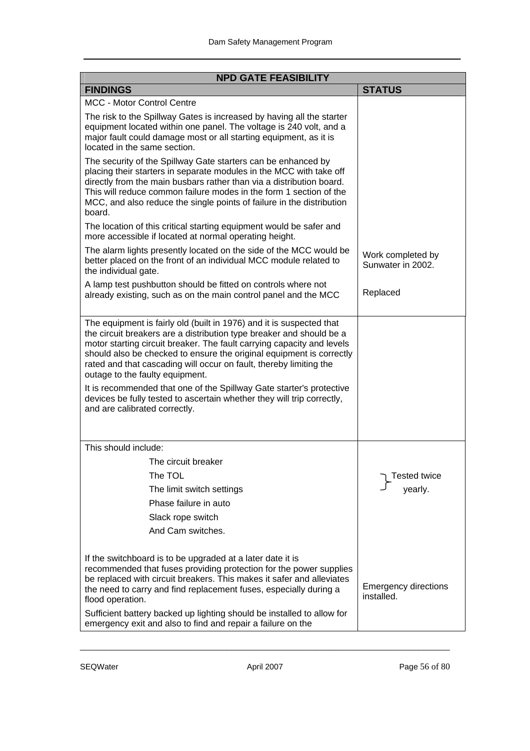| <b>NPD GATE FEASIBILITY</b>                                                                                                                                                                                                                                                                                                                                                                                                                                                                                                                                                                |                                           |  |  |  |
|--------------------------------------------------------------------------------------------------------------------------------------------------------------------------------------------------------------------------------------------------------------------------------------------------------------------------------------------------------------------------------------------------------------------------------------------------------------------------------------------------------------------------------------------------------------------------------------------|-------------------------------------------|--|--|--|
| <b>FINDINGS</b>                                                                                                                                                                                                                                                                                                                                                                                                                                                                                                                                                                            | <b>STATUS</b>                             |  |  |  |
| <b>MCC - Motor Control Centre</b>                                                                                                                                                                                                                                                                                                                                                                                                                                                                                                                                                          |                                           |  |  |  |
| The risk to the Spillway Gates is increased by having all the starter<br>equipment located within one panel. The voltage is 240 volt, and a<br>major fault could damage most or all starting equipment, as it is<br>located in the same section.                                                                                                                                                                                                                                                                                                                                           |                                           |  |  |  |
| The security of the Spillway Gate starters can be enhanced by<br>placing their starters in separate modules in the MCC with take off<br>directly from the main busbars rather than via a distribution board.<br>This will reduce common failure modes in the form 1 section of the<br>MCC, and also reduce the single points of failure in the distribution<br>board.                                                                                                                                                                                                                      |                                           |  |  |  |
| The location of this critical starting equipment would be safer and<br>more accessible if located at normal operating height.                                                                                                                                                                                                                                                                                                                                                                                                                                                              |                                           |  |  |  |
| The alarm lights presently located on the side of the MCC would be<br>better placed on the front of an individual MCC module related to<br>the individual gate.                                                                                                                                                                                                                                                                                                                                                                                                                            | Work completed by<br>Sunwater in 2002.    |  |  |  |
| A lamp test pushbutton should be fitted on controls where not<br>already existing, such as on the main control panel and the MCC                                                                                                                                                                                                                                                                                                                                                                                                                                                           | Replaced                                  |  |  |  |
| The equipment is fairly old (built in 1976) and it is suspected that<br>the circuit breakers are a distribution type breaker and should be a<br>motor starting circuit breaker. The fault carrying capacity and levels<br>should also be checked to ensure the original equipment is correctly<br>rated and that cascading will occur on fault, thereby limiting the<br>outage to the faulty equipment.<br>It is recommended that one of the Spillway Gate starter's protective<br>devices be fully tested to ascertain whether they will trip correctly,<br>and are calibrated correctly. |                                           |  |  |  |
| This should include:                                                                                                                                                                                                                                                                                                                                                                                                                                                                                                                                                                       |                                           |  |  |  |
| The circuit breaker                                                                                                                                                                                                                                                                                                                                                                                                                                                                                                                                                                        |                                           |  |  |  |
| The TOL                                                                                                                                                                                                                                                                                                                                                                                                                                                                                                                                                                                    | <b>Tested twice</b>                       |  |  |  |
| The limit switch settings                                                                                                                                                                                                                                                                                                                                                                                                                                                                                                                                                                  | yearly.                                   |  |  |  |
| Phase failure in auto                                                                                                                                                                                                                                                                                                                                                                                                                                                                                                                                                                      |                                           |  |  |  |
| Slack rope switch                                                                                                                                                                                                                                                                                                                                                                                                                                                                                                                                                                          |                                           |  |  |  |
| And Cam switches.                                                                                                                                                                                                                                                                                                                                                                                                                                                                                                                                                                          |                                           |  |  |  |
| If the switchboard is to be upgraded at a later date it is<br>recommended that fuses providing protection for the power supplies<br>be replaced with circuit breakers. This makes it safer and alleviates<br>the need to carry and find replacement fuses, especially during a<br>flood operation.                                                                                                                                                                                                                                                                                         | <b>Emergency directions</b><br>installed. |  |  |  |
| Sufficient battery backed up lighting should be installed to allow for<br>emergency exit and also to find and repair a failure on the                                                                                                                                                                                                                                                                                                                                                                                                                                                      |                                           |  |  |  |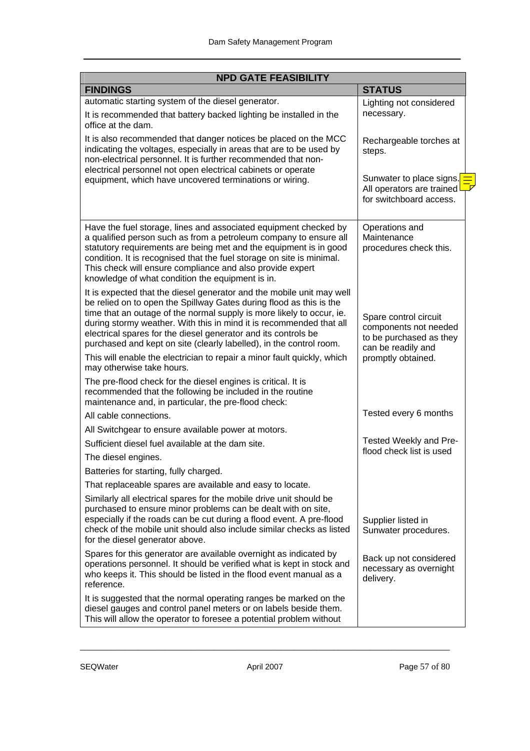| <b>NPD GATE FEASIBILITY</b>                                                                                                                                                                                                                                                                                                                                                                                                           |                                                                                                 |  |  |  |
|---------------------------------------------------------------------------------------------------------------------------------------------------------------------------------------------------------------------------------------------------------------------------------------------------------------------------------------------------------------------------------------------------------------------------------------|-------------------------------------------------------------------------------------------------|--|--|--|
| <b>FINDINGS</b>                                                                                                                                                                                                                                                                                                                                                                                                                       | <b>STATUS</b>                                                                                   |  |  |  |
| automatic starting system of the diesel generator.                                                                                                                                                                                                                                                                                                                                                                                    | Lighting not considered                                                                         |  |  |  |
| It is recommended that battery backed lighting be installed in the<br>office at the dam.                                                                                                                                                                                                                                                                                                                                              | necessary.                                                                                      |  |  |  |
| It is also recommended that danger notices be placed on the MCC<br>indicating the voltages, especially in areas that are to be used by<br>non-electrical personnel. It is further recommended that non-<br>electrical personnel not open electrical cabinets or operate                                                                                                                                                               | Rechargeable torches at<br>steps.                                                               |  |  |  |
| equipment, which have uncovered terminations or wiring.                                                                                                                                                                                                                                                                                                                                                                               | Sunwater to place signs.<br>All operators are trained<br>for switchboard access.                |  |  |  |
| Have the fuel storage, lines and associated equipment checked by<br>a qualified person such as from a petroleum company to ensure all<br>statutory requirements are being met and the equipment is in good<br>condition. It is recognised that the fuel storage on site is minimal.<br>This check will ensure compliance and also provide expert<br>knowledge of what condition the equipment is in.                                  | Operations and<br>Maintenance<br>procedures check this.                                         |  |  |  |
| It is expected that the diesel generator and the mobile unit may well<br>be relied on to open the Spillway Gates during flood as this is the<br>time that an outage of the normal supply is more likely to occur, ie.<br>during stormy weather. With this in mind it is recommended that all<br>electrical spares for the diesel generator and its controls be<br>purchased and kept on site (clearly labelled), in the control room. | Spare control circuit<br>components not needed<br>to be purchased as they<br>can be readily and |  |  |  |
| This will enable the electrician to repair a minor fault quickly, which<br>may otherwise take hours.                                                                                                                                                                                                                                                                                                                                  | promptly obtained.                                                                              |  |  |  |
| The pre-flood check for the diesel engines is critical. It is<br>recommended that the following be included in the routine<br>maintenance and, in particular, the pre-flood check:                                                                                                                                                                                                                                                    |                                                                                                 |  |  |  |
| All cable connections.                                                                                                                                                                                                                                                                                                                                                                                                                | Tested every 6 months                                                                           |  |  |  |
| All Switchgear to ensure available power at motors.                                                                                                                                                                                                                                                                                                                                                                                   |                                                                                                 |  |  |  |
| Sufficient diesel fuel available at the dam site.                                                                                                                                                                                                                                                                                                                                                                                     | Tested Weekly and Pre-                                                                          |  |  |  |
| The diesel engines.                                                                                                                                                                                                                                                                                                                                                                                                                   | flood check list is used                                                                        |  |  |  |
| Batteries for starting, fully charged.                                                                                                                                                                                                                                                                                                                                                                                                |                                                                                                 |  |  |  |
| That replaceable spares are available and easy to locate.                                                                                                                                                                                                                                                                                                                                                                             |                                                                                                 |  |  |  |
| Similarly all electrical spares for the mobile drive unit should be<br>purchased to ensure minor problems can be dealt with on site,<br>especially if the roads can be cut during a flood event. A pre-flood<br>check of the mobile unit should also include similar checks as listed<br>for the diesel generator above.                                                                                                              | Supplier listed in<br>Sunwater procedures.                                                      |  |  |  |
| Spares for this generator are available overnight as indicated by<br>operations personnel. It should be verified what is kept in stock and<br>who keeps it. This should be listed in the flood event manual as a<br>reference.                                                                                                                                                                                                        | Back up not considered<br>necessary as overnight<br>delivery.                                   |  |  |  |
| It is suggested that the normal operating ranges be marked on the<br>diesel gauges and control panel meters or on labels beside them.<br>This will allow the operator to foresee a potential problem without                                                                                                                                                                                                                          |                                                                                                 |  |  |  |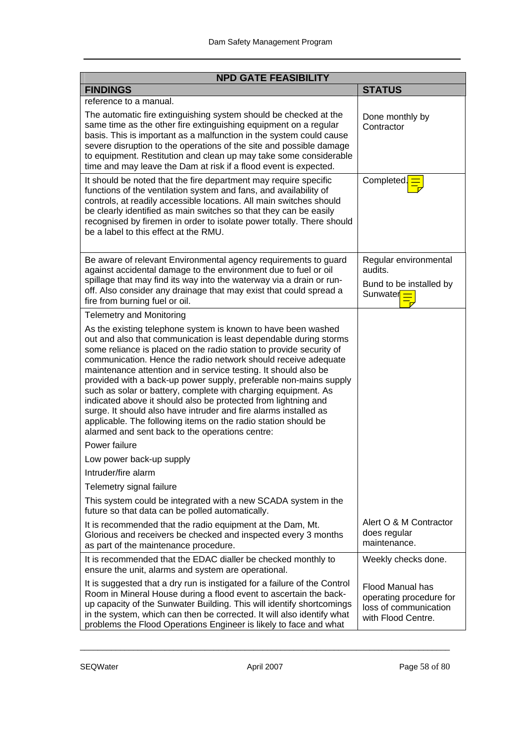| <b>NPD GATE FEASIBILITY</b>                                                                                                                                                                                                                                                                                                                                                                                                                                                                                                                                                                                                                                                                                                                      |                                                                                                   |  |  |  |
|--------------------------------------------------------------------------------------------------------------------------------------------------------------------------------------------------------------------------------------------------------------------------------------------------------------------------------------------------------------------------------------------------------------------------------------------------------------------------------------------------------------------------------------------------------------------------------------------------------------------------------------------------------------------------------------------------------------------------------------------------|---------------------------------------------------------------------------------------------------|--|--|--|
| <b>FINDINGS</b>                                                                                                                                                                                                                                                                                                                                                                                                                                                                                                                                                                                                                                                                                                                                  | <b>STATUS</b>                                                                                     |  |  |  |
| reference to a manual.                                                                                                                                                                                                                                                                                                                                                                                                                                                                                                                                                                                                                                                                                                                           |                                                                                                   |  |  |  |
| The automatic fire extinguishing system should be checked at the<br>same time as the other fire extinguishing equipment on a regular<br>basis. This is important as a malfunction in the system could cause<br>severe disruption to the operations of the site and possible damage<br>to equipment. Restitution and clean up may take some considerable<br>time and may leave the Dam at risk if a flood event is expected.                                                                                                                                                                                                                                                                                                                      | Done monthly by<br>Contractor                                                                     |  |  |  |
| It should be noted that the fire department may require specific<br>functions of the ventilation system and fans, and availability of<br>controls, at readily accessible locations. All main switches should<br>be clearly identified as main switches so that they can be easily<br>recognised by firemen in order to isolate power totally. There should<br>be a label to this effect at the RMU.                                                                                                                                                                                                                                                                                                                                              | Completed. <sup>1</sup>                                                                           |  |  |  |
| Be aware of relevant Environmental agency requirements to guard<br>against accidental damage to the environment due to fuel or oil<br>spillage that may find its way into the waterway via a drain or run-<br>off. Also consider any drainage that may exist that could spread a<br>fire from burning fuel or oil.                                                                                                                                                                                                                                                                                                                                                                                                                               | Regular environmental<br>audits.<br>Bund to be installed by<br>Sunwater <sub>II</sub>             |  |  |  |
| <b>Telemetry and Monitoring</b>                                                                                                                                                                                                                                                                                                                                                                                                                                                                                                                                                                                                                                                                                                                  |                                                                                                   |  |  |  |
| As the existing telephone system is known to have been washed<br>out and also that communication is least dependable during storms<br>some reliance is placed on the radio station to provide security of<br>communication. Hence the radio network should receive adequate<br>maintenance attention and in service testing. It should also be<br>provided with a back-up power supply, preferable non-mains supply<br>such as solar or battery, complete with charging equipment. As<br>indicated above it should also be protected from lightning and<br>surge. It should also have intruder and fire alarms installed as<br>applicable. The following items on the radio station should be<br>alarmed and sent back to the operations centre: |                                                                                                   |  |  |  |
| Power failure                                                                                                                                                                                                                                                                                                                                                                                                                                                                                                                                                                                                                                                                                                                                    |                                                                                                   |  |  |  |
| Low power back-up supply                                                                                                                                                                                                                                                                                                                                                                                                                                                                                                                                                                                                                                                                                                                         |                                                                                                   |  |  |  |
| Intruder/fire alarm                                                                                                                                                                                                                                                                                                                                                                                                                                                                                                                                                                                                                                                                                                                              |                                                                                                   |  |  |  |
| Telemetry signal failure<br>This system could be integrated with a new SCADA system in the<br>future so that data can be polled automatically.                                                                                                                                                                                                                                                                                                                                                                                                                                                                                                                                                                                                   |                                                                                                   |  |  |  |
| It is recommended that the radio equipment at the Dam, Mt.<br>Glorious and receivers be checked and inspected every 3 months<br>as part of the maintenance procedure.                                                                                                                                                                                                                                                                                                                                                                                                                                                                                                                                                                            | Alert O & M Contractor<br>does regular<br>maintenance.                                            |  |  |  |
| It is recommended that the EDAC dialler be checked monthly to<br>ensure the unit, alarms and system are operational.                                                                                                                                                                                                                                                                                                                                                                                                                                                                                                                                                                                                                             | Weekly checks done.                                                                               |  |  |  |
| It is suggested that a dry run is instigated for a failure of the Control<br>Room in Mineral House during a flood event to ascertain the back-<br>up capacity of the Sunwater Building. This will identify shortcomings<br>in the system, which can then be corrected. It will also identify what<br>problems the Flood Operations Engineer is likely to face and what                                                                                                                                                                                                                                                                                                                                                                           | <b>Flood Manual has</b><br>operating procedure for<br>loss of communication<br>with Flood Centre. |  |  |  |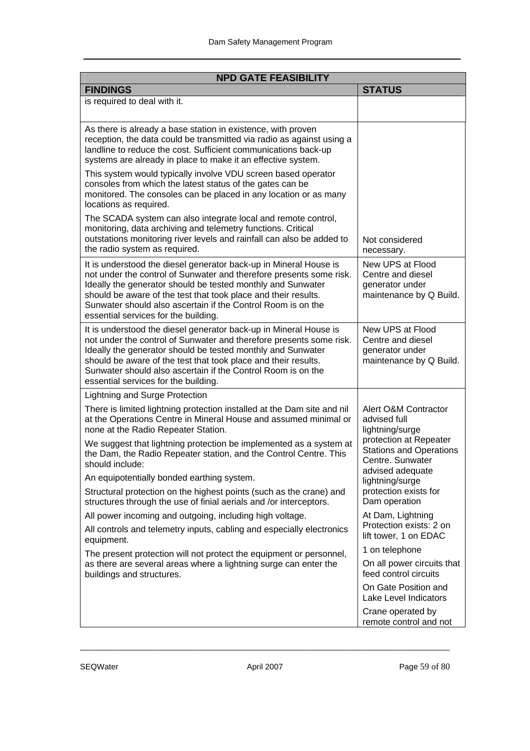| <b>NPD GATE FEASIBILITY</b>                                                                                                                                                                                                                                                                                                                                                       |                                                                                     |
|-----------------------------------------------------------------------------------------------------------------------------------------------------------------------------------------------------------------------------------------------------------------------------------------------------------------------------------------------------------------------------------|-------------------------------------------------------------------------------------|
| <b>FINDINGS</b>                                                                                                                                                                                                                                                                                                                                                                   | <b>STATUS</b>                                                                       |
| is required to deal with it.                                                                                                                                                                                                                                                                                                                                                      |                                                                                     |
| As there is already a base station in existence, with proven<br>reception, the data could be transmitted via radio as against using a<br>landline to reduce the cost. Sufficient communications back-up<br>systems are already in place to make it an effective system.                                                                                                           |                                                                                     |
| This system would typically involve VDU screen based operator<br>consoles from which the latest status of the gates can be<br>monitored. The consoles can be placed in any location or as many<br>locations as required.                                                                                                                                                          |                                                                                     |
| The SCADA system can also integrate local and remote control,<br>monitoring, data archiving and telemetry functions. Critical<br>outstations monitoring river levels and rainfall can also be added to<br>the radio system as required.                                                                                                                                           | Not considered<br>necessary.                                                        |
| It is understood the diesel generator back-up in Mineral House is<br>not under the control of Sunwater and therefore presents some risk.<br>Ideally the generator should be tested monthly and Sunwater<br>should be aware of the test that took place and their results.<br>Sunwater should also ascertain if the Control Room is on the<br>essential services for the building. | New UPS at Flood<br>Centre and diesel<br>generator under<br>maintenance by Q Build. |
| It is understood the diesel generator back-up in Mineral House is<br>not under the control of Sunwater and therefore presents some risk.<br>Ideally the generator should be tested monthly and Sunwater<br>should be aware of the test that took place and their results.<br>Sunwater should also ascertain if the Control Room is on the<br>essential services for the building. | New UPS at Flood<br>Centre and diesel<br>generator under<br>maintenance by Q Build. |
| Lightning and Surge Protection                                                                                                                                                                                                                                                                                                                                                    |                                                                                     |
| There is limited lightning protection installed at the Dam site and nil<br>at the Operations Centre in Mineral House and assumed minimal or<br>none at the Radio Repeater Station.                                                                                                                                                                                                | Alert O&M Contractor<br>advised full<br>lightning/surge                             |
| We suggest that lightning protection be implemented as a system at<br>the Dam, the Radio Repeater station, and the Control Centre. This<br>should include:                                                                                                                                                                                                                        | protection at Repeater<br><b>Stations and Operations</b><br>Centre. Sunwater        |
| An equipotentially bonded earthing system.                                                                                                                                                                                                                                                                                                                                        | advised adequate<br>lightning/surge                                                 |
| Structural protection on the highest points (such as the crane) and<br>structures through the use of finial aerials and /or interceptors.                                                                                                                                                                                                                                         | protection exists for<br>Dam operation                                              |
| All power incoming and outgoing, including high voltage.                                                                                                                                                                                                                                                                                                                          | At Dam, Lightning                                                                   |
| All controls and telemetry inputs, cabling and especially electronics<br>equipment.                                                                                                                                                                                                                                                                                               | Protection exists: 2 on<br>lift tower, 1 on EDAC                                    |
| The present protection will not protect the equipment or personnel,                                                                                                                                                                                                                                                                                                               | 1 on telephone                                                                      |
| as there are several areas where a lightning surge can enter the<br>buildings and structures.                                                                                                                                                                                                                                                                                     | On all power circuits that<br>feed control circuits                                 |
|                                                                                                                                                                                                                                                                                                                                                                                   | On Gate Position and<br>Lake Level Indicators                                       |
|                                                                                                                                                                                                                                                                                                                                                                                   | Crane operated by<br>remote control and not                                         |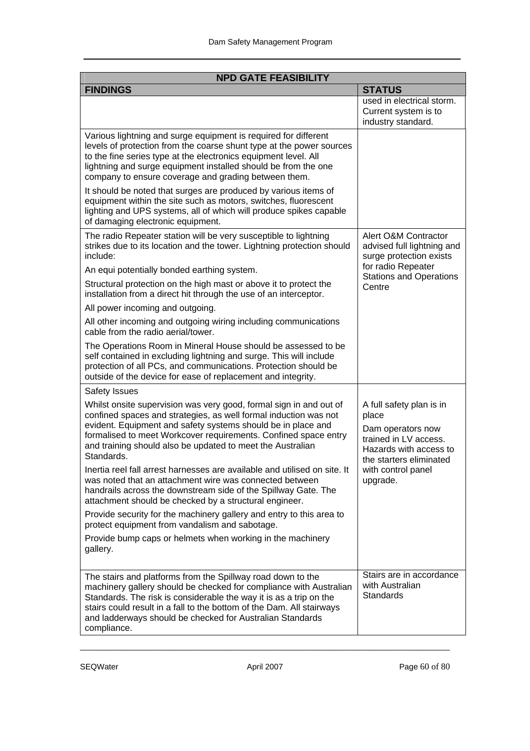| <b>NPD GATE FEASIBILITY</b>                                                                                                                                                                                                                                                                                                                                  |                                                                                                                                      |
|--------------------------------------------------------------------------------------------------------------------------------------------------------------------------------------------------------------------------------------------------------------------------------------------------------------------------------------------------------------|--------------------------------------------------------------------------------------------------------------------------------------|
| <b>FINDINGS</b>                                                                                                                                                                                                                                                                                                                                              | <b>STATUS</b>                                                                                                                        |
|                                                                                                                                                                                                                                                                                                                                                              | used in electrical storm.<br>Current system is to<br>industry standard.                                                              |
| Various lightning and surge equipment is required for different<br>levels of protection from the coarse shunt type at the power sources<br>to the fine series type at the electronics equipment level. All<br>lightning and surge equipment installed should be from the one<br>company to ensure coverage and grading between them.                         |                                                                                                                                      |
| It should be noted that surges are produced by various items of<br>equipment within the site such as motors, switches, fluorescent<br>lighting and UPS systems, all of which will produce spikes capable<br>of damaging electronic equipment.                                                                                                                |                                                                                                                                      |
| The radio Repeater station will be very susceptible to lightning<br>strikes due to its location and the tower. Lightning protection should<br>include:                                                                                                                                                                                                       | Alert O&M Contractor<br>advised full lightning and<br>surge protection exists                                                        |
| An equi potentially bonded earthing system.                                                                                                                                                                                                                                                                                                                  | for radio Repeater<br><b>Stations and Operations</b>                                                                                 |
| Structural protection on the high mast or above it to protect the<br>installation from a direct hit through the use of an interceptor.                                                                                                                                                                                                                       | Centre                                                                                                                               |
| All power incoming and outgoing.                                                                                                                                                                                                                                                                                                                             |                                                                                                                                      |
| All other incoming and outgoing wiring including communications<br>cable from the radio aerial/tower.                                                                                                                                                                                                                                                        |                                                                                                                                      |
| The Operations Room in Mineral House should be assessed to be<br>self contained in excluding lightning and surge. This will include<br>protection of all PCs, and communications. Protection should be<br>outside of the device for ease of replacement and integrity.                                                                                       |                                                                                                                                      |
| <b>Safety Issues</b>                                                                                                                                                                                                                                                                                                                                         |                                                                                                                                      |
| Whilst onsite supervision was very good, formal sign in and out of<br>confined spaces and strategies, as well formal induction was not<br>evident. Equipment and safety systems should be in place and<br>formalised to meet Workcover requirements. Confined space entry<br>and training should also be updated to meet the Australian<br>Standards.        | A full safety plan is in<br>place<br>Dam operators now<br>trained in LV access.<br>Hazards with access to<br>the starters eliminated |
| Inertia reel fall arrest harnesses are available and utilised on site. It<br>was noted that an attachment wire was connected between<br>handrails across the downstream side of the Spillway Gate. The<br>attachment should be checked by a structural engineer.                                                                                             | with control panel<br>upgrade.                                                                                                       |
| Provide security for the machinery gallery and entry to this area to<br>protect equipment from vandalism and sabotage.                                                                                                                                                                                                                                       |                                                                                                                                      |
| Provide bump caps or helmets when working in the machinery<br>gallery.                                                                                                                                                                                                                                                                                       |                                                                                                                                      |
| The stairs and platforms from the Spillway road down to the<br>machinery gallery should be checked for compliance with Australian<br>Standards. The risk is considerable the way it is as a trip on the<br>stairs could result in a fall to the bottom of the Dam. All stairways<br>and ladderways should be checked for Australian Standards<br>compliance. | Stairs are in accordance<br>with Australian<br><b>Standards</b>                                                                      |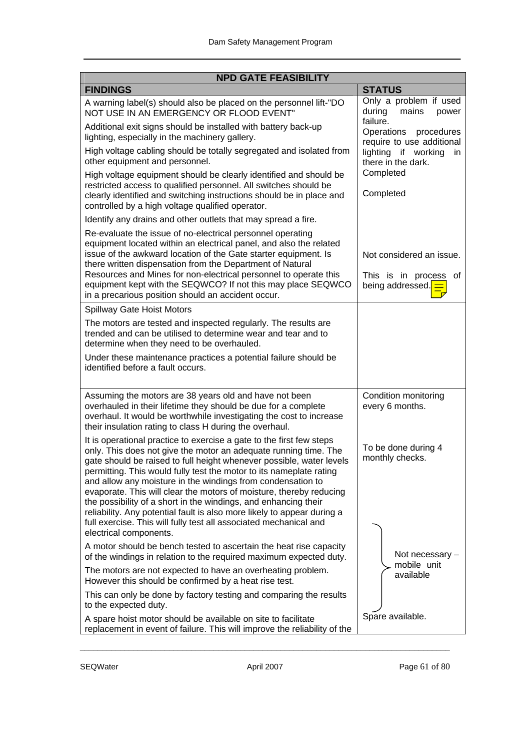| <b>NPD GATE FEASIBILITY</b>                                                                                                                                                                                                                                                                                                                                                                                                                                                                                                                                                                                                                                                |                                                                            |  |
|----------------------------------------------------------------------------------------------------------------------------------------------------------------------------------------------------------------------------------------------------------------------------------------------------------------------------------------------------------------------------------------------------------------------------------------------------------------------------------------------------------------------------------------------------------------------------------------------------------------------------------------------------------------------------|----------------------------------------------------------------------------|--|
| <b>FINDINGS</b>                                                                                                                                                                                                                                                                                                                                                                                                                                                                                                                                                                                                                                                            | <b>STATUS</b>                                                              |  |
| A warning label(s) should also be placed on the personnel lift-"DO<br>NOT USE IN AN EMERGENCY OR FLOOD EVENT"                                                                                                                                                                                                                                                                                                                                                                                                                                                                                                                                                              | Only a problem if used<br>during<br>mains<br>power                         |  |
| Additional exit signs should be installed with battery back-up<br>lighting, especially in the machinery gallery.                                                                                                                                                                                                                                                                                                                                                                                                                                                                                                                                                           | failure.<br>Operations procedures<br>require to use additional             |  |
| High voltage cabling should be totally segregated and isolated from<br>other equipment and personnel.                                                                                                                                                                                                                                                                                                                                                                                                                                                                                                                                                                      | lighting if working<br>in<br>there in the dark.                            |  |
| High voltage equipment should be clearly identified and should be<br>restricted access to qualified personnel. All switches should be<br>clearly identified and switching instructions should be in place and<br>controlled by a high voltage qualified operator.                                                                                                                                                                                                                                                                                                                                                                                                          | Completed<br>Completed                                                     |  |
| Identify any drains and other outlets that may spread a fire.                                                                                                                                                                                                                                                                                                                                                                                                                                                                                                                                                                                                              |                                                                            |  |
| Re-evaluate the issue of no-electrical personnel operating<br>equipment located within an electrical panel, and also the related<br>issue of the awkward location of the Gate starter equipment. Is<br>there written dispensation from the Department of Natural<br>Resources and Mines for non-electrical personnel to operate this<br>equipment kept with the SEQWCO? If not this may place SEQWCO<br>in a precarious position should an accident occur.                                                                                                                                                                                                                 | Not considered an issue.<br>This is in process<br>of<br>being addressed. = |  |
| Spillway Gate Hoist Motors                                                                                                                                                                                                                                                                                                                                                                                                                                                                                                                                                                                                                                                 |                                                                            |  |
| The motors are tested and inspected regularly. The results are<br>trended and can be utilised to determine wear and tear and to<br>determine when they need to be overhauled.                                                                                                                                                                                                                                                                                                                                                                                                                                                                                              |                                                                            |  |
| Under these maintenance practices a potential failure should be<br>identified before a fault occurs.                                                                                                                                                                                                                                                                                                                                                                                                                                                                                                                                                                       |                                                                            |  |
| Assuming the motors are 38 years old and have not been<br>overhauled in their lifetime they should be due for a complete<br>overhaul. It would be worthwhile investigating the cost to increase<br>their insulation rating to class H during the overhaul.                                                                                                                                                                                                                                                                                                                                                                                                                 | Condition monitoring<br>every 6 months.                                    |  |
| It is operational practice to exercise a gate to the first few steps<br>only. This does not give the motor an adequate running time. The<br>gate should be raised to full height whenever possible, water levels<br>permitting. This would fully test the motor to its nameplate rating<br>and allow any moisture in the windings from condensation to<br>evaporate. This will clear the motors of moisture, thereby reducing<br>the possibility of a short in the windings, and enhancing their<br>reliability. Any potential fault is also more likely to appear during a<br>full exercise. This will fully test all associated mechanical and<br>electrical components. | To be done during 4<br>monthly checks.                                     |  |
| A motor should be bench tested to ascertain the heat rise capacity<br>of the windings in relation to the required maximum expected duty.                                                                                                                                                                                                                                                                                                                                                                                                                                                                                                                                   | Not necessary -<br>mobile unit                                             |  |
| The motors are not expected to have an overheating problem.<br>However this should be confirmed by a heat rise test.                                                                                                                                                                                                                                                                                                                                                                                                                                                                                                                                                       | available                                                                  |  |
| This can only be done by factory testing and comparing the results<br>to the expected duty.                                                                                                                                                                                                                                                                                                                                                                                                                                                                                                                                                                                |                                                                            |  |
| A spare hoist motor should be available on site to facilitate<br>replacement in event of failure. This will improve the reliability of the                                                                                                                                                                                                                                                                                                                                                                                                                                                                                                                                 | Spare available.                                                           |  |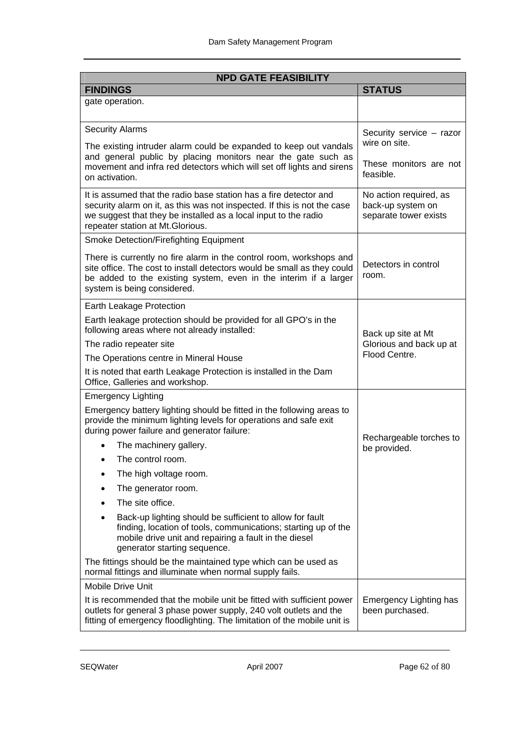| <b>NPD GATE FEASIBILITY</b>                                                                                                                                                                                                                          |                                                                      |  |
|------------------------------------------------------------------------------------------------------------------------------------------------------------------------------------------------------------------------------------------------------|----------------------------------------------------------------------|--|
| <b>FINDINGS</b>                                                                                                                                                                                                                                      | <b>STATUS</b>                                                        |  |
| gate operation.                                                                                                                                                                                                                                      |                                                                      |  |
| <b>Security Alarms</b>                                                                                                                                                                                                                               | Security service - razor                                             |  |
| The existing intruder alarm could be expanded to keep out vandals                                                                                                                                                                                    | wire on site.                                                        |  |
| and general public by placing monitors near the gate such as<br>movement and infra red detectors which will set off lights and sirens<br>on activation.                                                                                              | These monitors are not<br>feasible.                                  |  |
| It is assumed that the radio base station has a fire detector and<br>security alarm on it, as this was not inspected. If this is not the case<br>we suggest that they be installed as a local input to the radio<br>repeater station at Mt.Glorious. | No action required, as<br>back-up system on<br>separate tower exists |  |
| Smoke Detection/Firefighting Equipment                                                                                                                                                                                                               |                                                                      |  |
| There is currently no fire alarm in the control room, workshops and<br>site office. The cost to install detectors would be small as they could<br>be added to the existing system, even in the interim if a larger<br>system is being considered.    | Detectors in control<br>room.                                        |  |
| Earth Leakage Protection                                                                                                                                                                                                                             |                                                                      |  |
| Earth leakage protection should be provided for all GPO's in the<br>following areas where not already installed:                                                                                                                                     | Back up site at Mt                                                   |  |
| The radio repeater site                                                                                                                                                                                                                              | Glorious and back up at<br>Flood Centre.                             |  |
| The Operations centre in Mineral House                                                                                                                                                                                                               |                                                                      |  |
| It is noted that earth Leakage Protection is installed in the Dam<br>Office, Galleries and workshop.                                                                                                                                                 |                                                                      |  |
| <b>Emergency Lighting</b>                                                                                                                                                                                                                            |                                                                      |  |
| Emergency battery lighting should be fitted in the following areas to<br>provide the minimum lighting levels for operations and safe exit<br>during power failure and generator failure:                                                             |                                                                      |  |
| The machinery gallery.<br>$\bullet$                                                                                                                                                                                                                  | Rechargeable torches to<br>be provided.                              |  |
| The control room.<br>$\bullet$                                                                                                                                                                                                                       |                                                                      |  |
| The high voltage room.<br>٠                                                                                                                                                                                                                          |                                                                      |  |
| The generator room.                                                                                                                                                                                                                                  |                                                                      |  |
| The site office.                                                                                                                                                                                                                                     |                                                                      |  |
| Back-up lighting should be sufficient to allow for fault<br>$\bullet$<br>finding, location of tools, communications; starting up of the<br>mobile drive unit and repairing a fault in the diesel<br>generator starting sequence.                     |                                                                      |  |
| The fittings should be the maintained type which can be used as<br>normal fittings and illuminate when normal supply fails.                                                                                                                          |                                                                      |  |
| <b>Mobile Drive Unit</b>                                                                                                                                                                                                                             |                                                                      |  |
| It is recommended that the mobile unit be fitted with sufficient power<br>outlets for general 3 phase power supply, 240 volt outlets and the<br>fitting of emergency floodlighting. The limitation of the mobile unit is                             | <b>Emergency Lighting has</b><br>been purchased.                     |  |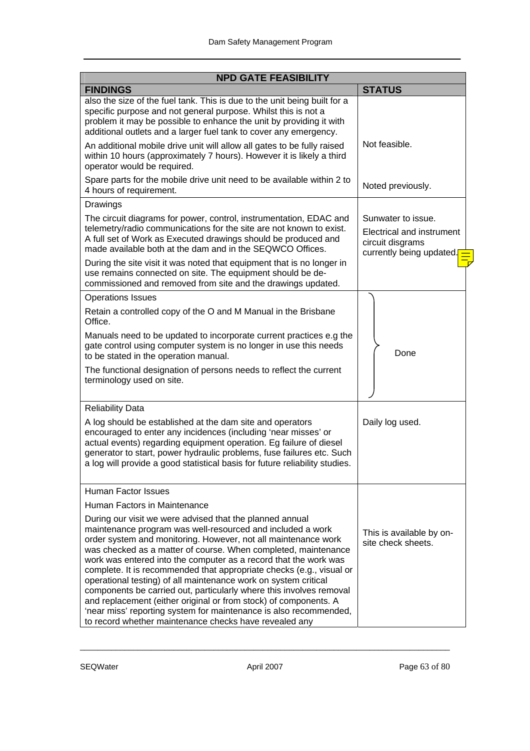| <b>NPD GATE FEASIBILITY</b>                                                                                                                                                                                                                                                                                             |                                                                                                                                                                                                                                                                                                                                                                                                                          |                                                                                                 |
|-------------------------------------------------------------------------------------------------------------------------------------------------------------------------------------------------------------------------------------------------------------------------------------------------------------------------|--------------------------------------------------------------------------------------------------------------------------------------------------------------------------------------------------------------------------------------------------------------------------------------------------------------------------------------------------------------------------------------------------------------------------|-------------------------------------------------------------------------------------------------|
| <b>FINDINGS</b>                                                                                                                                                                                                                                                                                                         |                                                                                                                                                                                                                                                                                                                                                                                                                          | <b>STATUS</b>                                                                                   |
| specific purpose and not general purpose. Whilst this is not a<br>additional outlets and a larger fuel tank to cover any emergency.                                                                                                                                                                                     | also the size of the fuel tank. This is due to the unit being built for a<br>problem it may be possible to enhance the unit by providing it with                                                                                                                                                                                                                                                                         |                                                                                                 |
| operator would be required.                                                                                                                                                                                                                                                                                             | An additional mobile drive unit will allow all gates to be fully raised<br>within 10 hours (approximately 7 hours). However it is likely a third                                                                                                                                                                                                                                                                         | Not feasible.                                                                                   |
| 4 hours of requirement.                                                                                                                                                                                                                                                                                                 | Spare parts for the mobile drive unit need to be available within 2 to                                                                                                                                                                                                                                                                                                                                                   | Noted previously.                                                                               |
| Drawings                                                                                                                                                                                                                                                                                                                |                                                                                                                                                                                                                                                                                                                                                                                                                          |                                                                                                 |
| A full set of Work as Executed drawings should be produced and<br>made available both at the dam and in the SEQWCO Offices.                                                                                                                                                                                             | The circuit diagrams for power, control, instrumentation, EDAC and<br>telemetry/radio communications for the site are not known to exist.                                                                                                                                                                                                                                                                                | Sunwater to issue.<br>Electrical and instrument<br>circuit disgrams<br>currently being updated. |
| use remains connected on site. The equipment should be de-<br>commissioned and removed from site and the drawings updated.                                                                                                                                                                                              | During the site visit it was noted that equipment that is no longer in                                                                                                                                                                                                                                                                                                                                                   |                                                                                                 |
| <b>Operations Issues</b>                                                                                                                                                                                                                                                                                                |                                                                                                                                                                                                                                                                                                                                                                                                                          |                                                                                                 |
| Retain a controlled copy of the O and M Manual in the Brisbane<br>Office.                                                                                                                                                                                                                                               |                                                                                                                                                                                                                                                                                                                                                                                                                          |                                                                                                 |
| to be stated in the operation manual.                                                                                                                                                                                                                                                                                   | Manuals need to be updated to incorporate current practices e.g the<br>gate control using computer system is no longer in use this needs                                                                                                                                                                                                                                                                                 | Done                                                                                            |
| terminology used on site.                                                                                                                                                                                                                                                                                               | The functional designation of persons needs to reflect the current                                                                                                                                                                                                                                                                                                                                                       |                                                                                                 |
| <b>Reliability Data</b>                                                                                                                                                                                                                                                                                                 |                                                                                                                                                                                                                                                                                                                                                                                                                          |                                                                                                 |
| A log should be established at the dam site and operators<br>encouraged to enter any incidences (including 'near misses' or                                                                                                                                                                                             | actual events) regarding equipment operation. Eg failure of diesel<br>generator to start, power hydraulic problems, fuse failures etc. Such<br>a log will provide a good statistical basis for future reliability studies.                                                                                                                                                                                               | Daily log used.                                                                                 |
| Human Factor Issues                                                                                                                                                                                                                                                                                                     |                                                                                                                                                                                                                                                                                                                                                                                                                          |                                                                                                 |
| Human Factors in Maintenance                                                                                                                                                                                                                                                                                            |                                                                                                                                                                                                                                                                                                                                                                                                                          |                                                                                                 |
| During our visit we were advised that the planned annual<br>maintenance program was well-resourced and included a work<br>operational testing) of all maintenance work on system critical<br>and replacement (either original or from stock) of components. A<br>to record whether maintenance checks have revealed any | order system and monitoring. However, not all maintenance work<br>was checked as a matter of course. When completed, maintenance<br>work was entered into the computer as a record that the work was<br>complete. It is recommended that appropriate checks (e.g., visual or<br>components be carried out, particularly where this involves removal<br>'near miss' reporting system for maintenance is also recommended, | This is available by on-<br>site check sheets.                                                  |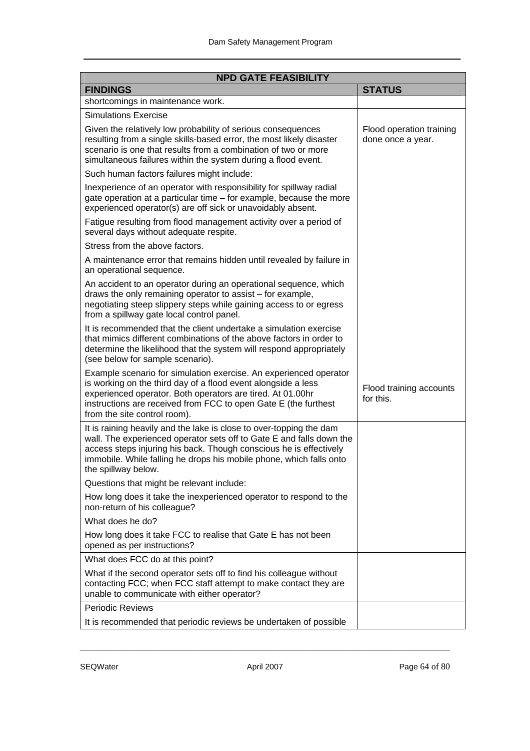| <b>NPD GATE FEASIBILITY</b>                                                                                                                                                                                                                                                                                     |                                               |
|-----------------------------------------------------------------------------------------------------------------------------------------------------------------------------------------------------------------------------------------------------------------------------------------------------------------|-----------------------------------------------|
| <b>FINDINGS</b>                                                                                                                                                                                                                                                                                                 | <b>STATUS</b>                                 |
| shortcomings in maintenance work.                                                                                                                                                                                                                                                                               |                                               |
| <b>Simulations Exercise</b>                                                                                                                                                                                                                                                                                     |                                               |
| Given the relatively low probability of serious consequences<br>resulting from a single skills-based error, the most likely disaster<br>scenario is one that results from a combination of two or more<br>simultaneous failures within the system during a flood event.                                         | Flood operation training<br>done once a year. |
| Such human factors failures might include:                                                                                                                                                                                                                                                                      |                                               |
| Inexperience of an operator with responsibility for spillway radial<br>gate operation at a particular time – for example, because the more<br>experienced operator(s) are off sick or unavoidably absent.                                                                                                       |                                               |
| Fatigue resulting from flood management activity over a period of<br>several days without adequate respite.                                                                                                                                                                                                     |                                               |
| Stress from the above factors.                                                                                                                                                                                                                                                                                  |                                               |
| A maintenance error that remains hidden until revealed by failure in<br>an operational sequence.                                                                                                                                                                                                                |                                               |
| An accident to an operator during an operational sequence, which<br>draws the only remaining operator to assist – for example,<br>negotiating steep slippery steps while gaining access to or egress<br>from a spillway gate local control panel.                                                               |                                               |
| It is recommended that the client undertake a simulation exercise<br>that mimics different combinations of the above factors in order to<br>determine the likelihood that the system will respond appropriately<br>(see below for sample scenario).                                                             |                                               |
| Example scenario for simulation exercise. An experienced operator<br>is working on the third day of a flood event alongside a less<br>experienced operator. Both operators are tired. At 01.00hr<br>instructions are received from FCC to open Gate E (the furthest<br>from the site control room).             | Flood training accounts<br>for this.          |
| It is raining heavily and the lake is close to over-topping the dam<br>wall. The experienced operator sets off to Gate E and falls down the<br>access steps injuring his back. Though conscious he is effectively<br>immobile. While falling he drops his mobile phone, which falls onto<br>the spillway below. |                                               |
| Questions that might be relevant include:                                                                                                                                                                                                                                                                       |                                               |
| How long does it take the inexperienced operator to respond to the<br>non-return of his colleague?                                                                                                                                                                                                              |                                               |
| What does he do?                                                                                                                                                                                                                                                                                                |                                               |
| How long does it take FCC to realise that Gate E has not been<br>opened as per instructions?                                                                                                                                                                                                                    |                                               |
| What does FCC do at this point?                                                                                                                                                                                                                                                                                 |                                               |
| What if the second operator sets off to find his colleague without<br>contacting FCC; when FCC staff attempt to make contact they are<br>unable to communicate with either operator?                                                                                                                            |                                               |
| <b>Periodic Reviews</b>                                                                                                                                                                                                                                                                                         |                                               |
| It is recommended that periodic reviews be undertaken of possible                                                                                                                                                                                                                                               |                                               |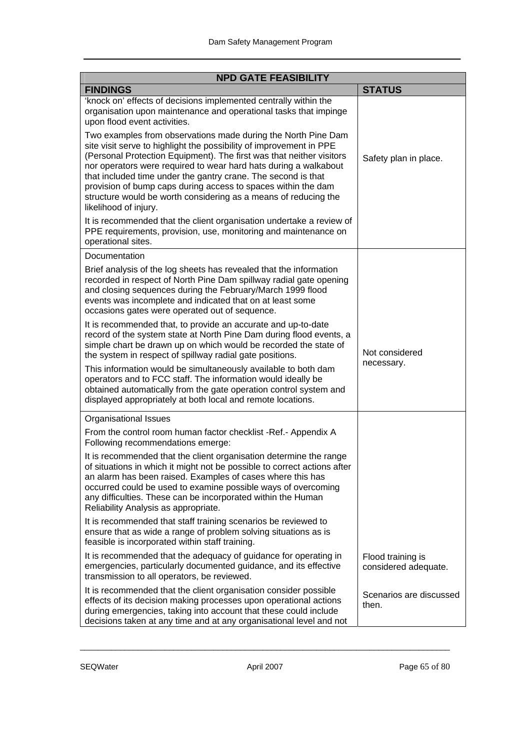| <b>NPD GATE FEASIBILITY</b>                                                                                                                                                                                                                                                                                                                                                                                                                                                                                    |                                           |  |
|----------------------------------------------------------------------------------------------------------------------------------------------------------------------------------------------------------------------------------------------------------------------------------------------------------------------------------------------------------------------------------------------------------------------------------------------------------------------------------------------------------------|-------------------------------------------|--|
| <b>FINDINGS</b>                                                                                                                                                                                                                                                                                                                                                                                                                                                                                                | <b>STATUS</b>                             |  |
| 'knock on' effects of decisions implemented centrally within the<br>organisation upon maintenance and operational tasks that impinge<br>upon flood event activities.                                                                                                                                                                                                                                                                                                                                           |                                           |  |
| Two examples from observations made during the North Pine Dam<br>site visit serve to highlight the possibility of improvement in PPE<br>(Personal Protection Equipment). The first was that neither visitors<br>nor operators were required to wear hard hats during a walkabout<br>that included time under the gantry crane. The second is that<br>provision of bump caps during access to spaces within the dam<br>structure would be worth considering as a means of reducing the<br>likelihood of injury. | Safety plan in place.                     |  |
| It is recommended that the client organisation undertake a review of<br>PPE requirements, provision, use, monitoring and maintenance on<br>operational sites.                                                                                                                                                                                                                                                                                                                                                  |                                           |  |
| Documentation                                                                                                                                                                                                                                                                                                                                                                                                                                                                                                  |                                           |  |
| Brief analysis of the log sheets has revealed that the information<br>recorded in respect of North Pine Dam spillway radial gate opening<br>and closing sequences during the February/March 1999 flood<br>events was incomplete and indicated that on at least some<br>occasions gates were operated out of sequence.                                                                                                                                                                                          |                                           |  |
| It is recommended that, to provide an accurate and up-to-date<br>record of the system state at North Pine Dam during flood events, a<br>simple chart be drawn up on which would be recorded the state of<br>the system in respect of spillway radial gate positions.                                                                                                                                                                                                                                           | Not considered<br>necessary.              |  |
| This information would be simultaneously available to both dam<br>operators and to FCC staff. The information would ideally be<br>obtained automatically from the gate operation control system and<br>displayed appropriately at both local and remote locations.                                                                                                                                                                                                                                             |                                           |  |
| <b>Organisational Issues</b>                                                                                                                                                                                                                                                                                                                                                                                                                                                                                   |                                           |  |
| From the control room human factor checklist -Ref.- Appendix A<br>Following recommendations emerge:                                                                                                                                                                                                                                                                                                                                                                                                            |                                           |  |
| It is recommended that the client organisation determine the range<br>of situations in which it might not be possible to correct actions after<br>an alarm has been raised. Examples of cases where this has<br>occurred could be used to examine possible ways of overcoming<br>any difficulties. These can be incorporated within the Human<br>Reliability Analysis as appropriate.                                                                                                                          |                                           |  |
| It is recommended that staff training scenarios be reviewed to<br>ensure that as wide a range of problem solving situations as is<br>feasible is incorporated within staff training.                                                                                                                                                                                                                                                                                                                           |                                           |  |
| It is recommended that the adequacy of guidance for operating in<br>emergencies, particularly documented guidance, and its effective<br>transmission to all operators, be reviewed.                                                                                                                                                                                                                                                                                                                            | Flood training is<br>considered adequate. |  |
| It is recommended that the client organisation consider possible<br>effects of its decision making processes upon operational actions<br>during emergencies, taking into account that these could include<br>decisions taken at any time and at any organisational level and not                                                                                                                                                                                                                               | Scenarios are discussed<br>then.          |  |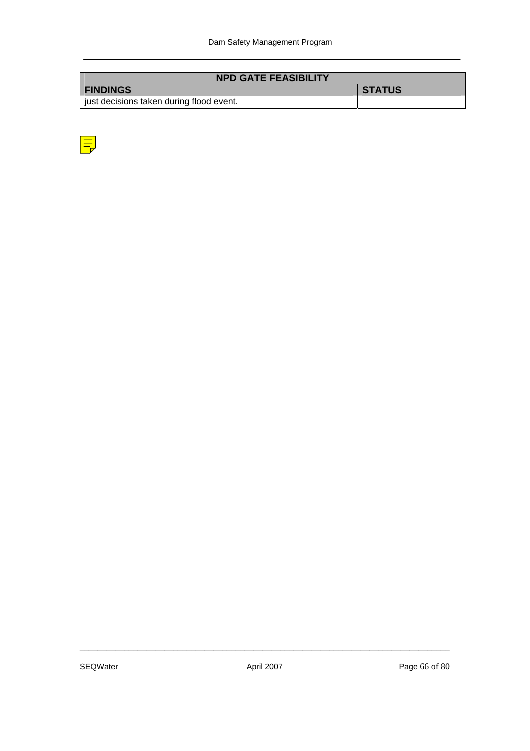| <b>NPD GATE FEASIBILITY</b>              |               |
|------------------------------------------|---------------|
| <b>FINDINGS</b>                          | <b>STATUS</b> |
| just decisions taken during flood event. |               |

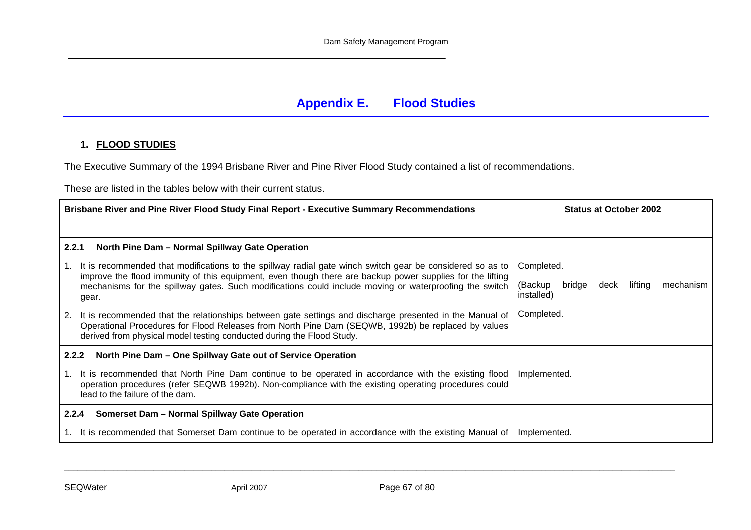### **Appendix E. Flood Studies**

#### **1. FLOOD STUDIES**

The Executive Summary of the 1994 Brisbane River and Pine River Flood Study contained a list of recommendations.

These are listed in the tables below with their current status.

| Brisbane River and Pine River Flood Study Final Report - Executive Summary Recommendations                                                                                                                                                                                                   | <b>Status at October 2002</b>                                   |
|----------------------------------------------------------------------------------------------------------------------------------------------------------------------------------------------------------------------------------------------------------------------------------------------|-----------------------------------------------------------------|
|                                                                                                                                                                                                                                                                                              |                                                                 |
| North Pine Dam - Normal Spillway Gate Operation<br>2.2.1                                                                                                                                                                                                                                     |                                                                 |
| It is recommended that modifications to the spillway radial gate winch switch gear be considered so as to<br>1.                                                                                                                                                                              | Completed.                                                      |
| improve the flood immunity of this equipment, even though there are backup power supplies for the lifting<br>mechanisms for the spillway gates. Such modifications could include moving or waterproofing the switch<br>gear.                                                                 | (Backup<br>lifting<br>mechanism<br>bridge<br>deck<br>installed) |
| It is recommended that the relationships between gate settings and discharge presented in the Manual of<br>2.<br>Operational Procedures for Flood Releases from North Pine Dam (SEQWB, 1992b) be replaced by values<br>derived from physical model testing conducted during the Flood Study. | Completed.                                                      |
| North Pine Dam - One Spillway Gate out of Service Operation<br>2.2.2                                                                                                                                                                                                                         |                                                                 |
| It is recommended that North Pine Dam continue to be operated in accordance with the existing flood<br>operation procedures (refer SEQWB 1992b). Non-compliance with the existing operating procedures could<br>lead to the failure of the dam.                                              | Implemented.                                                    |
| Somerset Dam - Normal Spillway Gate Operation<br>2.2.4                                                                                                                                                                                                                                       |                                                                 |
| 1. It is recommended that Somerset Dam continue to be operated in accordance with the existing Manual of                                                                                                                                                                                     | Implemented.                                                    |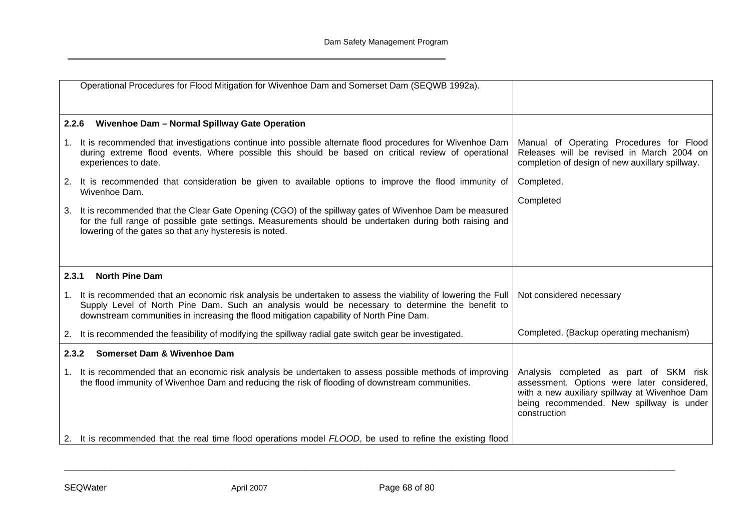| Operational Procedures for Flood Mitigation for Wivenhoe Dam and Somerset Dam (SEQWB 1992a).                                                                                                                                                                                                                 |                                                                                                                                                                                                   |
|--------------------------------------------------------------------------------------------------------------------------------------------------------------------------------------------------------------------------------------------------------------------------------------------------------------|---------------------------------------------------------------------------------------------------------------------------------------------------------------------------------------------------|
|                                                                                                                                                                                                                                                                                                              |                                                                                                                                                                                                   |
| Wivenhoe Dam - Normal Spillway Gate Operation<br>2.2.6                                                                                                                                                                                                                                                       |                                                                                                                                                                                                   |
| 1. It is recommended that investigations continue into possible alternate flood procedures for Wivenhoe Dam<br>during extreme flood events. Where possible this should be based on critical review of operational<br>experiences to date.                                                                    | Manual of Operating Procedures for Flood<br>Releases will be revised in March 2004 on<br>completion of design of new auxillary spillway.                                                          |
| 2. It is recommended that consideration be given to available options to improve the flood immunity of                                                                                                                                                                                                       | Completed.                                                                                                                                                                                        |
| Wivenhoe Dam.                                                                                                                                                                                                                                                                                                | Completed                                                                                                                                                                                         |
| It is recommended that the Clear Gate Opening (CGO) of the spillway gates of Wivenhoe Dam be measured<br>3.<br>for the full range of possible gate settings. Measurements should be undertaken during both raising and<br>lowering of the gates so that any hysteresis is noted.                             |                                                                                                                                                                                                   |
|                                                                                                                                                                                                                                                                                                              |                                                                                                                                                                                                   |
| <b>North Pine Dam</b><br>2.3.1                                                                                                                                                                                                                                                                               |                                                                                                                                                                                                   |
| 1. It is recommended that an economic risk analysis be undertaken to assess the viability of lowering the Full<br>Supply Level of North Pine Dam. Such an analysis would be necessary to determine the benefit to<br>downstream communities in increasing the flood mitigation capability of North Pine Dam. | Not considered necessary                                                                                                                                                                          |
| 2. It is recommended the feasibility of modifying the spillway radial gate switch gear be investigated.                                                                                                                                                                                                      | Completed. (Backup operating mechanism)                                                                                                                                                           |
| <b>Somerset Dam &amp; Wivenhoe Dam</b><br>2.3.2                                                                                                                                                                                                                                                              |                                                                                                                                                                                                   |
| It is recommended that an economic risk analysis be undertaken to assess possible methods of improving<br>1.<br>the flood immunity of Wivenhoe Dam and reducing the risk of flooding of downstream communities.                                                                                              | Analysis completed as part of SKM risk<br>assessment. Options were later considered,<br>with a new auxiliary spillway at Wivenhoe Dam<br>being recommended. New spillway is under<br>construction |
| 2. It is recommended that the real time flood operations model FLOOD, be used to refine the existing flood                                                                                                                                                                                                   |                                                                                                                                                                                                   |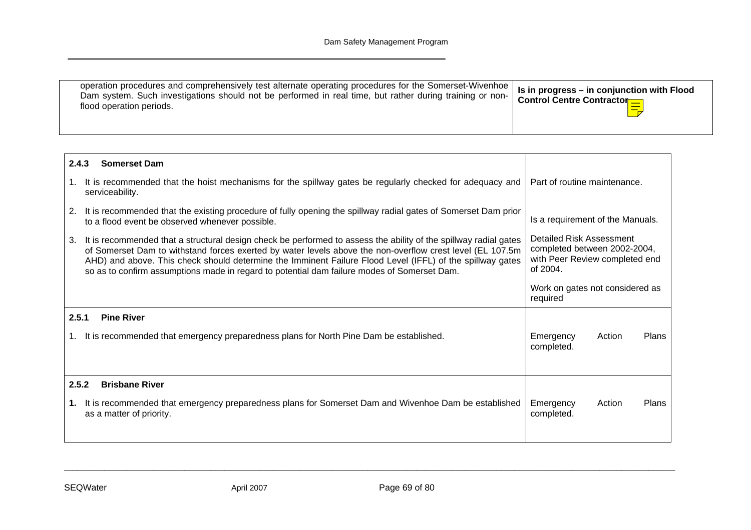| operation procedures and comprehensively test alternate operating procedures for the Somerset-Wivenhoe   Is in progress - in conjunction with Flood<br>Dam system. Such investigations should not be performed in real time, but rather during training or non-<br>flood operation periods. | Control Centre Contractor |
|---------------------------------------------------------------------------------------------------------------------------------------------------------------------------------------------------------------------------------------------------------------------------------------------|---------------------------|
|---------------------------------------------------------------------------------------------------------------------------------------------------------------------------------------------------------------------------------------------------------------------------------------------|---------------------------|

| 2.4.3<br><b>Somerset Dam</b>                                                                                                                                                                                                                                                                                                                                                                                                                    |                                                                                                        |
|-------------------------------------------------------------------------------------------------------------------------------------------------------------------------------------------------------------------------------------------------------------------------------------------------------------------------------------------------------------------------------------------------------------------------------------------------|--------------------------------------------------------------------------------------------------------|
| It is recommended that the hoist mechanisms for the spillway gates be regularly checked for adequacy and<br>1.<br>serviceability.                                                                                                                                                                                                                                                                                                               | Part of routine maintenance.                                                                           |
| 2.<br>It is recommended that the existing procedure of fully opening the spillway radial gates of Somerset Dam prior<br>to a flood event be observed whenever possible.                                                                                                                                                                                                                                                                         | Is a requirement of the Manuals.                                                                       |
| It is recommended that a structural design check be performed to assess the ability of the spillway radial gates<br>3.<br>of Somerset Dam to withstand forces exerted by water levels above the non-overflow crest level (EL 107.5m<br>AHD) and above. This check should determine the Imminent Failure Flood Level (IFFL) of the spillway gates<br>so as to confirm assumptions made in regard to potential dam failure modes of Somerset Dam. | Detailed Risk Assessment<br>completed between 2002-2004,<br>with Peer Review completed end<br>of 2004. |
|                                                                                                                                                                                                                                                                                                                                                                                                                                                 | Work on gates not considered as<br>required                                                            |
| 2.5.1<br><b>Pine River</b>                                                                                                                                                                                                                                                                                                                                                                                                                      |                                                                                                        |
| It is recommended that emergency preparedness plans for North Pine Dam be established.<br>1.                                                                                                                                                                                                                                                                                                                                                    | Emergency<br>Plans<br>Action<br>completed.                                                             |
| 2.5.2<br><b>Brisbane River</b>                                                                                                                                                                                                                                                                                                                                                                                                                  |                                                                                                        |
| It is recommended that emergency preparedness plans for Somerset Dam and Wivenhoe Dam be established<br>1.<br>as a matter of priority.                                                                                                                                                                                                                                                                                                          | Plans<br>Emergency<br>Action<br>completed.                                                             |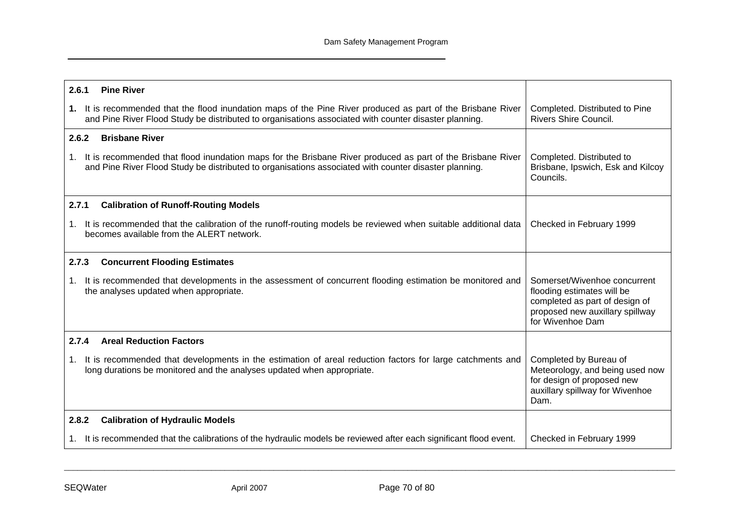| 2.6.1<br><b>Pine River</b>                                                                                                                                                                                             |                                                                                                                                                     |
|------------------------------------------------------------------------------------------------------------------------------------------------------------------------------------------------------------------------|-----------------------------------------------------------------------------------------------------------------------------------------------------|
| 1. It is recommended that the flood inundation maps of the Pine River produced as part of the Brisbane River<br>and Pine River Flood Study be distributed to organisations associated with counter disaster planning.  | Completed. Distributed to Pine<br><b>Rivers Shire Council.</b>                                                                                      |
| <b>Brisbane River</b><br>2.6.2                                                                                                                                                                                         |                                                                                                                                                     |
| 1. It is recommended that flood inundation maps for the Brisbane River produced as part of the Brisbane River<br>and Pine River Flood Study be distributed to organisations associated with counter disaster planning. | Completed. Distributed to<br>Brisbane, Ipswich, Esk and Kilcoy<br>Councils.                                                                         |
| 2.7.1<br><b>Calibration of Runoff-Routing Models</b>                                                                                                                                                                   |                                                                                                                                                     |
| It is recommended that the calibration of the runoff-routing models be reviewed when suitable additional data<br>$1_{\cdot}$<br>becomes available from the ALERT network.                                              | Checked in February 1999                                                                                                                            |
| 2.7.3<br><b>Concurrent Flooding Estimates</b>                                                                                                                                                                          |                                                                                                                                                     |
| It is recommended that developments in the assessment of concurrent flooding estimation be monitored and<br>$1_{\cdot}$<br>the analyses updated when appropriate.                                                      | Somerset/Wivenhoe concurrent<br>flooding estimates will be<br>completed as part of design of<br>proposed new auxillary spillway<br>for Wivenhoe Dam |
| 2.7.4<br><b>Areal Reduction Factors</b>                                                                                                                                                                                |                                                                                                                                                     |
| It is recommended that developments in the estimation of areal reduction factors for large catchments and<br>$1_{\cdot}$<br>long durations be monitored and the analyses updated when appropriate.                     | Completed by Bureau of<br>Meteorology, and being used now<br>for design of proposed new<br>auxillary spillway for Wivenhoe<br>Dam.                  |
| 2.8.2<br><b>Calibration of Hydraulic Models</b>                                                                                                                                                                        |                                                                                                                                                     |
| 1. It is recommended that the calibrations of the hydraulic models be reviewed after each significant flood event.                                                                                                     | Checked in February 1999                                                                                                                            |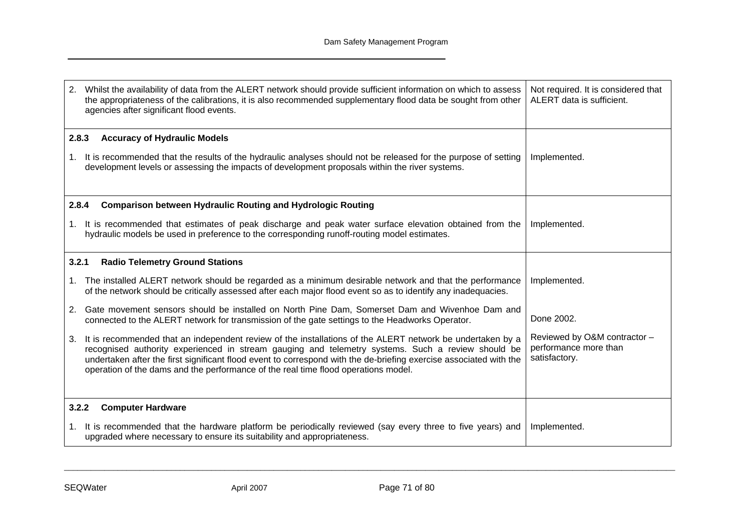| 2.<br>Whilst the availability of data from the ALERT network should provide sufficient information on which to assess<br>the appropriateness of the calibrations, it is also recommended supplementary flood data be sought from other<br>agencies after significant flood events.                                                                                                                                               | Not required. It is considered that<br>ALERT data is sufficient.       |
|----------------------------------------------------------------------------------------------------------------------------------------------------------------------------------------------------------------------------------------------------------------------------------------------------------------------------------------------------------------------------------------------------------------------------------|------------------------------------------------------------------------|
| 2.8.3<br><b>Accuracy of Hydraulic Models</b>                                                                                                                                                                                                                                                                                                                                                                                     |                                                                        |
| 1. It is recommended that the results of the hydraulic analyses should not be released for the purpose of setting<br>development levels or assessing the impacts of development proposals within the river systems.                                                                                                                                                                                                              | Implemented.                                                           |
| <b>Comparison between Hydraulic Routing and Hydrologic Routing</b><br>2.8.4                                                                                                                                                                                                                                                                                                                                                      |                                                                        |
| 1. It is recommended that estimates of peak discharge and peak water surface elevation obtained from the<br>hydraulic models be used in preference to the corresponding runoff-routing model estimates.                                                                                                                                                                                                                          | Implemented.                                                           |
| <b>Radio Telemetry Ground Stations</b><br>3.2.1                                                                                                                                                                                                                                                                                                                                                                                  |                                                                        |
| The installed ALERT network should be regarded as a minimum desirable network and that the performance<br>1.<br>of the network should be critically assessed after each major flood event so as to identify any inadequacies.                                                                                                                                                                                                    | Implemented.                                                           |
| Gate movement sensors should be installed on North Pine Dam, Somerset Dam and Wivenhoe Dam and<br>2.<br>connected to the ALERT network for transmission of the gate settings to the Headworks Operator.                                                                                                                                                                                                                          | Done 2002.                                                             |
| It is recommended that an independent review of the installations of the ALERT network be undertaken by a<br>3.<br>recognised authority experienced in stream gauging and telemetry systems. Such a review should be<br>undertaken after the first significant flood event to correspond with the de-briefing exercise associated with the<br>operation of the dams and the performance of the real time flood operations model. | Reviewed by O&M contractor -<br>performance more than<br>satisfactory. |
| <b>Computer Hardware</b><br>3.2.2                                                                                                                                                                                                                                                                                                                                                                                                |                                                                        |
| It is recommended that the hardware platform be periodically reviewed (say every three to five years) and<br>1.<br>upgraded where necessary to ensure its suitability and appropriateness.                                                                                                                                                                                                                                       | Implemented.                                                           |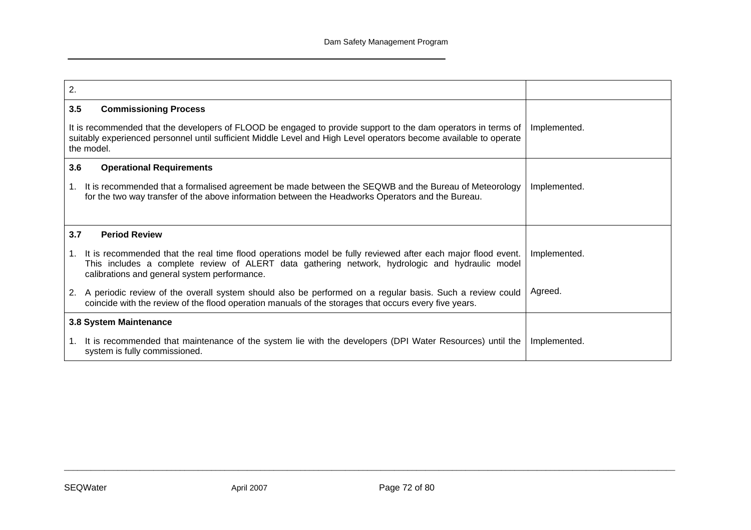| 2.                                                                                                                                                                                                                                                                   |              |
|----------------------------------------------------------------------------------------------------------------------------------------------------------------------------------------------------------------------------------------------------------------------|--------------|
| 3.5<br><b>Commissioning Process</b>                                                                                                                                                                                                                                  |              |
| It is recommended that the developers of FLOOD be engaged to provide support to the dam operators in terms of<br>suitably experienced personnel until sufficient Middle Level and High Level operators become available to operate<br>the model.                     | Implemented. |
| 3.6<br><b>Operational Requirements</b>                                                                                                                                                                                                                               |              |
| It is recommended that a formalised agreement be made between the SEQWB and the Bureau of Meteorology<br>1.<br>for the two way transfer of the above information between the Headworks Operators and the Bureau.                                                     | Implemented. |
| 3.7<br><b>Period Review</b>                                                                                                                                                                                                                                          |              |
| It is recommended that the real time flood operations model be fully reviewed after each major flood event.<br>1.<br>This includes a complete review of ALERT data gathering network, hydrologic and hydraulic model<br>calibrations and general system performance. | Implemented. |
| 2. A periodic review of the overall system should also be performed on a regular basis. Such a review could<br>coincide with the review of the flood operation manuals of the storages that occurs every five years.                                                 | Agreed.      |
| 3.8 System Maintenance                                                                                                                                                                                                                                               |              |
| It is recommended that maintenance of the system lie with the developers (DPI Water Resources) until the<br>$1_{-}$<br>system is fully commissioned.                                                                                                                 | Implemented. |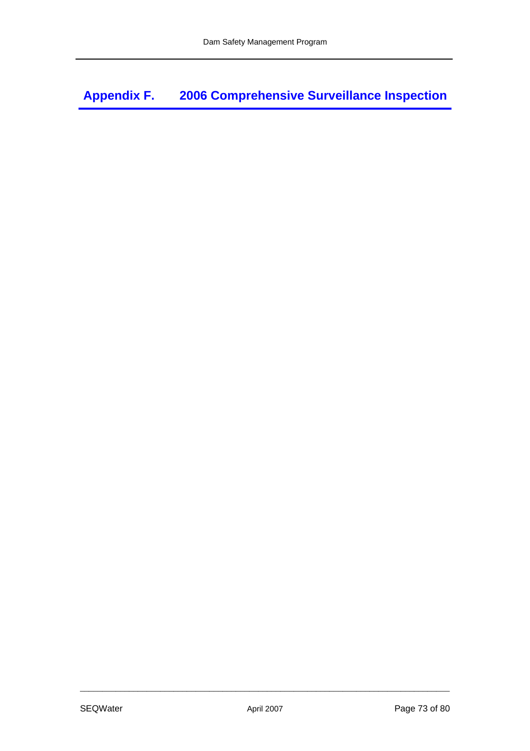**Appendix F. 2006 Comprehensive Surveillance Inspection**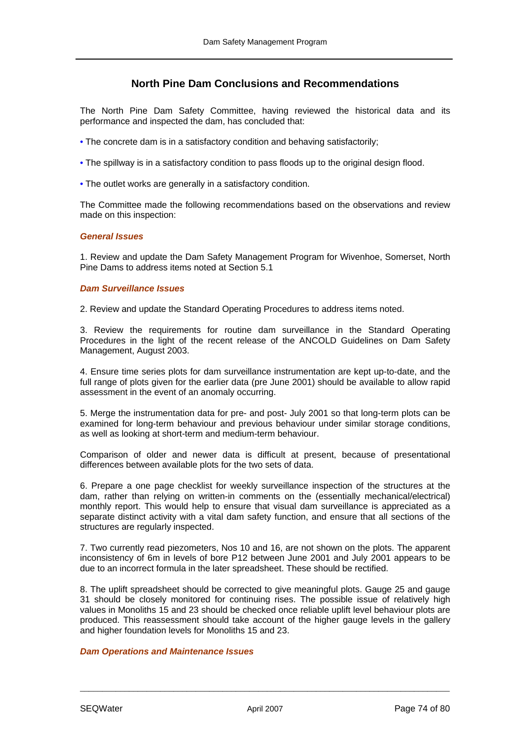# **North Pine Dam Conclusions and Recommendations**

The North Pine Dam Safety Committee, having reviewed the historical data and its performance and inspected the dam, has concluded that:

- The concrete dam is in a satisfactory condition and behaving satisfactorily;
- The spillway is in a satisfactory condition to pass floods up to the original design flood.
- The outlet works are generally in a satisfactory condition.

The Committee made the following recommendations based on the observations and review made on this inspection:

#### *General Issues*

1. Review and update the Dam Safety Management Program for Wivenhoe, Somerset, North Pine Dams to address items noted at Section 5.1

#### *Dam Surveillance Issues*

2. Review and update the Standard Operating Procedures to address items noted.

3. Review the requirements for routine dam surveillance in the Standard Operating Procedures in the light of the recent release of the ANCOLD Guidelines on Dam Safety Management, August 2003.

4. Ensure time series plots for dam surveillance instrumentation are kept up-to-date, and the full range of plots given for the earlier data (pre June 2001) should be available to allow rapid assessment in the event of an anomaly occurring.

5. Merge the instrumentation data for pre- and post- July 2001 so that long-term plots can be examined for long-term behaviour and previous behaviour under similar storage conditions, as well as looking at short-term and medium-term behaviour.

Comparison of older and newer data is difficult at present, because of presentational differences between available plots for the two sets of data.

6. Prepare a one page checklist for weekly surveillance inspection of the structures at the dam, rather than relying on written-in comments on the (essentially mechanical/electrical) monthly report. This would help to ensure that visual dam surveillance is appreciated as a separate distinct activity with a vital dam safety function, and ensure that all sections of the structures are regularly inspected.

7. Two currently read piezometers, Nos 10 and 16, are not shown on the plots. The apparent inconsistency of 6m in levels of bore P12 between June 2001 and July 2001 appears to be due to an incorrect formula in the later spreadsheet. These should be rectified.

8. The uplift spreadsheet should be corrected to give meaningful plots. Gauge 25 and gauge 31 should be closely monitored for continuing rises. The possible issue of relatively high values in Monoliths 15 and 23 should be checked once reliable uplift level behaviour plots are produced. This reassessment should take account of the higher gauge levels in the gallery and higher foundation levels for Monoliths 15 and 23.

## *Dam Operations and Maintenance Issues*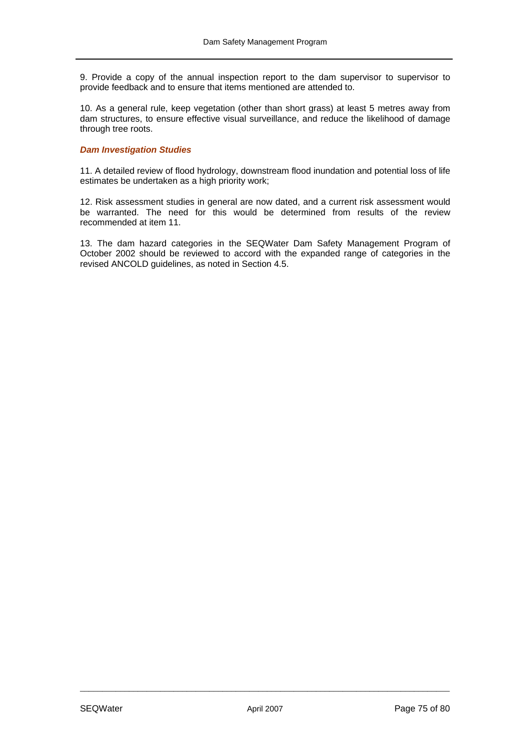9. Provide a copy of the annual inspection report to the dam supervisor to supervisor to provide feedback and to ensure that items mentioned are attended to.

10. As a general rule, keep vegetation (other than short grass) at least 5 metres away from dam structures, to ensure effective visual surveillance, and reduce the likelihood of damage through tree roots.

#### *Dam Investigation Studies*

11. A detailed review of flood hydrology, downstream flood inundation and potential loss of life estimates be undertaken as a high priority work;

12. Risk assessment studies in general are now dated, and a current risk assessment would be warranted. The need for this would be determined from results of the review recommended at item 11.

13. The dam hazard categories in the SEQWater Dam Safety Management Program of October 2002 should be reviewed to accord with the expanded range of categories in the revised ANCOLD guidelines, as noted in Section 4.5.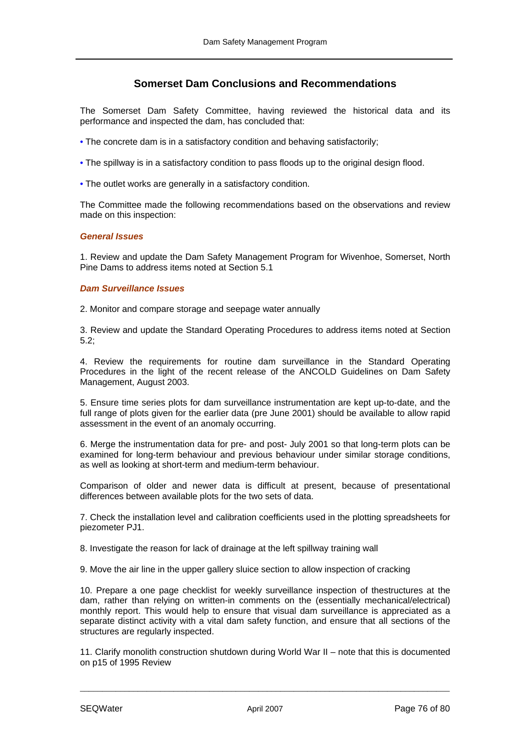# **Somerset Dam Conclusions and Recommendations**

The Somerset Dam Safety Committee, having reviewed the historical data and its performance and inspected the dam, has concluded that:

- The concrete dam is in a satisfactory condition and behaving satisfactorily;
- The spillway is in a satisfactory condition to pass floods up to the original design flood.
- The outlet works are generally in a satisfactory condition.

The Committee made the following recommendations based on the observations and review made on this inspection:

#### *General Issues*

1. Review and update the Dam Safety Management Program for Wivenhoe, Somerset, North Pine Dams to address items noted at Section 5.1

## *Dam Surveillance Issues*

2. Monitor and compare storage and seepage water annually

3. Review and update the Standard Operating Procedures to address items noted at Section 5.2;

4. Review the requirements for routine dam surveillance in the Standard Operating Procedures in the light of the recent release of the ANCOLD Guidelines on Dam Safety Management, August 2003.

5. Ensure time series plots for dam surveillance instrumentation are kept up-to-date, and the full range of plots given for the earlier data (pre June 2001) should be available to allow rapid assessment in the event of an anomaly occurring.

6. Merge the instrumentation data for pre- and post- July 2001 so that long-term plots can be examined for long-term behaviour and previous behaviour under similar storage conditions, as well as looking at short-term and medium-term behaviour.

Comparison of older and newer data is difficult at present, because of presentational differences between available plots for the two sets of data.

7. Check the installation level and calibration coefficients used in the plotting spreadsheets for piezometer PJ1.

8. Investigate the reason for lack of drainage at the left spillway training wall

9. Move the air line in the upper gallery sluice section to allow inspection of cracking

10. Prepare a one page checklist for weekly surveillance inspection of thestructures at the dam, rather than relying on written-in comments on the (essentially mechanical/electrical) monthly report. This would help to ensure that visual dam surveillance is appreciated as a separate distinct activity with a vital dam safety function, and ensure that all sections of the structures are regularly inspected.

11. Clarify monolith construction shutdown during World War II – note that this is documented on p15 of 1995 Review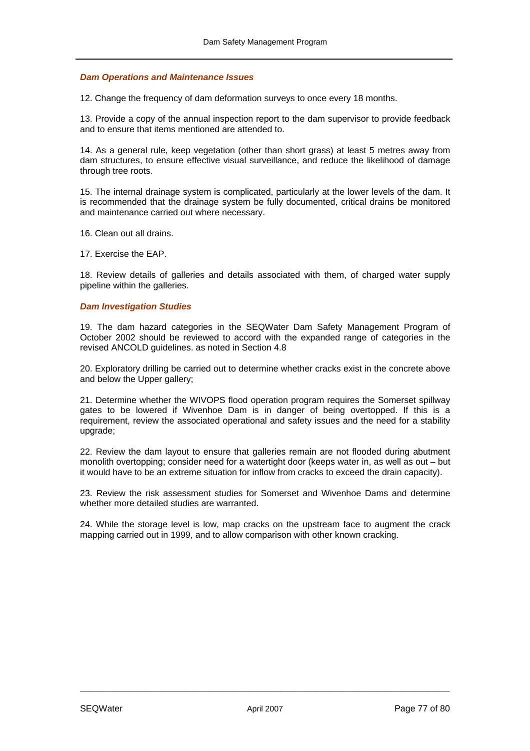#### *Dam Operations and Maintenance Issues*

12. Change the frequency of dam deformation surveys to once every 18 months.

13. Provide a copy of the annual inspection report to the dam supervisor to provide feedback and to ensure that items mentioned are attended to.

14. As a general rule, keep vegetation (other than short grass) at least 5 metres away from dam structures, to ensure effective visual surveillance, and reduce the likelihood of damage through tree roots.

15. The internal drainage system is complicated, particularly at the lower levels of the dam. It is recommended that the drainage system be fully documented, critical drains be monitored and maintenance carried out where necessary.

16. Clean out all drains.

17. Exercise the EAP.

18. Review details of galleries and details associated with them, of charged water supply pipeline within the galleries.

#### *Dam Investigation Studies*

19. The dam hazard categories in the SEQWater Dam Safety Management Program of October 2002 should be reviewed to accord with the expanded range of categories in the revised ANCOLD guidelines. as noted in Section 4.8

20. Exploratory drilling be carried out to determine whether cracks exist in the concrete above and below the Upper gallery;

21. Determine whether the WIVOPS flood operation program requires the Somerset spillway gates to be lowered if Wivenhoe Dam is in danger of being overtopped. If this is a requirement, review the associated operational and safety issues and the need for a stability upgrade;

22. Review the dam layout to ensure that galleries remain are not flooded during abutment monolith overtopping; consider need for a watertight door (keeps water in, as well as out – but it would have to be an extreme situation for inflow from cracks to exceed the drain capacity).

23. Review the risk assessment studies for Somerset and Wivenhoe Dams and determine whether more detailed studies are warranted.

24. While the storage level is low, map cracks on the upstream face to augment the crack mapping carried out in 1999, and to allow comparison with other known cracking.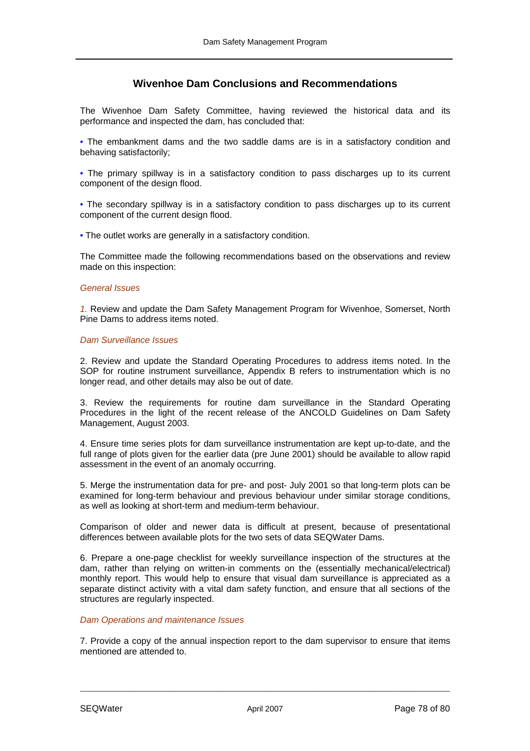# **Wivenhoe Dam Conclusions and Recommendations**

The Wivenhoe Dam Safety Committee, having reviewed the historical data and its performance and inspected the dam, has concluded that:

• The embankment dams and the two saddle dams are is in a satisfactory condition and behaving satisfactorily;

• The primary spillway is in a satisfactory condition to pass discharges up to its current component of the design flood.

• The secondary spillway is in a satisfactory condition to pass discharges up to its current component of the current design flood.

• The outlet works are generally in a satisfactory condition.

The Committee made the following recommendations based on the observations and review made on this inspection:

#### *General Issues*

*1.* Review and update the Dam Safety Management Program for Wivenhoe, Somerset, North Pine Dams to address items noted.

## *Dam Surveillance Issues*

2. Review and update the Standard Operating Procedures to address items noted. In the SOP for routine instrument surveillance, Appendix B refers to instrumentation which is no longer read, and other details may also be out of date.

3. Review the requirements for routine dam surveillance in the Standard Operating Procedures in the light of the recent release of the ANCOLD Guidelines on Dam Safety Management, August 2003.

4. Ensure time series plots for dam surveillance instrumentation are kept up-to-date, and the full range of plots given for the earlier data (pre June 2001) should be available to allow rapid assessment in the event of an anomaly occurring.

5. Merge the instrumentation data for pre- and post- July 2001 so that long-term plots can be examined for long-term behaviour and previous behaviour under similar storage conditions, as well as looking at short-term and medium-term behaviour.

Comparison of older and newer data is difficult at present, because of presentational differences between available plots for the two sets of data SEQWater Dams.

6. Prepare a one-page checklist for weekly surveillance inspection of the structures at the dam, rather than relying on written-in comments on the (essentially mechanical/electrical) monthly report. This would help to ensure that visual dam surveillance is appreciated as a separate distinct activity with a vital dam safety function, and ensure that all sections of the structures are regularly inspected.

## *Dam Operations and maintenance Issues*

7. Provide a copy of the annual inspection report to the dam supervisor to ensure that items mentioned are attended to.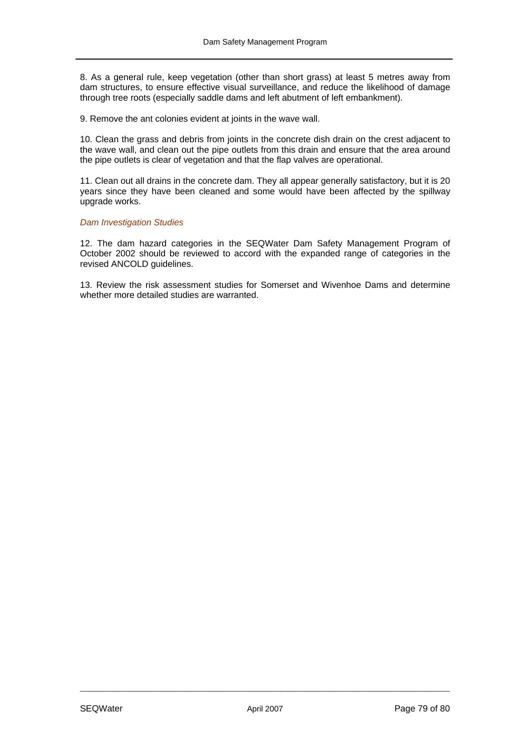8. As a general rule, keep vegetation (other than short grass) at least 5 metres away from dam structures, to ensure effective visual surveillance, and reduce the likelihood of damage through tree roots (especially saddle dams and left abutment of left embankment).

9. Remove the ant colonies evident at joints in the wave wall.

10. Clean the grass and debris from joints in the concrete dish drain on the crest adjacent to the wave wall, and clean out the pipe outlets from this drain and ensure that the area around the pipe outlets is clear of vegetation and that the flap valves are operational.

11. Clean out all drains in the concrete dam. They all appear generally satisfactory, but it is 20 years since they have been cleaned and some would have been affected by the spillway upgrade works.

#### *Dam Investigation Studies*

12. The dam hazard categories in the SEQWater Dam Safety Management Program of October 2002 should be reviewed to accord with the expanded range of categories in the revised ANCOLD guidelines.

13. Review the risk assessment studies for Somerset and Wivenhoe Dams and determine whether more detailed studies are warranted.